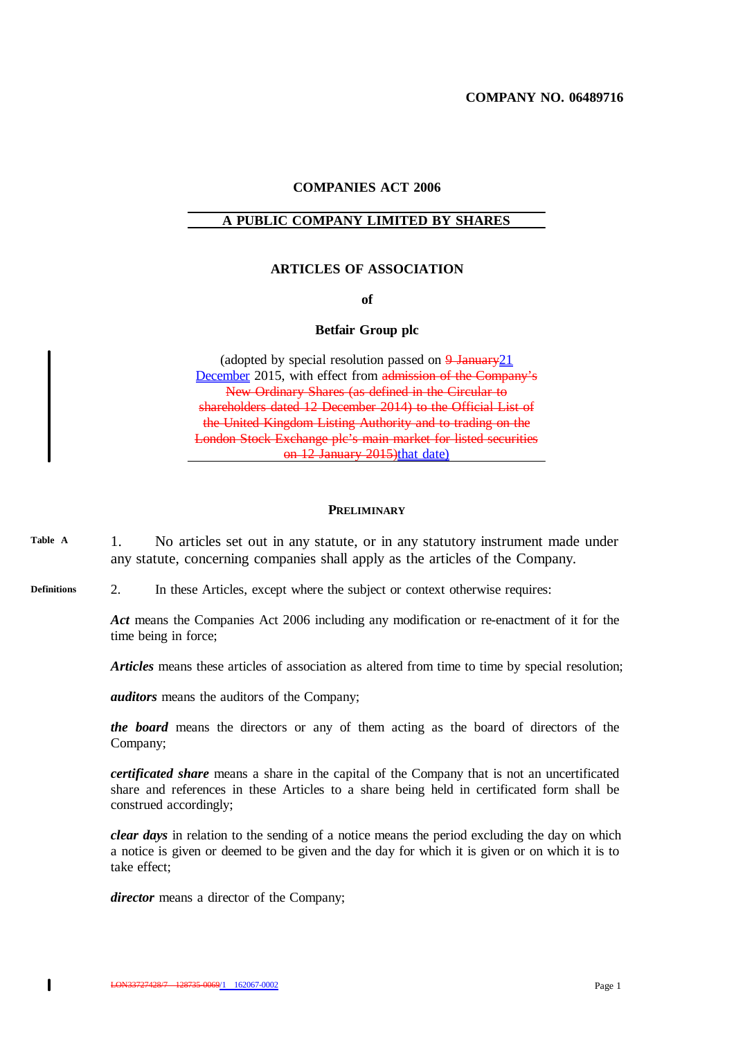**COMPANY NO. 06489716**

## **COMPANIES ACT 2006**

#### **A PUBLIC COMPANY LIMITED BY SHARES**

## **ARTICLES OF ASSOCIATION**

**of**

## **Betfair Group plc**

(adopted by special resolution passed on  $9 \text{ January} 21$ December 2015, with effect from admission of the Company's New Ordinary Shares (as defined in the Circular to shareholders dated 12 December 2014) to the Official List of the United Kingdom Listing Authority and to trading on the London Stock Exchange plc's main market for listed securities on 12 January 2015)that date)

#### **PRELIMINARY**

1. No articles set out in any statute, or in any statutory instrument made under any statute, concerning companies shall apply as the articles of the Company. **Table A**

#### 2. In these Articles, except where the subject or context otherwise requires: **Definitions**

*Act* means the Companies Act 2006 including any modification or re-enactment of it for the time being in force;

*Articles* means these articles of association as altered from time to time by special resolution;

*auditors* means the auditors of the Company;

*the board* means the directors or any of them acting as the board of directors of the Company;

*certificated share* means a share in the capital of the Company that is not an uncertificated share and references in these Articles to a share being held in certificated form shall be construed accordingly;

*clear days* in relation to the sending of a notice means the period excluding the day on which a notice is given or deemed to be given and the day for which it is given or on which it is to take effect;

*director* means a director of the Company;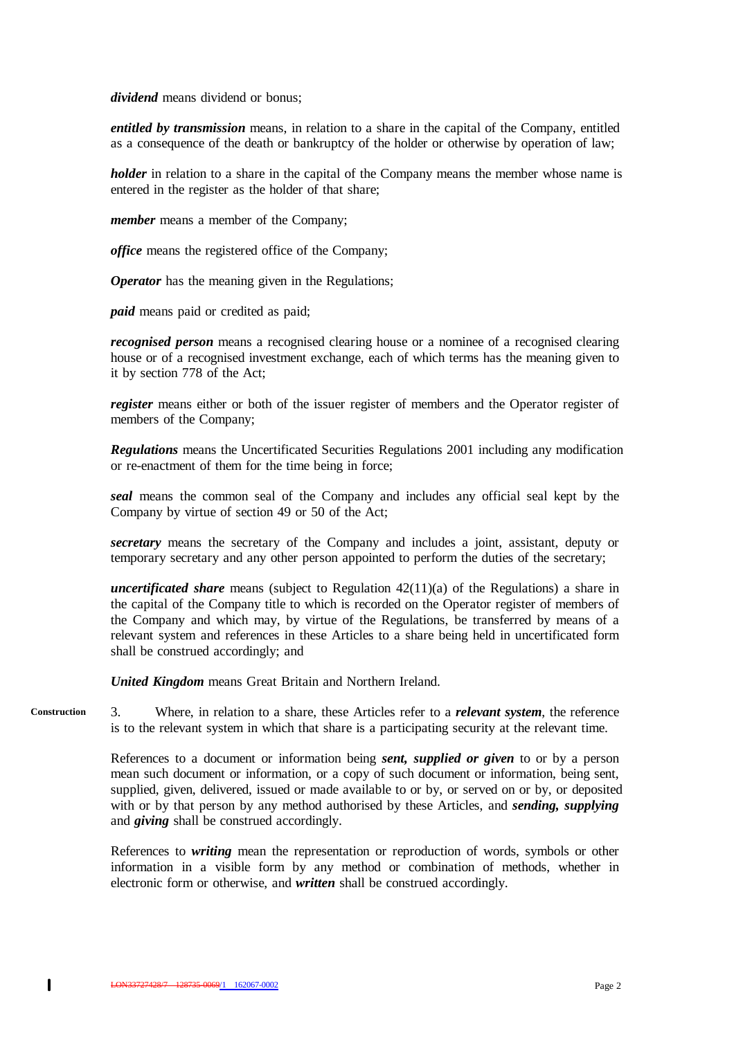*dividend* means dividend or bonus;

*entitled by transmission* means, in relation to a share in the capital of the Company, entitled as a consequence of the death or bankruptcy of the holder or otherwise by operation of law;

*holder* in relation to a share in the capital of the Company means the member whose name is entered in the register as the holder of that share;

*member* means a member of the Company;

*office* means the registered office of the Company;

*Operator* has the meaning given in the Regulations;

*paid* means paid or credited as paid;

*recognised person* means a recognised clearing house or a nominee of a recognised clearing house or of a recognised investment exchange, each of which terms has the meaning given to it by section 778 of the Act;

*register* means either or both of the issuer register of members and the Operator register of members of the Company;

*Regulations* means the Uncertificated Securities Regulations 2001 including any modification or re-enactment of them for the time being in force;

*seal* means the common seal of the Company and includes any official seal kept by the Company by virtue of section 49 or 50 of the Act;

*secretary* means the secretary of the Company and includes a joint, assistant, deputy or temporary secretary and any other person appointed to perform the duties of the secretary;

*uncertificated share* means (subject to Regulation 42(11)(a) of the Regulations) a share in the capital of the Company title to which is recorded on the Operator register of members of the Company and which may, by virtue of the Regulations, be transferred by means of a relevant system and references in these Articles to a share being held in uncertificated form shall be construed accordingly; and

*United Kingdom* means Great Britain and Northern Ireland.

3. Where, in relation to a share, these Articles refer to a *relevant system*, the reference is to the relevant system in which that share is a participating security at the relevant time. **Construction**

> References to a document or information being *sent, supplied or given* to or by a person mean such document or information, or a copy of such document or information, being sent, supplied, given, delivered, issued or made available to or by, or served on or by, or deposited with or by that person by any method authorised by these Articles, and *sending, supplying* and *giving* shall be construed accordingly.

> References to *writing* mean the representation or reproduction of words, symbols or other information in a visible form by any method or combination of methods, whether in electronic form or otherwise, and *written* shall be construed accordingly.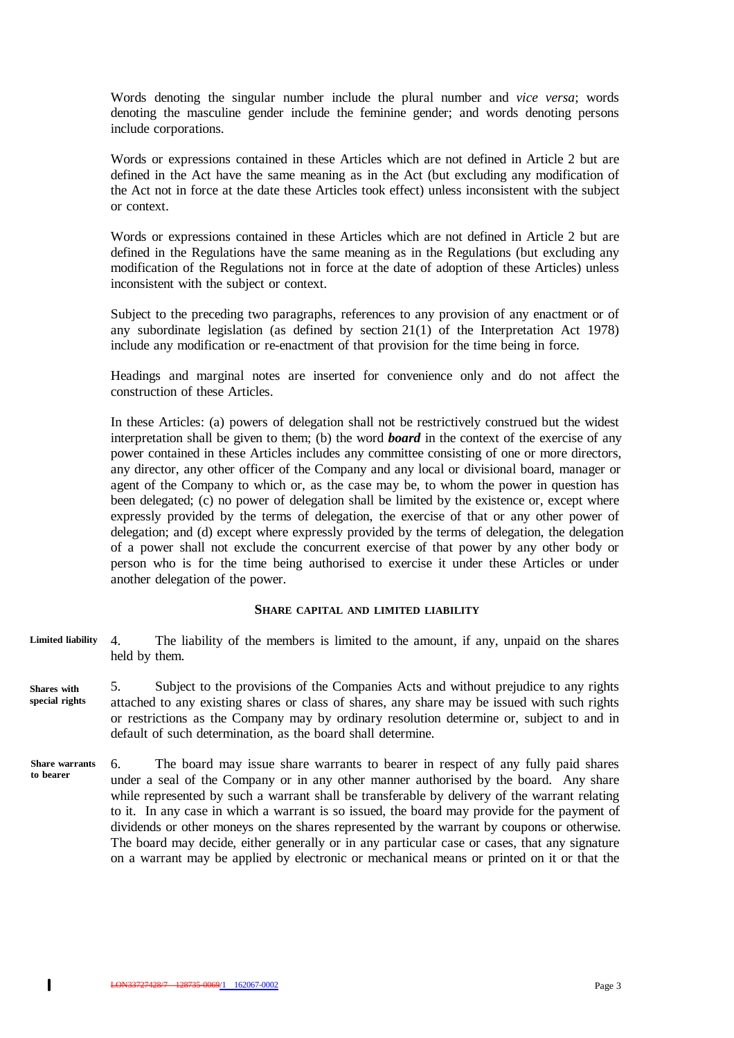Words denoting the singular number include the plural number and *vice versa*; words denoting the masculine gender include the feminine gender; and words denoting persons include corporations.

Words or expressions contained in these Articles which are not defined in Article 2 but are defined in the Act have the same meaning as in the Act (but excluding any modification of the Act not in force at the date these Articles took effect) unless inconsistent with the subject or context.

Words or expressions contained in these Articles which are not defined in Article 2 but are defined in the Regulations have the same meaning as in the Regulations (but excluding any modification of the Regulations not in force at the date of adoption of these Articles) unless inconsistent with the subject or context.

Subject to the preceding two paragraphs, references to any provision of any enactment or of any subordinate legislation (as defined by section 21(1) of the Interpretation Act 1978) include any modification or re-enactment of that provision for the time being in force.

Headings and marginal notes are inserted for convenience only and do not affect the construction of these Articles.

In these Articles: (a) powers of delegation shall not be restrictively construed but the widest interpretation shall be given to them; (b) the word *board* in the context of the exercise of any power contained in these Articles includes any committee consisting of one or more directors, any director, any other officer of the Company and any local or divisional board, manager or agent of the Company to which or, as the case may be, to whom the power in question has been delegated; (c) no power of delegation shall be limited by the existence or, except where expressly provided by the terms of delegation, the exercise of that or any other power of delegation; and (d) except where expressly provided by the terms of delegation, the delegation of a power shall not exclude the concurrent exercise of that power by any other body or person who is for the time being authorised to exercise it under these Articles or under another delegation of the power.

#### **SHARE CAPITAL AND LIMITED LIABILITY**

- 4. The liability of the members is limited to the amount, if any, unpaid on the shares held by them. **Limited liability**
- 5. Subject to the provisions of the Companies Acts and without prejudice to any rights attached to any existing shares or class of shares, any share may be issued with such rights or restrictions as the Company may by ordinary resolution determine or, subject to and in default of such determination, as the board shall determine. **Shares with special rights**
- 6. The board may issue share warrants to bearer in respect of any fully paid shares under a seal of the Company or in any other manner authorised by the board. Any share while represented by such a warrant shall be transferable by delivery of the warrant relating to it. In any case in which a warrant is so issued, the board may provide for the payment of dividends or other moneys on the shares represented by the warrant by coupons or otherwise. The board may decide, either generally or in any particular case or cases, that any signature on a warrant may be applied by electronic or mechanical means or printed on it or that the **Share warrants to bearer**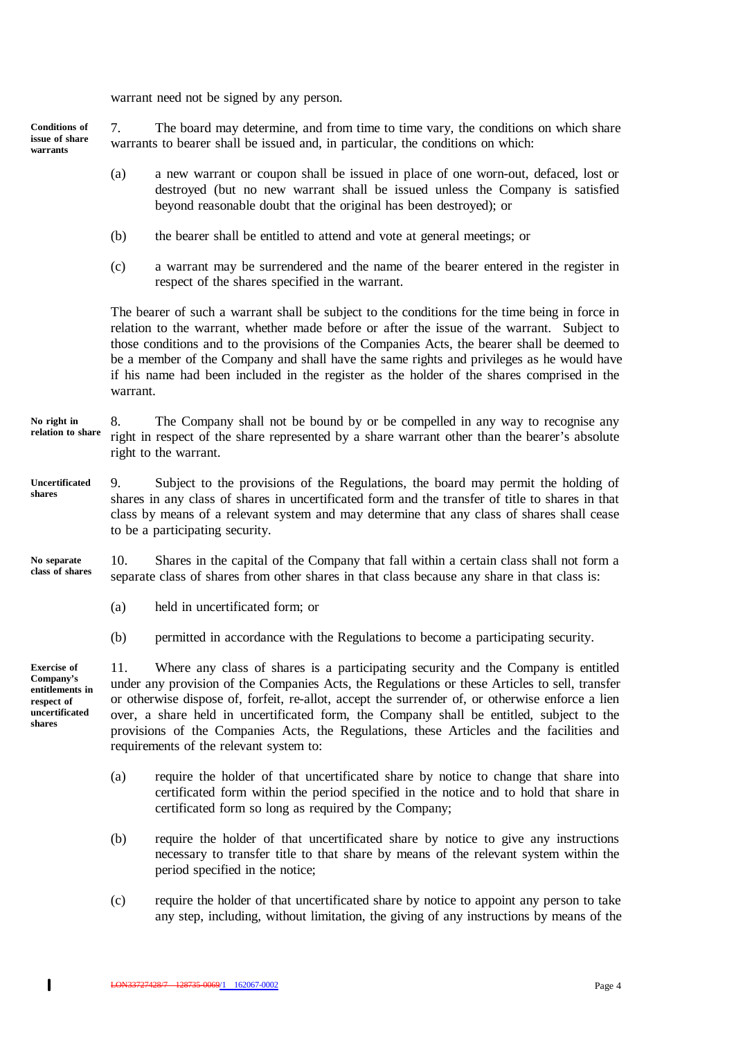warrant need not be signed by any person.

**Conditions of issue of share warrants**

7. The board may determine, and from time to time vary, the conditions on which share warrants to bearer shall be issued and, in particular, the conditions on which:

- (a) a new warrant or coupon shall be issued in place of one worn-out, defaced, lost or destroyed (but no new warrant shall be issued unless the Company is satisfied beyond reasonable doubt that the original has been destroyed); or
- (b) the bearer shall be entitled to attend and vote at general meetings; or
- (c) a warrant may be surrendered and the name of the bearer entered in the register in respect of the shares specified in the warrant.

The bearer of such a warrant shall be subject to the conditions for the time being in force in relation to the warrant, whether made before or after the issue of the warrant. Subject to those conditions and to the provisions of the Companies Acts, the bearer shall be deemed to be a member of the Company and shall have the same rights and privileges as he would have if his name had been included in the register as the holder of the shares comprised in the warrant.

#### 8. The Company shall not be bound by or be compelled in any way to recognise any right in respect of the share represented by a share warrant other than the bearer's absolute right to the warrant. **No right in relation to share**

9. Subject to the provisions of the Regulations, the board may permit the holding of shares in any class of shares in uncertificated form and the transfer of title to shares in that class by means of a relevant system and may determine that any class of shares shall cease to be a participating security. **Uncertificated shares**

10. Shares in the capital of the Company that fall within a certain class shall not form a separate class of shares from other shares in that class because any share in that class is: **No separate class of shares**

- (a) held in uncertificated form; or
- (b) permitted in accordance with the Regulations to become a participating security.

**Exercise of Company's entitlements in respect of uncertificated shares**

 $\mathbf{I}$ 

11. Where any class of shares is a participating security and the Company is entitled under any provision of the Companies Acts, the Regulations or these Articles to sell, transfer or otherwise dispose of, forfeit, re-allot, accept the surrender of, or otherwise enforce a lien over, a share held in uncertificated form, the Company shall be entitled, subject to the provisions of the Companies Acts, the Regulations, these Articles and the facilities and requirements of the relevant system to:

- (a) require the holder of that uncertificated share by notice to change that share into certificated form within the period specified in the notice and to hold that share in certificated form so long as required by the Company;
- (b) require the holder of that uncertificated share by notice to give any instructions necessary to transfer title to that share by means of the relevant system within the period specified in the notice;
- (c) require the holder of that uncertificated share by notice to appoint any person to take any step, including, without limitation, the giving of any instructions by means of the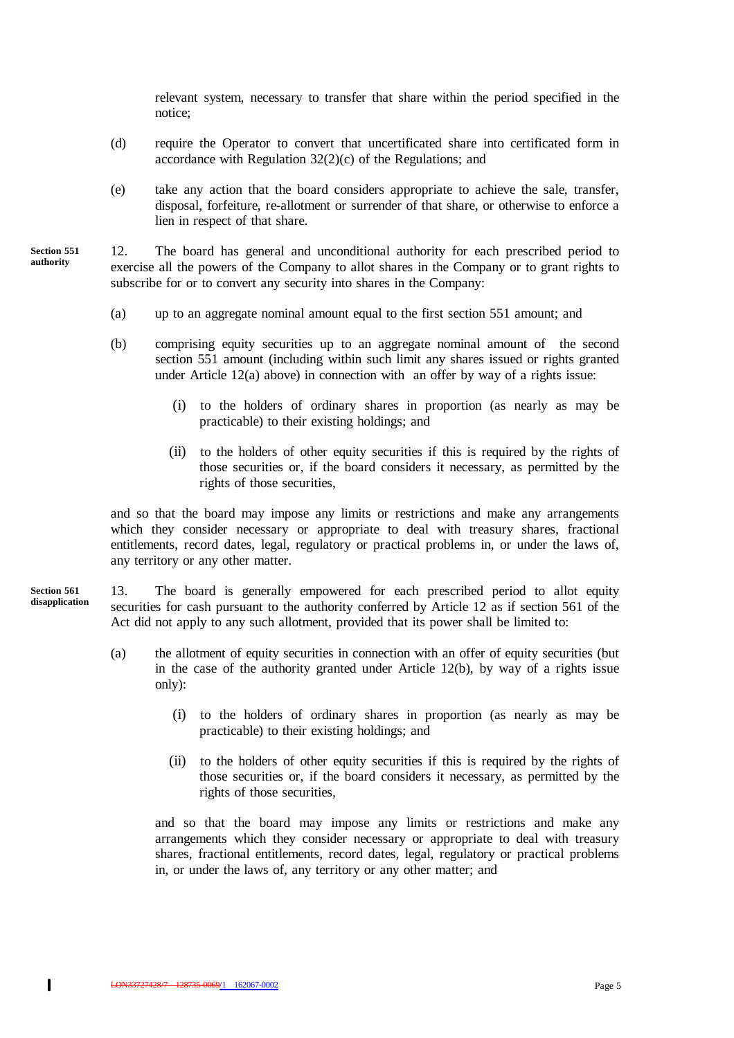relevant system, necessary to transfer that share within the period specified in the notice;

- (d) require the Operator to convert that uncertificated share into certificated form in accordance with Regulation  $32(2)(c)$  of the Regulations; and
- (e) take any action that the board considers appropriate to achieve the sale, transfer, disposal, forfeiture, re-allotment or surrender of that share, or otherwise to enforce a lien in respect of that share.

12. The board has general and unconditional authority for each prescribed period to exercise all the powers of the Company to allot shares in the Company or to grant rights to subscribe for or to convert any security into shares in the Company: **Section 551**

- (a) up to an aggregate nominal amount equal to the first section 551 amount; and
- (b) comprising equity securities up to an aggregate nominal amount of the second section 551 amount (including within such limit any shares issued or rights granted under Article 12(a) above) in connection with an offer by way of a rights issue:
	- (i) to the holders of ordinary shares in proportion (as nearly as may be practicable) to their existing holdings; and
	- (ii) to the holders of other equity securities if this is required by the rights of those securities or, if the board considers it necessary, as permitted by the rights of those securities,

and so that the board may impose any limits or restrictions and make any arrangements which they consider necessary or appropriate to deal with treasury shares, fractional entitlements, record dates, legal, regulatory or practical problems in, or under the laws of, any territory or any other matter.

13. The board is generally empowered for each prescribed period to allot equity securities for cash pursuant to the authority conferred by Article 12 as if section 561 of the Act did not apply to any such allotment, provided that its power shall be limited to: **Section 561 disapplication**

- (a) the allotment of equity securities in connection with an offer of equity securities (but in the case of the authority granted under Article 12(b), by way of a rights issue only):
	- (i) to the holders of ordinary shares in proportion (as nearly as may be practicable) to their existing holdings; and
	- (ii) to the holders of other equity securities if this is required by the rights of those securities or, if the board considers it necessary, as permitted by the rights of those securities,

and so that the board may impose any limits or restrictions and make any arrangements which they consider necessary or appropriate to deal with treasury shares, fractional entitlements, record dates, legal, regulatory or practical problems in, or under the laws of, any territory or any other matter; and

 $\mathbf{I}$ 

**authority**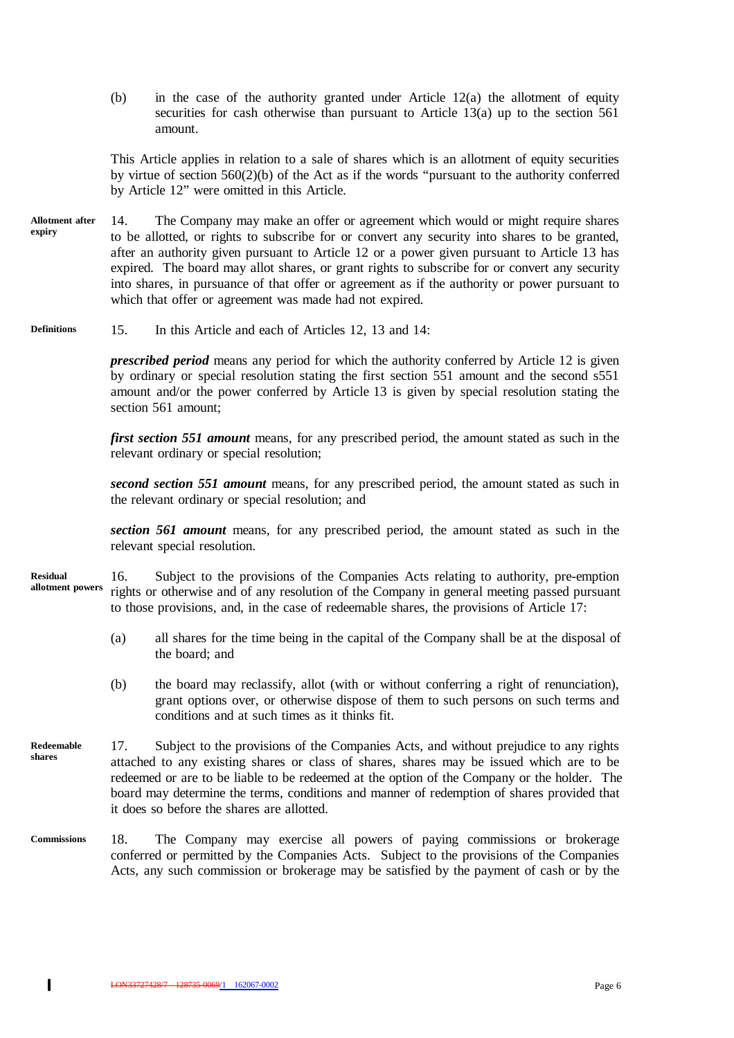(b) in the case of the authority granted under Article 12(a) the allotment of equity securities for cash otherwise than pursuant to Article 13(a) up to the section 561 amount.

This Article applies in relation to a sale of shares which is an allotment of equity securities by virtue of section 560(2)(b) of the Act as if the words "pursuant to the authority conferred by Article 12" were omitted in this Article.

- 14. The Company may make an offer or agreement which would or might require shares to be allotted, or rights to subscribe for or convert any security into shares to be granted, after an authority given pursuant to Article 12 or a power given pursuant to Article 13 has expired. The board may allot shares, or grant rights to subscribe for or convert any security into shares, in pursuance of that offer or agreement as if the authority or power pursuant to which that offer or agreement was made had not expired. **Allotment after expiry**
- 15. In this Article and each of Articles 12, 13 and 14: **Definitions**

*prescribed period* means any period for which the authority conferred by Article 12 is given by ordinary or special resolution stating the first section 551 amount and the second s551 amount and/or the power conferred by Article 13 is given by special resolution stating the section 561 amount;

*first section 551 amount* means, for any prescribed period, the amount stated as such in the relevant ordinary or special resolution;

*second section 551 amount* means, for any prescribed period, the amount stated as such in the relevant ordinary or special resolution; and

*section 561 amount* means, for any prescribed period, the amount stated as such in the relevant special resolution.

- 16. Subject to the provisions of the Companies Acts relating to authority, pre-emption rights or otherwise and of any resolution of the Company in general meeting passed pursuant to those provisions, and, in the case of redeemable shares, the provisions of Article 17: **Residual allotment powers**
	- (a) all shares for the time being in the capital of the Company shall be at the disposal of the board; and
	- (b) the board may reclassify, allot (with or without conferring a right of renunciation), grant options over, or otherwise dispose of them to such persons on such terms and conditions and at such times as it thinks fit.
- 17. Subject to the provisions of the Companies Acts, and without prejudice to any rights attached to any existing shares or class of shares, shares may be issued which are to be redeemed or are to be liable to be redeemed at the option of the Company or the holder. The board may determine the terms, conditions and manner of redemption of shares provided that it does so before the shares are allotted. **Redeemable shares**
- 18. The Company may exercise all powers of paying commissions or brokerage conferred or permitted by the Companies Acts. Subject to the provisions of the Companies Acts, any such commission or brokerage may be satisfied by the payment of cash or by the **Commissions**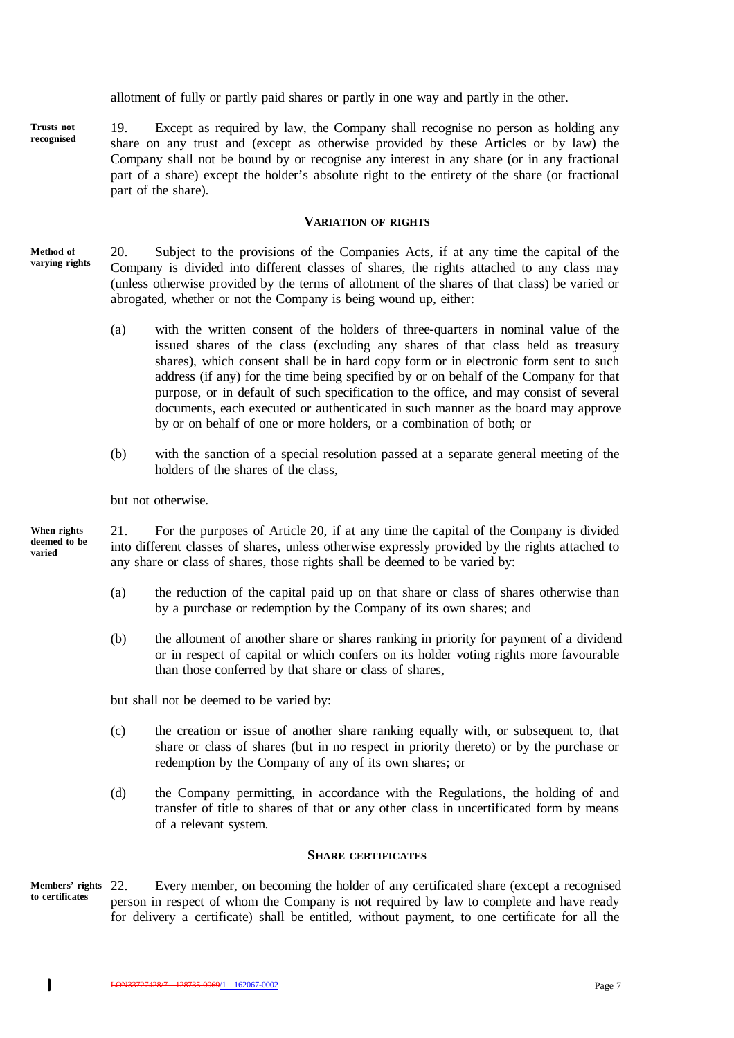allotment of fully or partly paid shares or partly in one way and partly in the other.

19. Except as required by law, the Company shall recognise no person as holding any share on any trust and (except as otherwise provided by these Articles or by law) the Company shall not be bound by or recognise any interest in any share (or in any fractional part of a share) except the holder's absolute right to the entirety of the share (or fractional part of the share). **Trusts not recognised**

#### **VARIATION OF RIGHTS**

- 20. Subject to the provisions of the Companies Acts, if at any time the capital of the Company is divided into different classes of shares, the rights attached to any class may (unless otherwise provided by the terms of allotment of the shares of that class) be varied or abrogated, whether or not the Company is being wound up, either: **Method of varying rights**
	- (a) with the written consent of the holders of three-quarters in nominal value of the issued shares of the class (excluding any shares of that class held as treasury shares), which consent shall be in hard copy form or in electronic form sent to such address (if any) for the time being specified by or on behalf of the Company for that purpose, or in default of such specification to the office, and may consist of several documents, each executed or authenticated in such manner as the board may approve by or on behalf of one or more holders, or a combination of both; or
	- (b) with the sanction of a special resolution passed at a separate general meeting of the holders of the shares of the class,

but not otherwise.

21. For the purposes of Article 20, if at any time the capital of the Company is divided into different classes of shares, unless otherwise expressly provided by the rights attached to any share or class of shares, those rights shall be deemed to be varied by: **When rights deemed to be varied**

- (a) the reduction of the capital paid up on that share or class of shares otherwise than by a purchase or redemption by the Company of its own shares; and
- (b) the allotment of another share or shares ranking in priority for payment of a dividend or in respect of capital or which confers on its holder voting rights more favourable than those conferred by that share or class of shares,

but shall not be deemed to be varied by:

- (c) the creation or issue of another share ranking equally with, or subsequent to, that share or class of shares (but in no respect in priority thereto) or by the purchase or redemption by the Company of any of its own shares; or
- (d) the Company permitting, in accordance with the Regulations, the holding of and transfer of title to shares of that or any other class in uncertificated form by means of a relevant system.

### **SHARE CERTIFICATES**

Every member, on becoming the holder of any certificated share (except a recognised person in respect of whom the Company is not required by law to complete and have ready for delivery a certificate) shall be entitled, without payment, to one certificate for all the **Members' rights to certificates**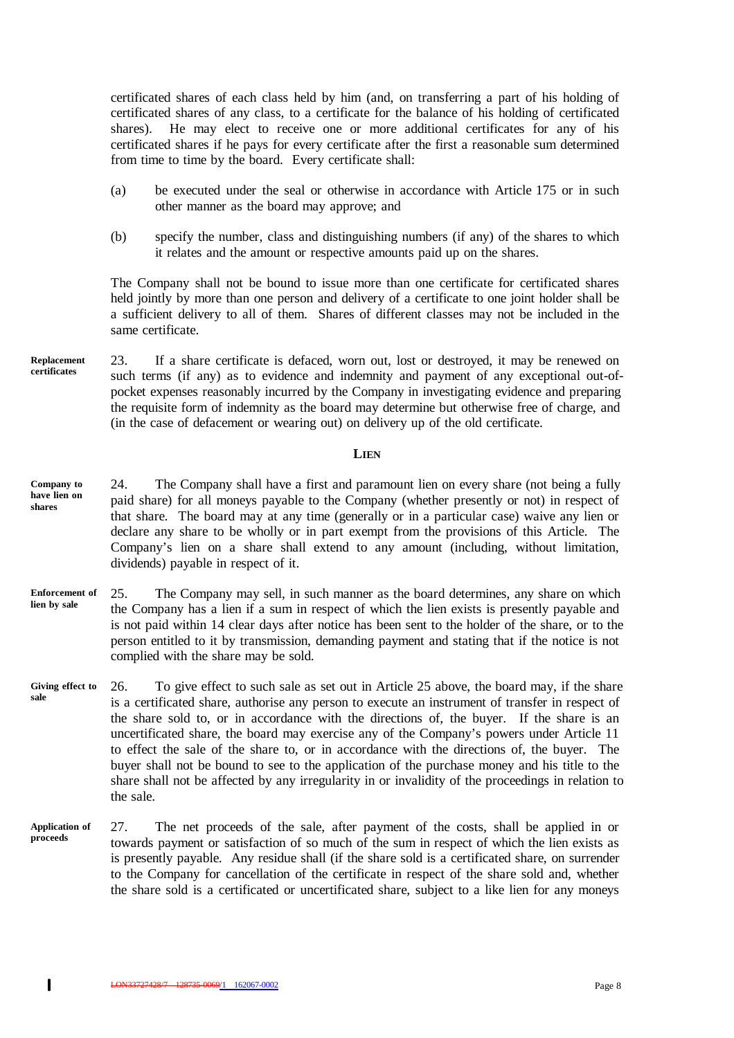certificated shares of each class held by him (and, on transferring a part of his holding of certificated shares of any class, to a certificate for the balance of his holding of certificated shares). He may elect to receive one or more additional certificates for any of his certificated shares if he pays for every certificate after the first a reasonable sum determined from time to time by the board. Every certificate shall:

- (a) be executed under the seal or otherwise in accordance with Article 175 or in such other manner as the board may approve; and
- (b) specify the number, class and distinguishing numbers (if any) of the shares to which it relates and the amount or respective amounts paid up on the shares.

The Company shall not be bound to issue more than one certificate for certificated shares held jointly by more than one person and delivery of a certificate to one joint holder shall be a sufficient delivery to all of them. Shares of different classes may not be included in the same certificate.

23. If a share certificate is defaced, worn out, lost or destroyed, it may be renewed on such terms (if any) as to evidence and indemnity and payment of any exceptional out-ofpocket expenses reasonably incurred by the Company in investigating evidence and preparing the requisite form of indemnity as the board may determine but otherwise free of charge, and (in the case of defacement or wearing out) on delivery up of the old certificate. **Replacement certificates**

#### **LIEN**

- 24. The Company shall have a first and paramount lien on every share (not being a fully paid share) for all moneys payable to the Company (whether presently or not) in respect of that share. The board may at any time (generally or in a particular case) waive any lien or declare any share to be wholly or in part exempt from the provisions of this Article. The Company's lien on a share shall extend to any amount (including, without limitation, dividends) payable in respect of it. **Company to have lien on shares**
- 25. The Company may sell, in such manner as the board determines, any share on which the Company has a lien if a sum in respect of which the lien exists is presently payable and is not paid within 14 clear days after notice has been sent to the holder of the share, or to the person entitled to it by transmission, demanding payment and stating that if the notice is not complied with the share may be sold. **Enforcement of lien by sale**
- 26. To give effect to such sale as set out in Article 25 above, the board may, if the share is a certificated share, authorise any person to execute an instrument of transfer in respect of the share sold to, or in accordance with the directions of, the buyer. If the share is an uncertificated share, the board may exercise any of the Company's powers under Article 11 to effect the sale of the share to, or in accordance with the directions of, the buyer. The buyer shall not be bound to see to the application of the purchase money and his title to the share shall not be affected by any irregularity in or invalidity of the proceedings in relation to the sale. **Giving effect to sale**
- 27. The net proceeds of the sale, after payment of the costs, shall be applied in or towards payment or satisfaction of so much of the sum in respect of which the lien exists as is presently payable. Any residue shall (if the share sold is a certificated share, on surrender to the Company for cancellation of the certificate in respect of the share sold and, whether the share sold is a certificated or uncertificated share, subject to a like lien for any moneys **Application of proceeds**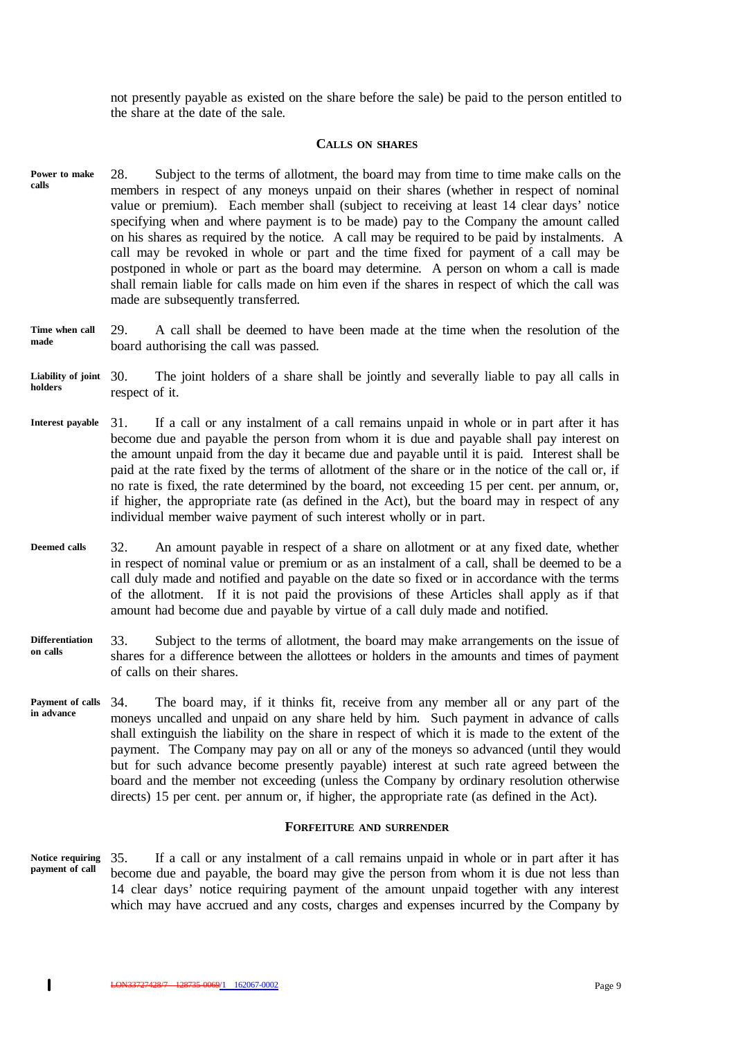not presently payable as existed on the share before the sale) be paid to the person entitled to the share at the date of the sale.

## **CALLS ON SHARES**

- 28. Subject to the terms of allotment, the board may from time to time make calls on the members in respect of any moneys unpaid on their shares (whether in respect of nominal value or premium). Each member shall (subject to receiving at least 14 clear days' notice specifying when and where payment is to be made) pay to the Company the amount called on his shares as required by the notice. A call may be required to be paid by instalments. A call may be revoked in whole or part and the time fixed for payment of a call may be postponed in whole or part as the board may determine. A person on whom a call is made shall remain liable for calls made on him even if the shares in respect of which the call was made are subsequently transferred. **Power to make calls**
- 29. A call shall be deemed to have been made at the time when the resolution of the board authorising the call was passed. **Time when call made**
- The joint holders of a share shall be jointly and severally liable to pay all calls in respect of it. **Liability of joint holders**
- 31. If a call or any instalment of a call remains unpaid in whole or in part after it has become due and payable the person from whom it is due and payable shall pay interest on the amount unpaid from the day it became due and payable until it is paid. Interest shall be paid at the rate fixed by the terms of allotment of the share or in the notice of the call or, if no rate is fixed, the rate determined by the board, not exceeding 15 per cent. per annum, or, if higher, the appropriate rate (as defined in the Act), but the board may in respect of any individual member waive payment of such interest wholly or in part. **Interest payable**
- 32. An amount payable in respect of a share on allotment or at any fixed date, whether in respect of nominal value or premium or as an instalment of a call, shall be deemed to be a call duly made and notified and payable on the date so fixed or in accordance with the terms of the allotment. If it is not paid the provisions of these Articles shall apply as if that amount had become due and payable by virtue of a call duly made and notified. **Deemed calls**
- 33. Subject to the terms of allotment, the board may make arrangements on the issue of shares for a difference between the allottees or holders in the amounts and times of payment of calls on their shares. **Differentiation on calls**
- 34. The board may, if it thinks fit, receive from any member all or any part of the moneys uncalled and unpaid on any share held by him. Such payment in advance of calls shall extinguish the liability on the share in respect of which it is made to the extent of the payment. The Company may pay on all or any of the moneys so advanced (until they would but for such advance become presently payable) interest at such rate agreed between the board and the member not exceeding (unless the Company by ordinary resolution otherwise directs) 15 per cent. per annum or, if higher, the appropriate rate (as defined in the Act). **Payment of calls in advance**

#### **FORFEITURE AND SURRENDER**

35. If a call or any instalment of a call remains unpaid in whole or in part after it has become due and payable, the board may give the person from whom it is due not less than 14 clear days' notice requiring payment of the amount unpaid together with any interest which may have accrued and any costs, charges and expenses incurred by the Company by **Notice requiring payment of call**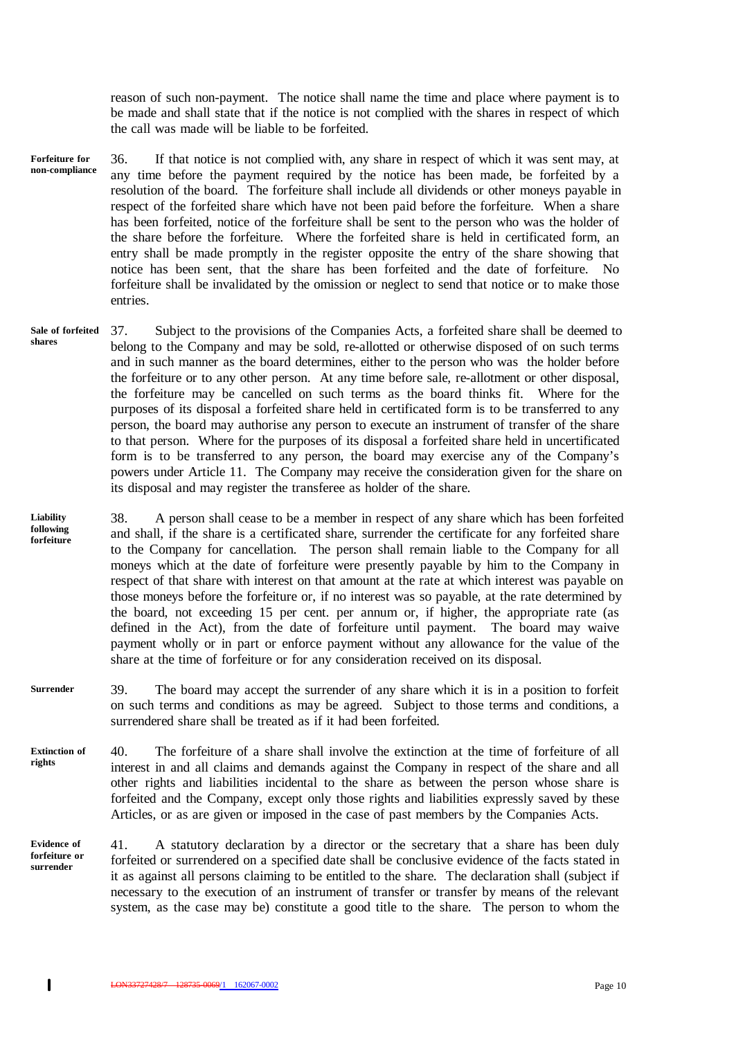reason of such non-payment. The notice shall name the time and place where payment is to be made and shall state that if the notice is not complied with the shares in respect of which the call was made will be liable to be forfeited.

- 36. If that notice is not complied with, any share in respect of which it was sent may, at any time before the payment required by the notice has been made, be forfeited by a resolution of the board. The forfeiture shall include all dividends or other moneys payable in respect of the forfeited share which have not been paid before the forfeiture. When a share has been forfeited, notice of the forfeiture shall be sent to the person who was the holder of the share before the forfeiture. Where the forfeited share is held in certificated form, an entry shall be made promptly in the register opposite the entry of the share showing that notice has been sent, that the share has been forfeited and the date of forfeiture. No forfeiture shall be invalidated by the omission or neglect to send that notice or to make those entries. **Forfeiture for non-compliance**
- 37. Subject to the provisions of the Companies Acts, a forfeited share shall be deemed to belong to the Company and may be sold, re-allotted or otherwise disposed of on such terms and in such manner as the board determines, either to the person who was the holder before the forfeiture or to any other person. At any time before sale, re-allotment or other disposal, the forfeiture may be cancelled on such terms as the board thinks fit. Where for the purposes of its disposal a forfeited share held in certificated form is to be transferred to any person, the board may authorise any person to execute an instrument of transfer of the share to that person. Where for the purposes of its disposal a forfeited share held in uncertificated form is to be transferred to any person, the board may exercise any of the Company's powers under Article 11. The Company may receive the consideration given for the share on its disposal and may register the transferee as holder of the share. **Sale of forfeited shares**

38. A person shall cease to be a member in respect of any share which has been forfeited and shall, if the share is a certificated share, surrender the certificate for any forfeited share to the Company for cancellation. The person shall remain liable to the Company for all moneys which at the date of forfeiture were presently payable by him to the Company in respect of that share with interest on that amount at the rate at which interest was payable on those moneys before the forfeiture or, if no interest was so payable, at the rate determined by the board, not exceeding 15 per cent. per annum or, if higher, the appropriate rate (as defined in the Act), from the date of forfeiture until payment. The board may waive payment wholly or in part or enforce payment without any allowance for the value of the share at the time of forfeiture or for any consideration received on its disposal. **Liability following forfeiture**

- 39. The board may accept the surrender of any share which it is in a position to forfeit on such terms and conditions as may be agreed. Subject to those terms and conditions, a surrendered share shall be treated as if it had been forfeited. **Surrender**
- 40. The forfeiture of a share shall involve the extinction at the time of forfeiture of all interest in and all claims and demands against the Company in respect of the share and all other rights and liabilities incidental to the share as between the person whose share is forfeited and the Company, except only those rights and liabilities expressly saved by these Articles, or as are given or imposed in the case of past members by the Companies Acts. **Extinction of rights**
- 41. A statutory declaration by a director or the secretary that a share has been duly forfeited or surrendered on a specified date shall be conclusive evidence of the facts stated in it as against all persons claiming to be entitled to the share. The declaration shall (subject if necessary to the execution of an instrument of transfer or transfer by means of the relevant system, as the case may be) constitute a good title to the share. The person to whom the **Evidence of forfeiture or surrender**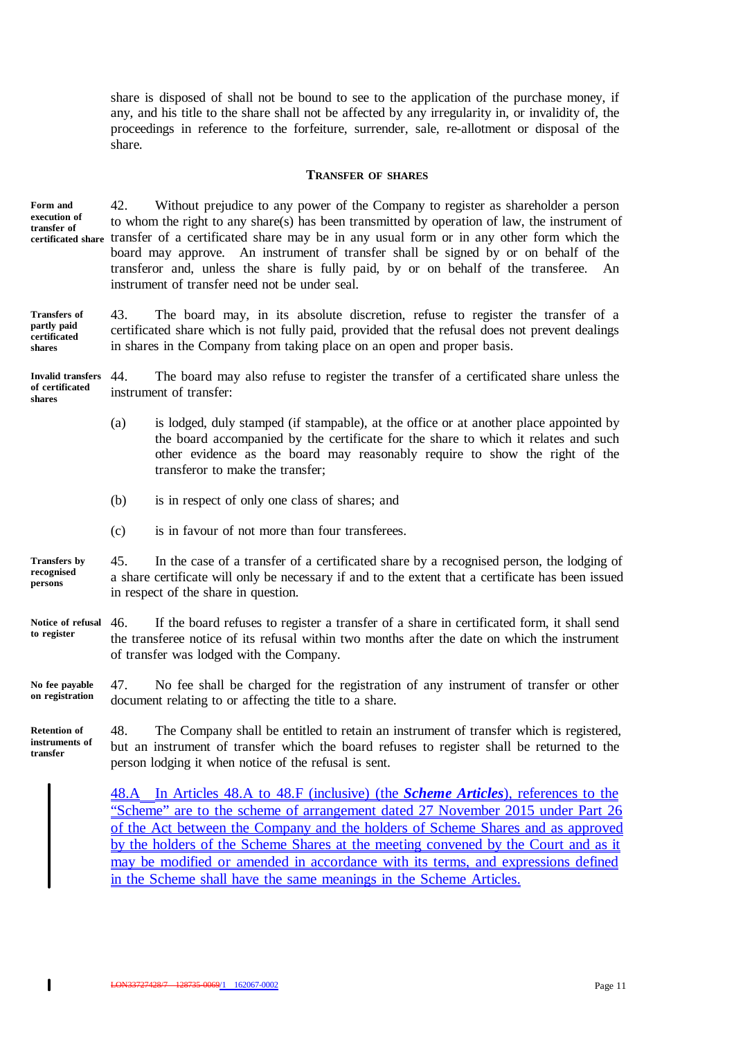share is disposed of shall not be bound to see to the application of the purchase money, if any, and his title to the share shall not be affected by any irregularity in, or invalidity of, the proceedings in reference to the forfeiture, surrender, sale, re-allotment or disposal of the share.

#### **TRANSFER OF SHARES**

**Form and execution of transfer of certificated share**

42. Without prejudice to any power of the Company to register as shareholder a person to whom the right to any share(s) has been transmitted by operation of law, the instrument of transfer of a certificated share may be in any usual form or in any other form which the board may approve. An instrument of transfer shall be signed by or on behalf of the transferor and, unless the share is fully paid, by or on behalf of the transferee. An instrument of transfer need not be under seal.

43. The board may, in its absolute discretion, refuse to register the transfer of a certificated share which is not fully paid, provided that the refusal does not prevent dealings in shares in the Company from taking place on an open and proper basis. **Transfers of partly paid certificated shares**

44. The board may also refuse to register the transfer of a certificated share unless the instrument of transfer: **Invalid transfers of certificated shares**

- (a) is lodged, duly stamped (if stampable), at the office or at another place appointed by the board accompanied by the certificate for the share to which it relates and such other evidence as the board may reasonably require to show the right of the transferor to make the transfer;
- (b) is in respect of only one class of shares; and
- (c) is in favour of not more than four transferees.

45. In the case of a transfer of a certificated share by a recognised person, the lodging of a share certificate will only be necessary if and to the extent that a certificate has been issued in respect of the share in question. **Transfers by recognised persons**

46. If the board refuses to register a transfer of a share in certificated form, it shall send the transferee notice of its refusal within two months after the date on which the instrument of transfer was lodged with the Company. **Notice of refusal to register**

47. No fee shall be charged for the registration of any instrument of transfer or other document relating to or affecting the title to a share. **No fee payable on registration**

48. The Company shall be entitled to retain an instrument of transfer which is registered, but an instrument of transfer which the board refuses to register shall be returned to the person lodging it when notice of the refusal is sent. **Retention of instruments of transfer**

> 48.A In Articles 48.A to 48.F (inclusive) (the *Scheme Articles*), references to the "Scheme" are to the scheme of arrangement dated 27 November 2015 under Part 26 of the Act between the Company and the holders of Scheme Shares and as approved by the holders of the Scheme Shares at the meeting convened by the Court and as it may be modified or amended in accordance with its terms, and expressions defined in the Scheme shall have the same meanings in the Scheme Articles.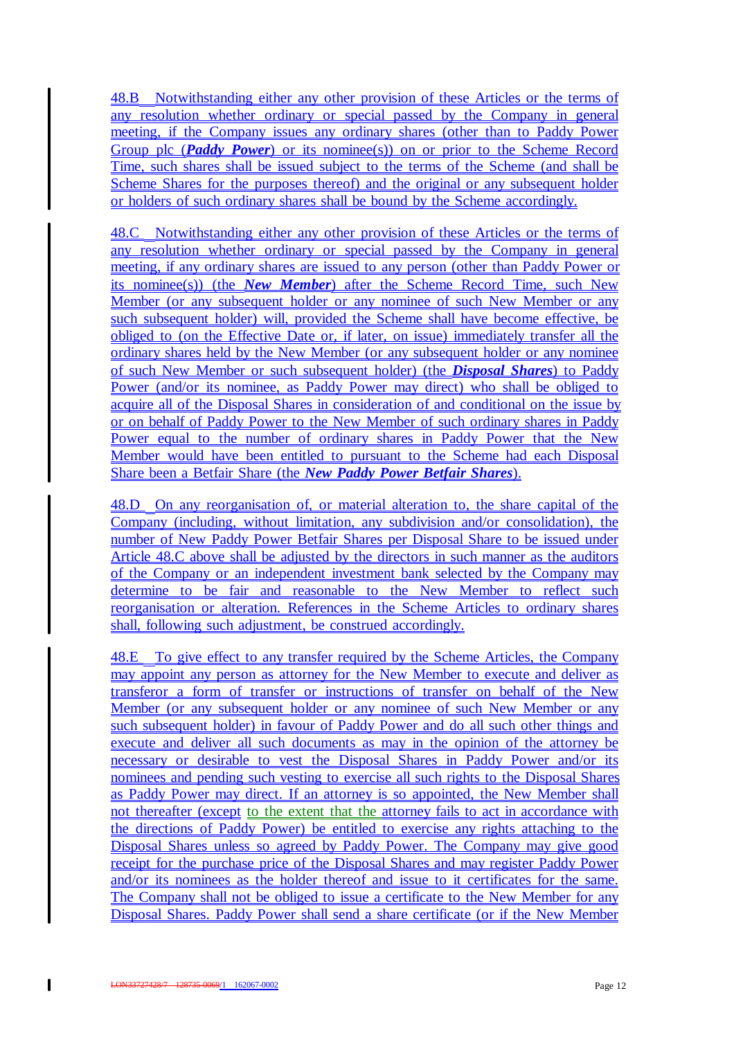48.B Notwithstanding either any other provision of these Articles or the terms of any resolution whether ordinary or special passed by the Company in general meeting, if the Company issues any ordinary shares (other than to Paddy Power Group plc (*Paddy Power*) or its nominee(s)) on or prior to the Scheme Record Time, such shares shall be issued subject to the terms of the Scheme (and shall be Scheme Shares for the purposes thereof) and the original or any subsequent holder or holders of such ordinary shares shall be bound by the Scheme accordingly.

48.C Notwithstanding either any other provision of these Articles or the terms of any resolution whether ordinary or special passed by the Company in general meeting, if any ordinary shares are issued to any person (other than Paddy Power or its nominee(s)) (the *New Member*) after the Scheme Record Time, such New Member (or any subsequent holder or any nominee of such New Member or any such subsequent holder) will, provided the Scheme shall have become effective, be obliged to (on the Effective Date or, if later, on issue) immediately transfer all the ordinary shares held by the New Member (or any subsequent holder or any nominee of such New Member or such subsequent holder) (the *Disposal Shares*) to Paddy Power (and/or its nominee, as Paddy Power may direct) who shall be obliged to acquire all of the Disposal Shares in consideration of and conditional on the issue by or on behalf of Paddy Power to the New Member of such ordinary shares in Paddy Power equal to the number of ordinary shares in Paddy Power that the New Member would have been entitled to pursuant to the Scheme had each Disposal Share been a Betfair Share (the *New Paddy Power Betfair Shares*).

48.D On any reorganisation of, or material alteration to, the share capital of the Company (including, without limitation, any subdivision and/or consolidation), the number of New Paddy Power Betfair Shares per Disposal Share to be issued under Article 48.C above shall be adjusted by the directors in such manner as the auditors of the Company or an independent investment bank selected by the Company may determine to be fair and reasonable to the New Member to reflect such reorganisation or alteration. References in the Scheme Articles to ordinary shares shall, following such adjustment, be construed accordingly.

48.E To give effect to any transfer required by the Scheme Articles, the Company may appoint any person as attorney for the New Member to execute and deliver as transferor a form of transfer or instructions of transfer on behalf of the New Member (or any subsequent holder or any nominee of such New Member or any such subsequent holder) in favour of Paddy Power and do all such other things and execute and deliver all such documents as may in the opinion of the attorney be necessary or desirable to vest the Disposal Shares in Paddy Power and/or its nominees and pending such vesting to exercise all such rights to the Disposal Shares as Paddy Power may direct. If an attorney is so appointed, the New Member shall not thereafter (except to the extent that the attorney fails to act in accordance with the directions of Paddy Power) be entitled to exercise any rights attaching to the Disposal Shares unless so agreed by Paddy Power. The Company may give good receipt for the purchase price of the Disposal Shares and may register Paddy Power and/or its nominees as the holder thereof and issue to it certificates for the same. The Company shall not be obliged to issue a certificate to the New Member for any Disposal Shares. Paddy Power shall send a share certificate (or if the New Member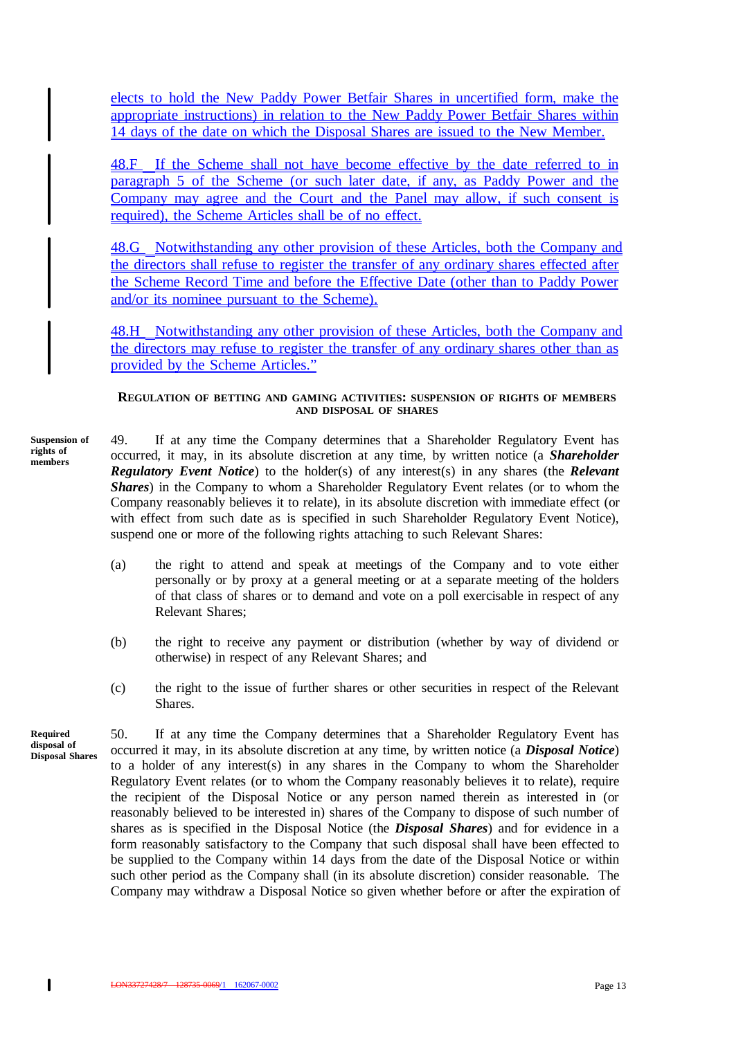elects to hold the New Paddy Power Betfair Shares in uncertified form, make the appropriate instructions) in relation to the New Paddy Power Betfair Shares within 14 days of the date on which the Disposal Shares are issued to the New Member.

48.F If the Scheme shall not have become effective by the date referred to in paragraph 5 of the Scheme (or such later date, if any, as Paddy Power and the Company may agree and the Court and the Panel may allow, if such consent is required), the Scheme Articles shall be of no effect.

48.G Notwithstanding any other provision of these Articles, both the Company and the directors shall refuse to register the transfer of any ordinary shares effected after the Scheme Record Time and before the Effective Date (other than to Paddy Power and/or its nominee pursuant to the Scheme).

48.H Notwithstanding any other provision of these Articles, both the Company and the directors may refuse to register the transfer of any ordinary shares other than as provided by the Scheme Articles."

#### **REGULATION OF BETTING AND GAMING ACTIVITIES: SUSPENSION OF RIGHTS OF MEMBERS AND DISPOSAL OF SHARES**

**Suspension of rights of members**

49. If at any time the Company determines that a Shareholder Regulatory Event has occurred, it may, in its absolute discretion at any time, by written notice (a *Shareholder Regulatory Event Notice*) to the holder(s) of any interest(s) in any shares (the *Relevant Shares*) in the Company to whom a Shareholder Regulatory Event relates (or to whom the Company reasonably believes it to relate), in its absolute discretion with immediate effect (or with effect from such date as is specified in such Shareholder Regulatory Event Notice), suspend one or more of the following rights attaching to such Relevant Shares:

- (a) the right to attend and speak at meetings of the Company and to vote either personally or by proxy at a general meeting or at a separate meeting of the holders of that class of shares or to demand and vote on a poll exercisable in respect of any Relevant Shares;
- (b) the right to receive any payment or distribution (whether by way of dividend or otherwise) in respect of any Relevant Shares; and
- (c) the right to the issue of further shares or other securities in respect of the Relevant Shares.

**Required disposal of Disposal Shares**

 $\mathbf{I}$ 

50. If at any time the Company determines that a Shareholder Regulatory Event has occurred it may, in its absolute discretion at any time, by written notice (a *Disposal Notice*) to a holder of any interest(s) in any shares in the Company to whom the Shareholder Regulatory Event relates (or to whom the Company reasonably believes it to relate), require the recipient of the Disposal Notice or any person named therein as interested in (or reasonably believed to be interested in) shares of the Company to dispose of such number of shares as is specified in the Disposal Notice (the *Disposal Shares*) and for evidence in a form reasonably satisfactory to the Company that such disposal shall have been effected to be supplied to the Company within 14 days from the date of the Disposal Notice or within such other period as the Company shall (in its absolute discretion) consider reasonable. The Company may withdraw a Disposal Notice so given whether before or after the expiration of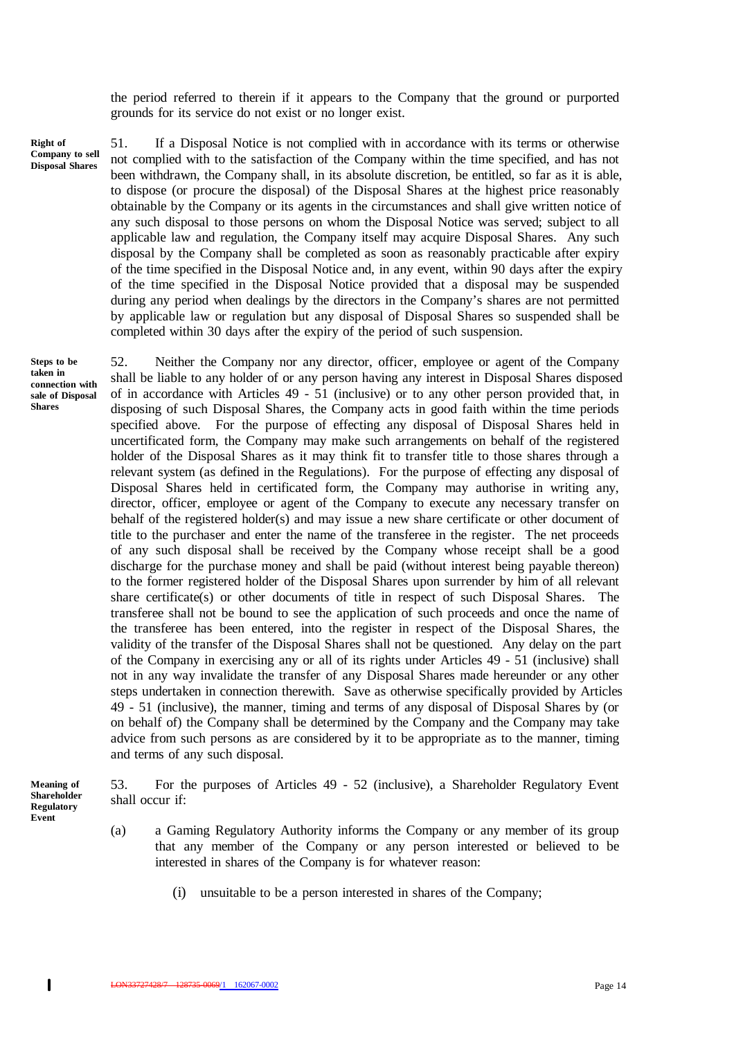the period referred to therein if it appears to the Company that the ground or purported grounds for its service do not exist or no longer exist.

**Right of Company to sell Disposal Shares**

51. If a Disposal Notice is not complied with in accordance with its terms or otherwise not complied with to the satisfaction of the Company within the time specified, and has not been withdrawn, the Company shall, in its absolute discretion, be entitled, so far as it is able, to dispose (or procure the disposal) of the Disposal Shares at the highest price reasonably obtainable by the Company or its agents in the circumstances and shall give written notice of any such disposal to those persons on whom the Disposal Notice was served; subject to all applicable law and regulation, the Company itself may acquire Disposal Shares. Any such disposal by the Company shall be completed as soon as reasonably practicable after expiry of the time specified in the Disposal Notice and, in any event, within 90 days after the expiry of the time specified in the Disposal Notice provided that a disposal may be suspended during any period when dealings by the directors in the Company's shares are not permitted by applicable law or regulation but any disposal of Disposal Shares so suspended shall be completed within 30 days after the expiry of the period of such suspension.

**Steps to be taken in connection with sale of Disposal Shares**

52. Neither the Company nor any director, officer, employee or agent of the Company shall be liable to any holder of or any person having any interest in Disposal Shares disposed of in accordance with Articles 49 - 51 (inclusive) or to any other person provided that, in disposing of such Disposal Shares, the Company acts in good faith within the time periods specified above. For the purpose of effecting any disposal of Disposal Shares held in uncertificated form, the Company may make such arrangements on behalf of the registered holder of the Disposal Shares as it may think fit to transfer title to those shares through a relevant system (as defined in the Regulations). For the purpose of effecting any disposal of Disposal Shares held in certificated form, the Company may authorise in writing any, director, officer, employee or agent of the Company to execute any necessary transfer on behalf of the registered holder(s) and may issue a new share certificate or other document of title to the purchaser and enter the name of the transferee in the register. The net proceeds of any such disposal shall be received by the Company whose receipt shall be a good discharge for the purchase money and shall be paid (without interest being payable thereon) to the former registered holder of the Disposal Shares upon surrender by him of all relevant share certificate(s) or other documents of title in respect of such Disposal Shares. The transferee shall not be bound to see the application of such proceeds and once the name of the transferee has been entered, into the register in respect of the Disposal Shares, the validity of the transfer of the Disposal Shares shall not be questioned. Any delay on the part of the Company in exercising any or all of its rights under Articles 49 - 51 (inclusive) shall not in any way invalidate the transfer of any Disposal Shares made hereunder or any other steps undertaken in connection therewith. Save as otherwise specifically provided by Articles 49 - 51 (inclusive), the manner, timing and terms of any disposal of Disposal Shares by (or on behalf of) the Company shall be determined by the Company and the Company may take advice from such persons as are considered by it to be appropriate as to the manner, timing and terms of any such disposal.

**Meaning of Shareholder Regulatory Event**

53. For the purposes of Articles 49 - 52 (inclusive), a Shareholder Regulatory Event shall occur if:

- (a) a Gaming Regulatory Authority informs the Company or any member of its group that any member of the Company or any person interested or believed to be interested in shares of the Company is for whatever reason:
	- (i) unsuitable to be a person interested in shares of the Company;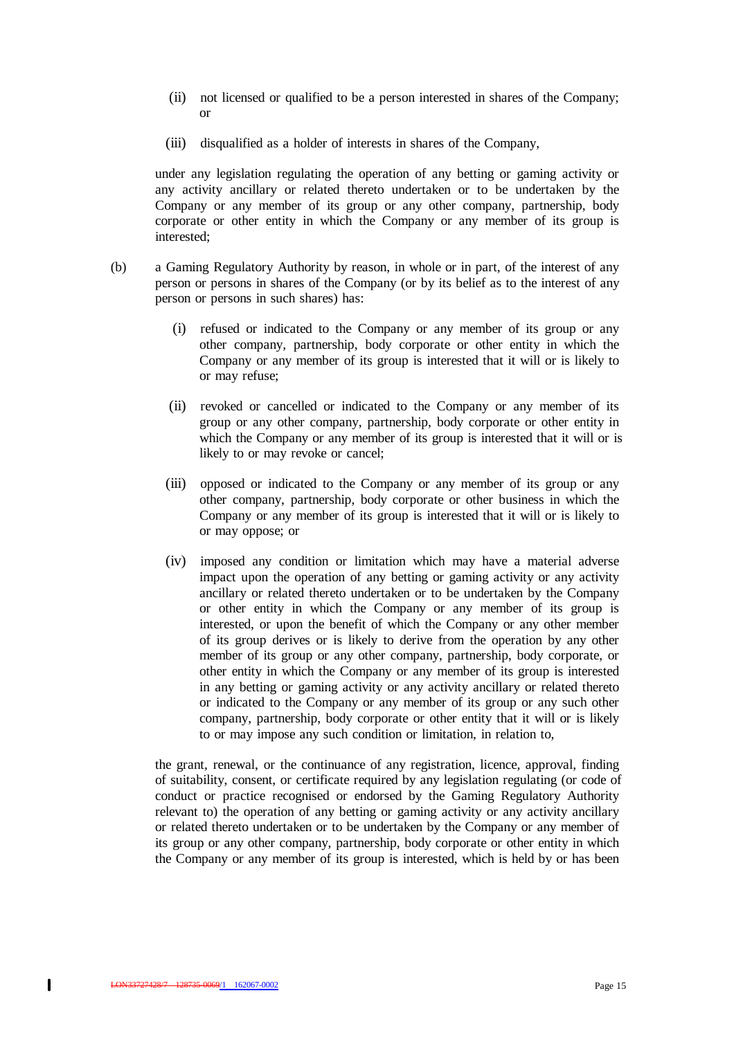- (ii) not licensed or qualified to be a person interested in shares of the Company; or
- (iii) disqualified as a holder of interests in shares of the Company,

under any legislation regulating the operation of any betting or gaming activity or any activity ancillary or related thereto undertaken or to be undertaken by the Company or any member of its group or any other company, partnership, body corporate or other entity in which the Company or any member of its group is interested;

- (b) a Gaming Regulatory Authority by reason, in whole or in part, of the interest of any person or persons in shares of the Company (or by its belief as to the interest of any person or persons in such shares) has:
	- (i) refused or indicated to the Company or any member of its group or any other company, partnership, body corporate or other entity in which the Company or any member of its group is interested that it will or is likely to or may refuse;
	- (ii) revoked or cancelled or indicated to the Company or any member of its group or any other company, partnership, body corporate or other entity in which the Company or any member of its group is interested that it will or is likely to or may revoke or cancel;
	- (iii) opposed or indicated to the Company or any member of its group or any other company, partnership, body corporate or other business in which the Company or any member of its group is interested that it will or is likely to or may oppose; or
	- (iv) imposed any condition or limitation which may have a material adverse impact upon the operation of any betting or gaming activity or any activity ancillary or related thereto undertaken or to be undertaken by the Company or other entity in which the Company or any member of its group is interested, or upon the benefit of which the Company or any other member of its group derives or is likely to derive from the operation by any other member of its group or any other company, partnership, body corporate, or other entity in which the Company or any member of its group is interested in any betting or gaming activity or any activity ancillary or related thereto or indicated to the Company or any member of its group or any such other company, partnership, body corporate or other entity that it will or is likely to or may impose any such condition or limitation, in relation to,

the grant, renewal, or the continuance of any registration, licence, approval, finding of suitability, consent, or certificate required by any legislation regulating (or code of conduct or practice recognised or endorsed by the Gaming Regulatory Authority relevant to) the operation of any betting or gaming activity or any activity ancillary or related thereto undertaken or to be undertaken by the Company or any member of its group or any other company, partnership, body corporate or other entity in which the Company or any member of its group is interested, which is held by or has been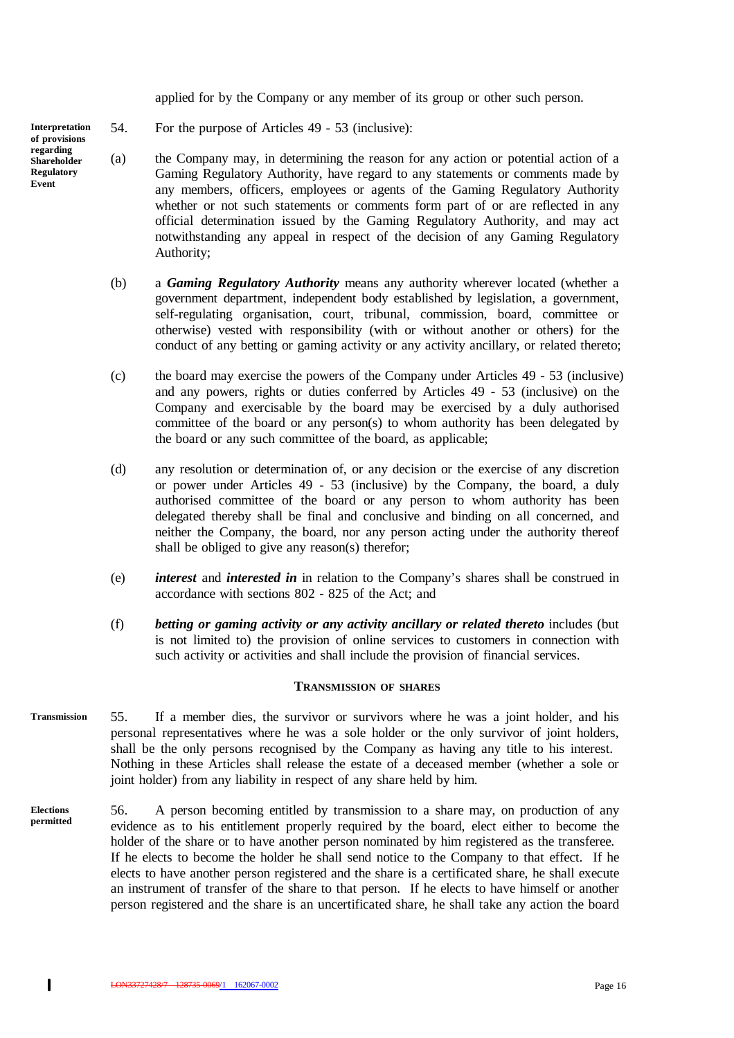applied for by the Company or any member of its group or other such person.

54. For the purpose of Articles 49 - 53 (inclusive):

- (a) the Company may, in determining the reason for any action or potential action of a Gaming Regulatory Authority, have regard to any statements or comments made by any members, officers, employees or agents of the Gaming Regulatory Authority whether or not such statements or comments form part of or are reflected in any official determination issued by the Gaming Regulatory Authority, and may act notwithstanding any appeal in respect of the decision of any Gaming Regulatory Authority;
- (b) a *Gaming Regulatory Authority* means any authority wherever located (whether a government department, independent body established by legislation, a government, self-regulating organisation, court, tribunal, commission, board, committee or otherwise) vested with responsibility (with or without another or others) for the conduct of any betting or gaming activity or any activity ancillary, or related thereto;
- (c) the board may exercise the powers of the Company under Articles 49 53 (inclusive) and any powers, rights or duties conferred by Articles 49 - 53 (inclusive) on the Company and exercisable by the board may be exercised by a duly authorised committee of the board or any person(s) to whom authority has been delegated by the board or any such committee of the board, as applicable;
- (d) any resolution or determination of, or any decision or the exercise of any discretion or power under Articles 49 - 53 (inclusive) by the Company, the board, a duly authorised committee of the board or any person to whom authority has been delegated thereby shall be final and conclusive and binding on all concerned, and neither the Company, the board, nor any person acting under the authority thereof shall be obliged to give any reason(s) therefor;
- (e) *interest* and *interested in* in relation to the Company's shares shall be construed in accordance with sections 802 - 825 of the Act; and
- (f) *betting or gaming activity or any activity ancillary or related thereto* includes (but is not limited to) the provision of online services to customers in connection with such activity or activities and shall include the provision of financial services.

#### **TRANSMISSION OF SHARES**

- 55. If a member dies, the survivor or survivors where he was a joint holder, and his personal representatives where he was a sole holder or the only survivor of joint holders, shall be the only persons recognised by the Company as having any title to his interest. Nothing in these Articles shall release the estate of a deceased member (whether a sole or joint holder) from any liability in respect of any share held by him. **Transmission**
- 56. A person becoming entitled by transmission to a share may, on production of any evidence as to his entitlement properly required by the board, elect either to become the holder of the share or to have another person nominated by him registered as the transferee. If he elects to become the holder he shall send notice to the Company to that effect. If he elects to have another person registered and the share is a certificated share, he shall execute an instrument of transfer of the share to that person. If he elects to have himself or another person registered and the share is an uncertificated share, he shall take any action the board **Elections permitted**

**Interpretation of provisions regarding Shareholder Regulatory Event**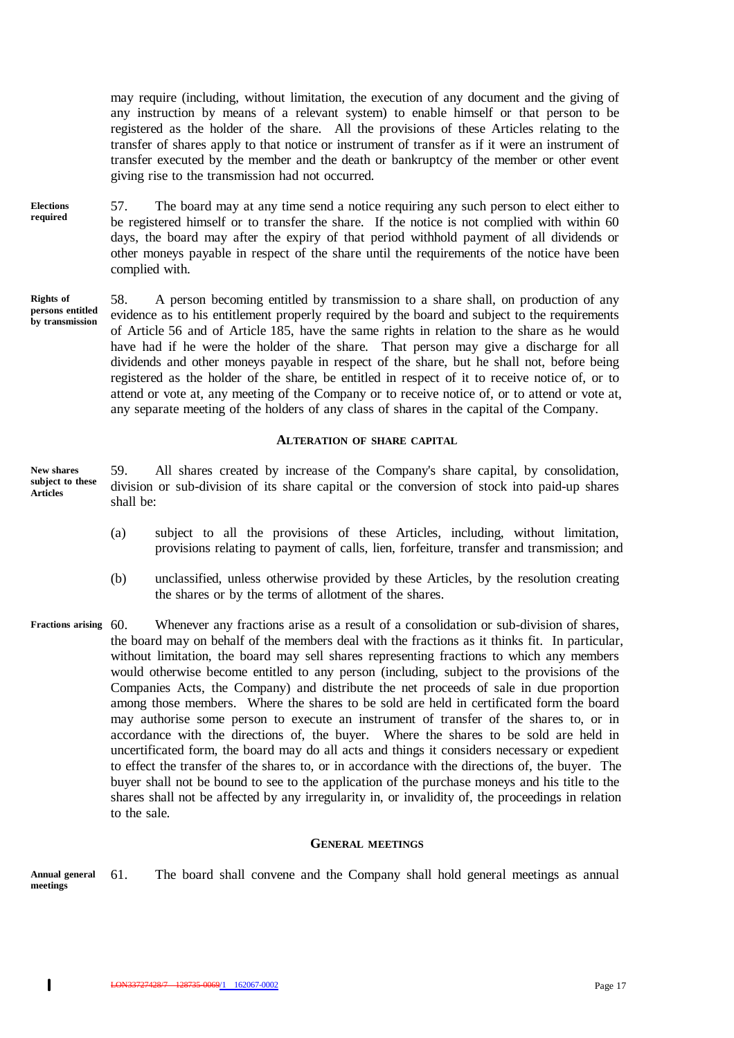may require (including, without limitation, the execution of any document and the giving of any instruction by means of a relevant system) to enable himself or that person to be registered as the holder of the share. All the provisions of these Articles relating to the transfer of shares apply to that notice or instrument of transfer as if it were an instrument of transfer executed by the member and the death or bankruptcy of the member or other event giving rise to the transmission had not occurred.

- 57. The board may at any time send a notice requiring any such person to elect either to be registered himself or to transfer the share. If the notice is not complied with within 60 days, the board may after the expiry of that period withhold payment of all dividends or other moneys payable in respect of the share until the requirements of the notice have been complied with. **Elections required**
- 58. A person becoming entitled by transmission to a share shall, on production of any evidence as to his entitlement properly required by the board and subject to the requirements of Article 56 and of Article 185, have the same rights in relation to the share as he would have had if he were the holder of the share. That person may give a discharge for all dividends and other moneys payable in respect of the share, but he shall not, before being registered as the holder of the share, be entitled in respect of it to receive notice of, or to attend or vote at, any meeting of the Company or to receive notice of, or to attend or vote at, any separate meeting of the holders of any class of shares in the capital of the Company. **Rights of persons entitled by transmission**

## **ALTERATION OF SHARE CAPITAL**

- 59. All shares created by increase of the Company's share capital, by consolidation, division or sub-division of its share capital or the conversion of stock into paid-up shares shall be: **New shares subject to these Articles**
	- (a) subject to all the provisions of these Articles, including, without limitation, provisions relating to payment of calls, lien, forfeiture, transfer and transmission; and
	- (b) unclassified, unless otherwise provided by these Articles, by the resolution creating the shares or by the terms of allotment of the shares.
- Whenever any fractions arise as a result of a consolidation or sub-division of shares, the board may on behalf of the members deal with the fractions as it thinks fit. In particular, without limitation, the board may sell shares representing fractions to which any members would otherwise become entitled to any person (including, subject to the provisions of the Companies Acts, the Company) and distribute the net proceeds of sale in due proportion among those members. Where the shares to be sold are held in certificated form the board may authorise some person to execute an instrument of transfer of the shares to, or in accordance with the directions of, the buyer. Where the shares to be sold are held in uncertificated form, the board may do all acts and things it considers necessary or expedient to effect the transfer of the shares to, or in accordance with the directions of, the buyer. The buyer shall not be bound to see to the application of the purchase moneys and his title to the shares shall not be affected by any irregularity in, or invalidity of, the proceedings in relation to the sale. **Fractions arising**

#### **GENERAL MEETINGS**

61. The board shall convene and the Company shall hold general meetings as annual **Annual general meetings**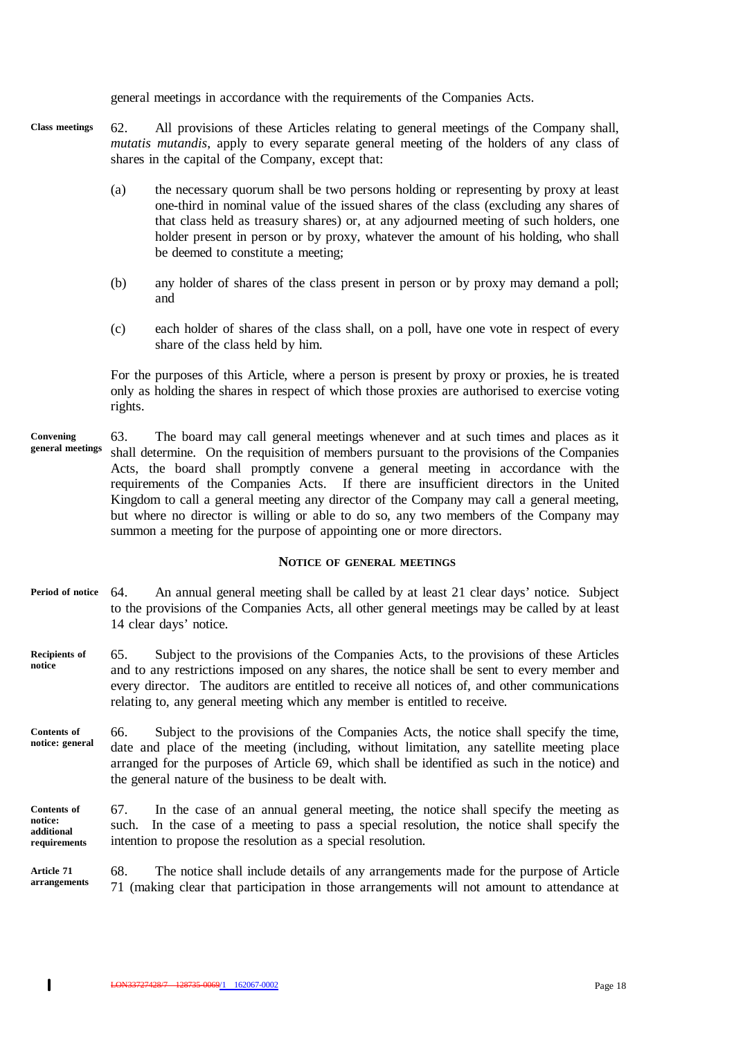general meetings in accordance with the requirements of the Companies Acts.

- 62. All provisions of these Articles relating to general meetings of the Company shall, *mutatis mutandis*, apply to every separate general meeting of the holders of any class of shares in the capital of the Company, except that: **Class meetings**
	- (a) the necessary quorum shall be two persons holding or representing by proxy at least one-third in nominal value of the issued shares of the class (excluding any shares of that class held as treasury shares) or, at any adjourned meeting of such holders, one holder present in person or by proxy, whatever the amount of his holding, who shall be deemed to constitute a meeting;
	- (b) any holder of shares of the class present in person or by proxy may demand a poll; and
	- (c) each holder of shares of the class shall, on a poll, have one vote in respect of every share of the class held by him.

For the purposes of this Article, where a person is present by proxy or proxies, he is treated only as holding the shares in respect of which those proxies are authorised to exercise voting rights.

63. The board may call general meetings whenever and at such times and places as it shall determine. On the requisition of members pursuant to the provisions of the Companies Acts, the board shall promptly convene a general meeting in accordance with the requirements of the Companies Acts. If there are insufficient directors in the United Kingdom to call a general meeting any director of the Company may call a general meeting, but where no director is willing or able to do so, any two members of the Company may summon a meeting for the purpose of appointing one or more directors. **Convening general meetings**

#### **NOTICE OF GENERAL MEETINGS**

- 64. An annual general meeting shall be called by at least 21 clear days' notice. Subject to the provisions of the Companies Acts, all other general meetings may be called by at least 14 clear days' notice. **Period of notice**
- 65. Subject to the provisions of the Companies Acts, to the provisions of these Articles and to any restrictions imposed on any shares, the notice shall be sent to every member and every director. The auditors are entitled to receive all notices of, and other communications relating to, any general meeting which any member is entitled to receive. **Recipients of notice**
- 66. Subject to the provisions of the Companies Acts, the notice shall specify the time, date and place of the meeting (including, without limitation, any satellite meeting place arranged for the purposes of Article 69, which shall be identified as such in the notice) and the general nature of the business to be dealt with. **Contents of notice: general**
- 67. In the case of an annual general meeting, the notice shall specify the meeting as such. In the case of a meeting to pass a special resolution, the notice shall specify the intention to propose the resolution as a special resolution. **Contents of notice: additional requirements**
- 68. The notice shall include details of any arrangements made for the purpose of Article 71 (making clear that participation in those arrangements will not amount to attendance at **Article 71 arrangements**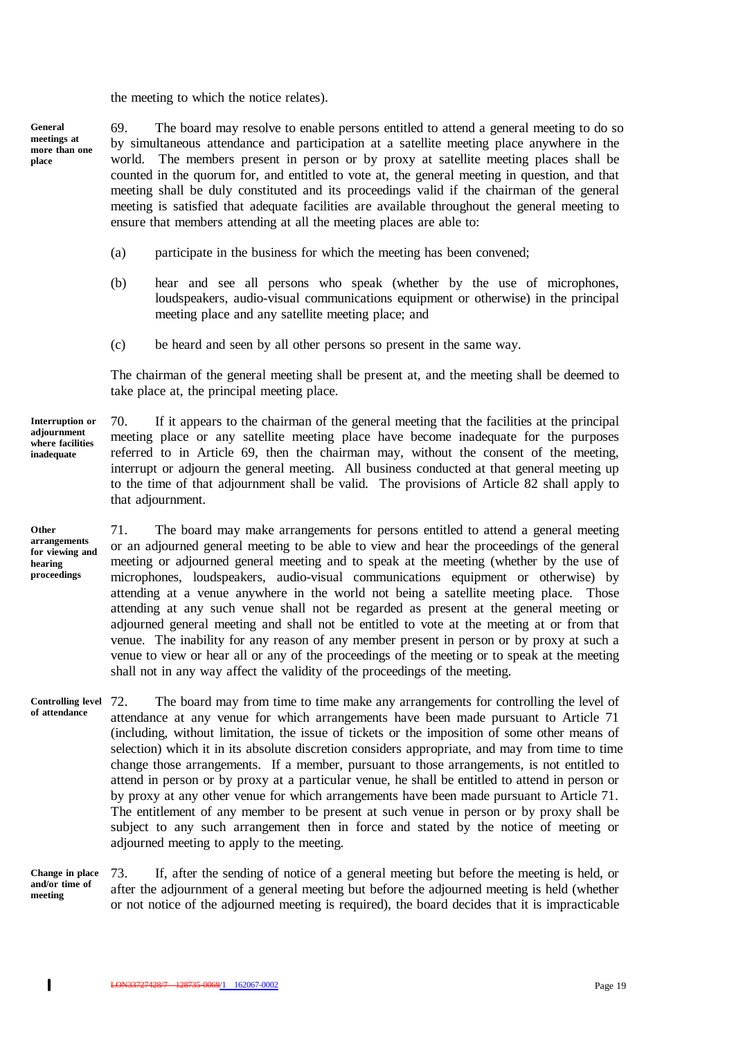the meeting to which the notice relates).

**General meetings at more than one place**

69. The board may resolve to enable persons entitled to attend a general meeting to do so by simultaneous attendance and participation at a satellite meeting place anywhere in the world. The members present in person or by proxy at satellite meeting places shall be counted in the quorum for, and entitled to vote at, the general meeting in question, and that meeting shall be duly constituted and its proceedings valid if the chairman of the general meeting is satisfied that adequate facilities are available throughout the general meeting to ensure that members attending at all the meeting places are able to:

- (a) participate in the business for which the meeting has been convened;
- (b) hear and see all persons who speak (whether by the use of microphones, loudspeakers, audio-visual communications equipment or otherwise) in the principal meeting place and any satellite meeting place; and
- (c) be heard and seen by all other persons so present in the same way.

The chairman of the general meeting shall be present at, and the meeting shall be deemed to take place at, the principal meeting place.

70. If it appears to the chairman of the general meeting that the facilities at the principal meeting place or any satellite meeting place have become inadequate for the purposes referred to in Article 69, then the chairman may, without the consent of the meeting, interrupt or adjourn the general meeting. All business conducted at that general meeting up to the time of that adjournment shall be valid. The provisions of Article 82 shall apply to

**Interruption or adjournment where facilities inadequate**

**Other arrangements for viewing and hearing proceedings**

that adjournment.

71. The board may make arrangements for persons entitled to attend a general meeting or an adjourned general meeting to be able to view and hear the proceedings of the general meeting or adjourned general meeting and to speak at the meeting (whether by the use of microphones, loudspeakers, audio-visual communications equipment or otherwise) by attending at a venue anywhere in the world not being a satellite meeting place. Those attending at any such venue shall not be regarded as present at the general meeting or adjourned general meeting and shall not be entitled to vote at the meeting at or from that venue. The inability for any reason of any member present in person or by proxy at such a venue to view or hear all or any of the proceedings of the meeting or to speak at the meeting shall not in any way affect the validity of the proceedings of the meeting.

The board may from time to time make any arrangements for controlling the level of attendance at any venue for which arrangements have been made pursuant to Article 71 (including, without limitation, the issue of tickets or the imposition of some other means of selection) which it in its absolute discretion considers appropriate, and may from time to time change those arrangements. If a member, pursuant to those arrangements, is not entitled to attend in person or by proxy at a particular venue, he shall be entitled to attend in person or by proxy at any other venue for which arrangements have been made pursuant to Article 71. The entitlement of any member to be present at such venue in person or by proxy shall be subject to any such arrangement then in force and stated by the notice of meeting or adjourned meeting to apply to the meeting. Controlling level 72. **of attendance**

**Change in place and/or time of meeting**

73. If, after the sending of notice of a general meeting but before the meeting is held, or after the adjournment of a general meeting but before the adjourned meeting is held (whether or not notice of the adjourned meeting is required), the board decides that it is impracticable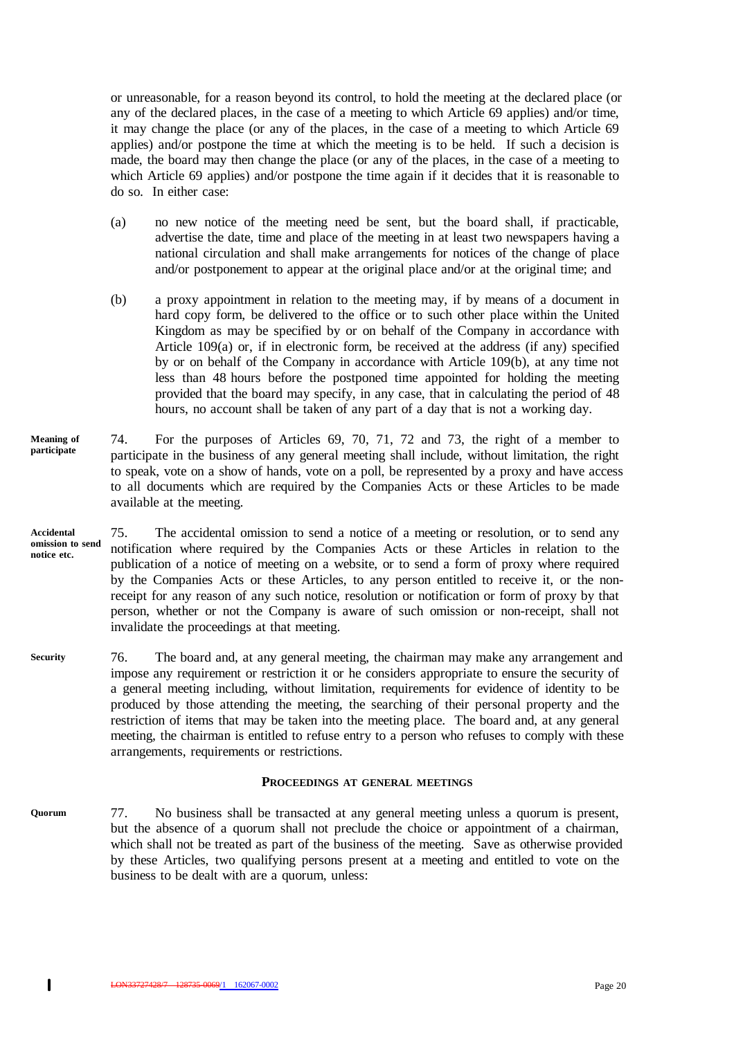or unreasonable, for a reason beyond its control, to hold the meeting at the declared place (or any of the declared places, in the case of a meeting to which Article 69 applies) and/or time, it may change the place (or any of the places, in the case of a meeting to which Article 69 applies) and/or postpone the time at which the meeting is to be held. If such a decision is made, the board may then change the place (or any of the places, in the case of a meeting to which Article 69 applies) and/or postpone the time again if it decides that it is reasonable to do so. In either case:

- (a) no new notice of the meeting need be sent, but the board shall, if practicable, advertise the date, time and place of the meeting in at least two newspapers having a national circulation and shall make arrangements for notices of the change of place and/or postponement to appear at the original place and/or at the original time; and
- (b) a proxy appointment in relation to the meeting may, if by means of a document in hard copy form, be delivered to the office or to such other place within the United Kingdom as may be specified by or on behalf of the Company in accordance with Article  $109(a)$  or, if in electronic form, be received at the address (if any) specified by or on behalf of the Company in accordance with Article 109(b), at any time not less than 48 hours before the postponed time appointed for holding the meeting provided that the board may specify, in any case, that in calculating the period of 48 hours, no account shall be taken of any part of a day that is not a working day.
- 74. For the purposes of Articles 69, 70, 71, 72 and 73, the right of a member to participate in the business of any general meeting shall include, without limitation, the right to speak, vote on a show of hands, vote on a poll, be represented by a proxy and have access to all documents which are required by the Companies Acts or these Articles to be made available at the meeting. **Meaning of participate**
- 75. The accidental omission to send a notice of a meeting or resolution, or to send any notification where required by the Companies Acts or these Articles in relation to the publication of a notice of meeting on a website, or to send a form of proxy where required by the Companies Acts or these Articles, to any person entitled to receive it, or the nonreceipt for any reason of any such notice, resolution or notification or form of proxy by that person, whether or not the Company is aware of such omission or non-receipt, shall not invalidate the proceedings at that meeting. **Accidental omission to send notice etc.**
- 76. The board and, at any general meeting, the chairman may make any arrangement and impose any requirement or restriction it or he considers appropriate to ensure the security of a general meeting including, without limitation, requirements for evidence of identity to be produced by those attending the meeting, the searching of their personal property and the restriction of items that may be taken into the meeting place. The board and, at any general meeting, the chairman is entitled to refuse entry to a person who refuses to comply with these arrangements, requirements or restrictions. **Security**

#### **PROCEEDINGS AT GENERAL MEETINGS**

77. No business shall be transacted at any general meeting unless a quorum is present, but the absence of a quorum shall not preclude the choice or appointment of a chairman, which shall not be treated as part of the business of the meeting. Save as otherwise provided by these Articles, two qualifying persons present at a meeting and entitled to vote on the business to be dealt with are a quorum, unless: **Quorum**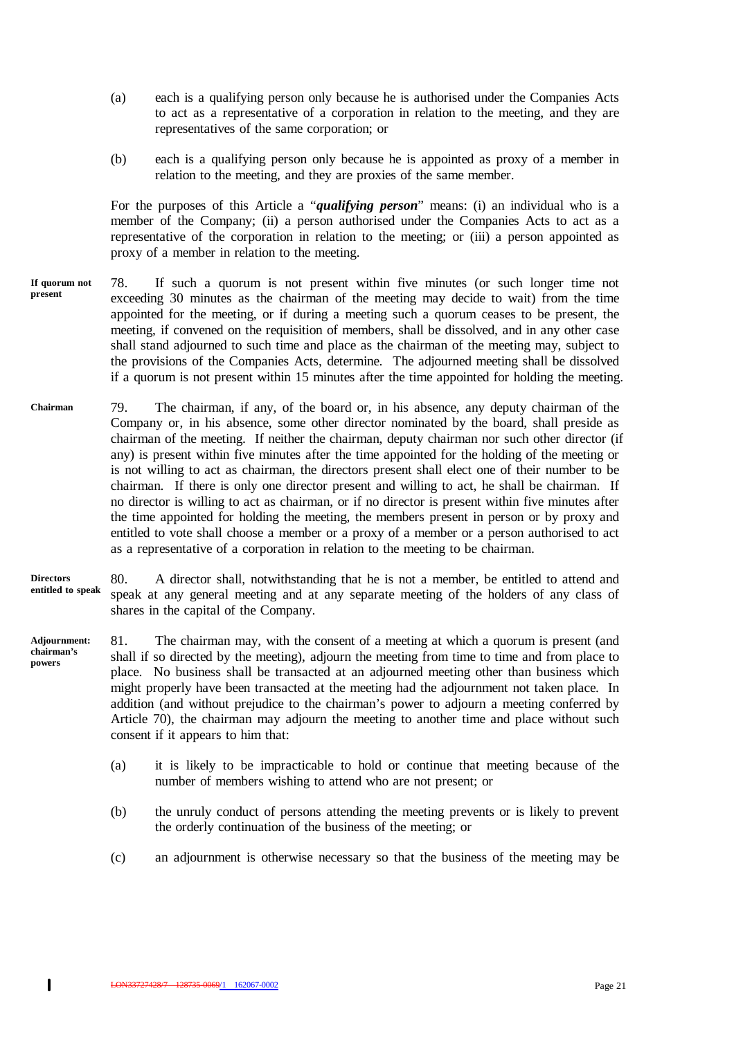- (a) each is a qualifying person only because he is authorised under the Companies Acts to act as a representative of a corporation in relation to the meeting, and they are representatives of the same corporation; or
- (b) each is a qualifying person only because he is appointed as proxy of a member in relation to the meeting, and they are proxies of the same member.

For the purposes of this Article a "*qualifying person*" means: (i) an individual who is a member of the Company; (ii) a person authorised under the Companies Acts to act as a representative of the corporation in relation to the meeting; or (iii) a person appointed as proxy of a member in relation to the meeting.

- 78. If such a quorum is not present within five minutes (or such longer time not exceeding 30 minutes as the chairman of the meeting may decide to wait) from the time appointed for the meeting, or if during a meeting such a quorum ceases to be present, the meeting, if convened on the requisition of members, shall be dissolved, and in any other case shall stand adjourned to such time and place as the chairman of the meeting may, subject to the provisions of the Companies Acts, determine. The adjourned meeting shall be dissolved if a quorum is not present within 15 minutes after the time appointed for holding the meeting. **If quorum not present**
- 79. The chairman, if any, of the board or, in his absence, any deputy chairman of the Company or, in his absence, some other director nominated by the board, shall preside as chairman of the meeting. If neither the chairman, deputy chairman nor such other director (if any) is present within five minutes after the time appointed for the holding of the meeting or is not willing to act as chairman, the directors present shall elect one of their number to be chairman. If there is only one director present and willing to act, he shall be chairman. If no director is willing to act as chairman, or if no director is present within five minutes after the time appointed for holding the meeting, the members present in person or by proxy and entitled to vote shall choose a member or a proxy of a member or a person authorised to act as a representative of a corporation in relation to the meeting to be chairman. **Chairman**
- 80. A director shall, notwithstanding that he is not a member, be entitled to attend and speak at any general meeting and at any separate meeting of the holders of any class of shares in the capital of the Company. **Directors entitled to speak**
- 81. The chairman may, with the consent of a meeting at which a quorum is present (and shall if so directed by the meeting), adjourn the meeting from time to time and from place to place. No business shall be transacted at an adjourned meeting other than business which might properly have been transacted at the meeting had the adjournment not taken place. In addition (and without prejudice to the chairman's power to adjourn a meeting conferred by Article 70), the chairman may adjourn the meeting to another time and place without such consent if it appears to him that: **Adjournment: chairman's powers**
	- (a) it is likely to be impracticable to hold or continue that meeting because of the number of members wishing to attend who are not present; or
	- (b) the unruly conduct of persons attending the meeting prevents or is likely to prevent the orderly continuation of the business of the meeting; or
	- (c) an adjournment is otherwise necessary so that the business of the meeting may be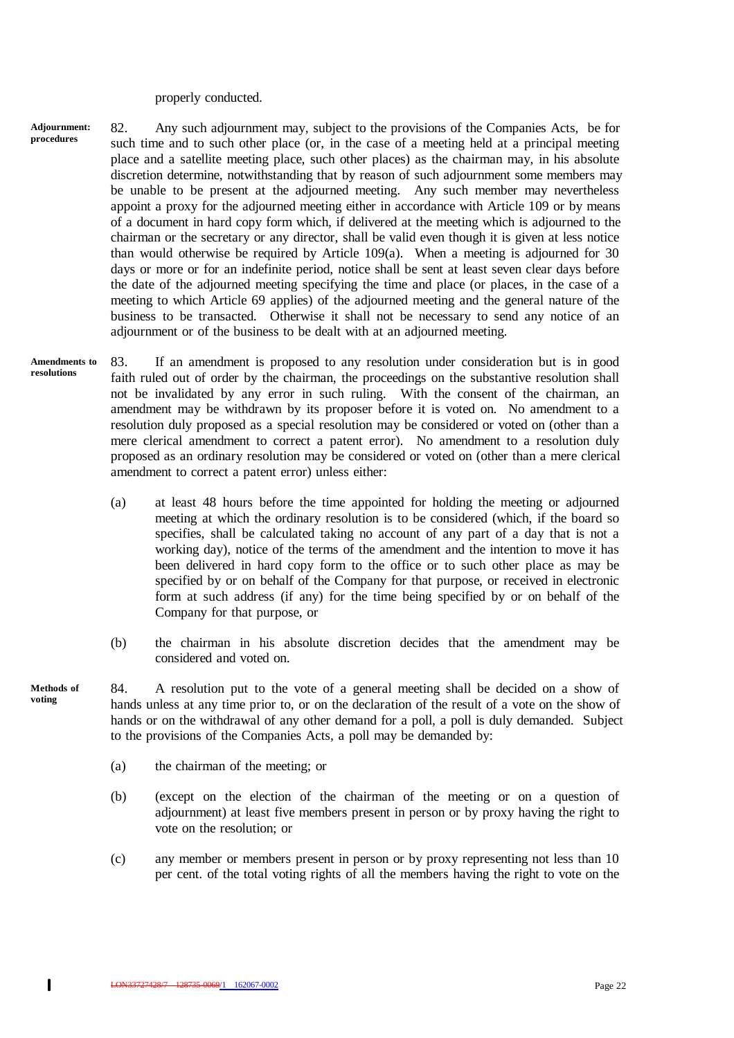properly conducted.

- 82. Any such adjournment may, subject to the provisions of the Companies Acts, be for such time and to such other place (or, in the case of a meeting held at a principal meeting place and a satellite meeting place, such other places) as the chairman may, in his absolute discretion determine, notwithstanding that by reason of such adjournment some members may be unable to be present at the adjourned meeting. Any such member may nevertheless appoint a proxy for the adjourned meeting either in accordance with Article 109 or by means of a document in hard copy form which, if delivered at the meeting which is adjourned to the chairman or the secretary or any director, shall be valid even though it is given at less notice than would otherwise be required by Article 109(a). When a meeting is adjourned for 30 days or more or for an indefinite period, notice shall be sent at least seven clear days before the date of the adjourned meeting specifying the time and place (or places, in the case of a meeting to which Article 69 applies) of the adjourned meeting and the general nature of the business to be transacted. Otherwise it shall not be necessary to send any notice of an adjournment or of the business to be dealt with at an adjourned meeting. **Adjournment: procedures**
- 83. If an amendment is proposed to any resolution under consideration but is in good faith ruled out of order by the chairman, the proceedings on the substantive resolution shall not be invalidated by any error in such ruling. With the consent of the chairman, an amendment may be withdrawn by its proposer before it is voted on. No amendment to a resolution duly proposed as a special resolution may be considered or voted on (other than a mere clerical amendment to correct a patent error). No amendment to a resolution duly proposed as an ordinary resolution may be considered or voted on (other than a mere clerical amendment to correct a patent error) unless either: **Amendments to resolutions**
	- (a) at least 48 hours before the time appointed for holding the meeting or adjourned meeting at which the ordinary resolution is to be considered (which, if the board so specifies, shall be calculated taking no account of any part of a day that is not a working day), notice of the terms of the amendment and the intention to move it has been delivered in hard copy form to the office or to such other place as may be specified by or on behalf of the Company for that purpose, or received in electronic form at such address (if any) for the time being specified by or on behalf of the Company for that purpose, or
	- (b) the chairman in his absolute discretion decides that the amendment may be considered and voted on.
- 84. A resolution put to the vote of a general meeting shall be decided on a show of hands unless at any time prior to, or on the declaration of the result of a vote on the show of hands or on the withdrawal of any other demand for a poll, a poll is duly demanded. Subject to the provisions of the Companies Acts, a poll may be demanded by: **Methods of**
	- (a) the chairman of the meeting; or
	- (b) (except on the election of the chairman of the meeting or on a question of adjournment) at least five members present in person or by proxy having the right to vote on the resolution; or
	- (c) any member or members present in person or by proxy representing not less than 10 per cent. of the total voting rights of all the members having the right to vote on the

**voting**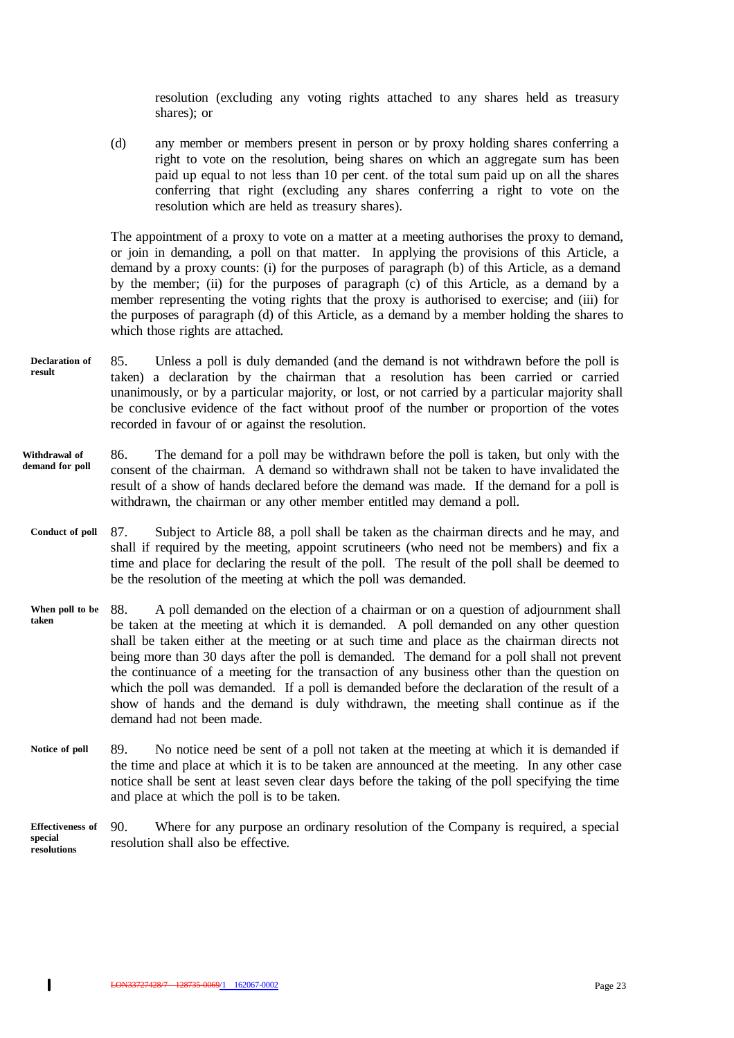resolution (excluding any voting rights attached to any shares held as treasury shares); or

(d) any member or members present in person or by proxy holding shares conferring a right to vote on the resolution, being shares on which an aggregate sum has been paid up equal to not less than 10 per cent. of the total sum paid up on all the shares conferring that right (excluding any shares conferring a right to vote on the resolution which are held as treasury shares).

The appointment of a proxy to vote on a matter at a meeting authorises the proxy to demand, or join in demanding, a poll on that matter. In applying the provisions of this Article, a demand by a proxy counts: (i) for the purposes of paragraph (b) of this Article, as a demand by the member; (ii) for the purposes of paragraph (c) of this Article, as a demand by a member representing the voting rights that the proxy is authorised to exercise; and (iii) for the purposes of paragraph (d) of this Article, as a demand by a member holding the shares to which those rights are attached.

- 85. Unless a poll is duly demanded (and the demand is not withdrawn before the poll is taken) a declaration by the chairman that a resolution has been carried or carried unanimously, or by a particular majority, or lost, or not carried by a particular majority shall be conclusive evidence of the fact without proof of the number or proportion of the votes recorded in favour of or against the resolution. **Declaration of result**
- 86. The demand for a poll may be withdrawn before the poll is taken, but only with the consent of the chairman. A demand so withdrawn shall not be taken to have invalidated the result of a show of hands declared before the demand was made. If the demand for a poll is withdrawn, the chairman or any other member entitled may demand a poll. **Withdrawal of demand for poll**
- 87. Subject to Article 88, a poll shall be taken as the chairman directs and he may, and shall if required by the meeting, appoint scrutineers (who need not be members) and fix a time and place for declaring the result of the poll. The result of the poll shall be deemed to be the resolution of the meeting at which the poll was demanded. **Conduct of poll**
- 88. A poll demanded on the election of a chairman or on a question of adjournment shall be taken at the meeting at which it is demanded. A poll demanded on any other question shall be taken either at the meeting or at such time and place as the chairman directs not being more than 30 days after the poll is demanded. The demand for a poll shall not prevent the continuance of a meeting for the transaction of any business other than the question on which the poll was demanded. If a poll is demanded before the declaration of the result of a show of hands and the demand is duly withdrawn, the meeting shall continue as if the demand had not been made. **When poll to be taken**
- 89. No notice need be sent of a poll not taken at the meeting at which it is demanded if the time and place at which it is to be taken are announced at the meeting. In any other case notice shall be sent at least seven clear days before the taking of the poll specifying the time and place at which the poll is to be taken. **Notice of poll**
- 90. Where for any purpose an ordinary resolution of the Company is required, a special resolution shall also be effective. **Effectiveness of special resolutions**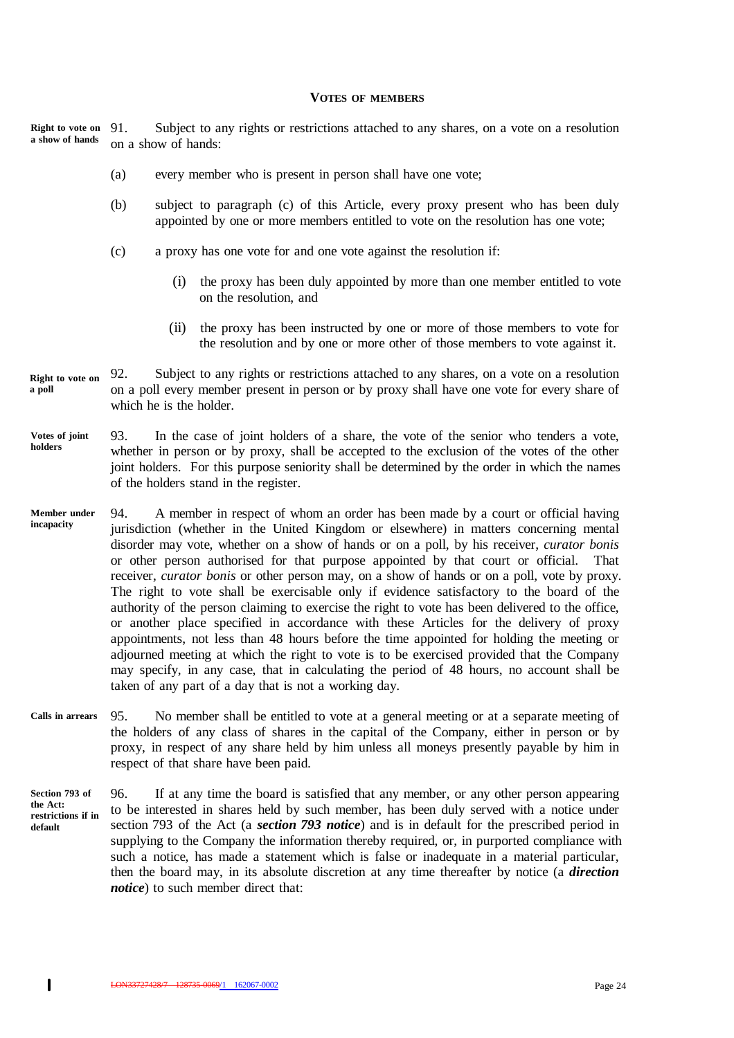#### **VOTES OF MEMBERS**

91. Subject to any rights or restrictions attached to any shares, on a vote on a resolution on a show of hands: **Right to vote on a show of hands**

- (a) every member who is present in person shall have one vote;
- (b) subject to paragraph (c) of this Article, every proxy present who has been duly appointed by one or more members entitled to vote on the resolution has one vote;
- (c) a proxy has one vote for and one vote against the resolution if:
	- (i) the proxy has been duly appointed by more than one member entitled to vote on the resolution, and
	- (ii) the proxy has been instructed by one or more of those members to vote for the resolution and by one or more other of those members to vote against it.
- 92. Subject to any rights or restrictions attached to any shares, on a vote on a resolution on a poll every member present in person or by proxy shall have one vote for every share of which he is the holder. **Right to vote on a poll**
- 93. In the case of joint holders of a share, the vote of the senior who tenders a vote, whether in person or by proxy, shall be accepted to the exclusion of the votes of the other joint holders. For this purpose seniority shall be determined by the order in which the names of the holders stand in the register. **Votes of joint holders**
- 94. A member in respect of whom an order has been made by a court or official having jurisdiction (whether in the United Kingdom or elsewhere) in matters concerning mental disorder may vote, whether on a show of hands or on a poll, by his receiver, *curator bonis* or other person authorised for that purpose appointed by that court or official. That receiver, *curator bonis* or other person may, on a show of hands or on a poll, vote by proxy. The right to vote shall be exercisable only if evidence satisfactory to the board of the authority of the person claiming to exercise the right to vote has been delivered to the office, or another place specified in accordance with these Articles for the delivery of proxy appointments, not less than 48 hours before the time appointed for holding the meeting or adjourned meeting at which the right to vote is to be exercised provided that the Company may specify, in any case, that in calculating the period of 48 hours, no account shall be taken of any part of a day that is not a working day. **Member under incapacity**
- 95. No member shall be entitled to vote at a general meeting or at a separate meeting of the holders of any class of shares in the capital of the Company, either in person or by proxy, in respect of any share held by him unless all moneys presently payable by him in respect of that share have been paid. **Calls in arrears**
- 96. If at any time the board is satisfied that any member, or any other person appearing to be interested in shares held by such member, has been duly served with a notice under section 793 of the Act (a *section 793 notice*) and is in default for the prescribed period in supplying to the Company the information thereby required, or, in purported compliance with such a notice, has made a statement which is false or inadequate in a material particular, then the board may, in its absolute discretion at any time thereafter by notice (a *direction notice*) to such member direct that: **Section 793 of the Act: restrictions if in default**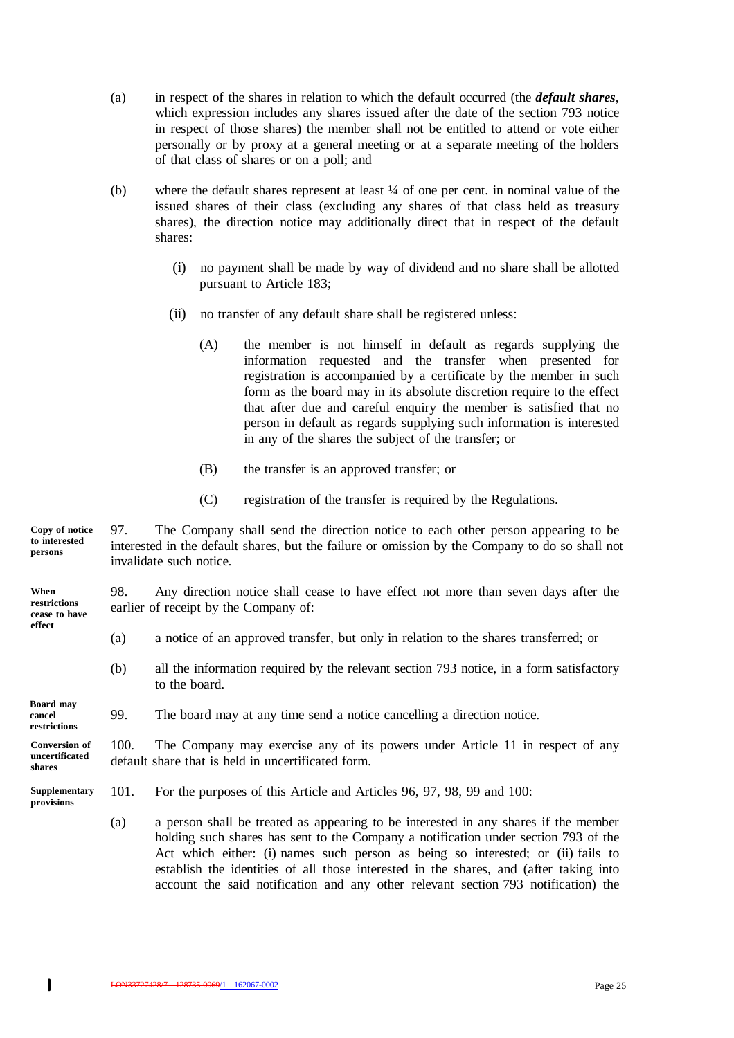- (a) in respect of the shares in relation to which the default occurred (the *default shares*, which expression includes any shares issued after the date of the section 793 notice in respect of those shares) the member shall not be entitled to attend or vote either personally or by proxy at a general meeting or at a separate meeting of the holders of that class of shares or on a poll; and
- (b) where the default shares represent at least ¼ of one per cent. in nominal value of the issued shares of their class (excluding any shares of that class held as treasury shares), the direction notice may additionally direct that in respect of the default shares:
	- (i) no payment shall be made by way of dividend and no share shall be allotted pursuant to Article 183;
	- (ii) no transfer of any default share shall be registered unless:
		- (A) the member is not himself in default as regards supplying the information requested and the transfer when presented for registration is accompanied by a certificate by the member in such form as the board may in its absolute discretion require to the effect that after due and careful enquiry the member is satisfied that no person in default as regards supplying such information is interested in any of the shares the subject of the transfer; or
		- (B) the transfer is an approved transfer; or
		- (C) registration of the transfer is required by the Regulations.

97. The Company shall send the direction notice to each other person appearing to be interested in the default shares, but the failure or omission by the Company to do so shall not invalidate such notice. **Copy of notice to interested persons**

98. Any direction notice shall cease to have effect not more than seven days after the earlier of receipt by the Company of: **When restrictions cease to have**

- (a) a notice of an approved transfer, but only in relation to the shares transferred; or
- (b) all the information required by the relevant section 793 notice, in a form satisfactory to the board.

#### 99. The board may at any time send a notice cancelling a direction notice. **cancel restrictions**

100. The Company may exercise any of its powers under Article 11 in respect of any default share that is held in uncertificated form. **Conversion of uncertificated shares**

**Supplementary provisions**

 $\mathbf{I}$ 

**Board may**

**effect**

- 101. For the purposes of this Article and Articles 96, 97, 98, 99 and 100:
	- (a) a person shall be treated as appearing to be interested in any shares if the member holding such shares has sent to the Company a notification under section 793 of the Act which either: (i) names such person as being so interested; or (ii) fails to establish the identities of all those interested in the shares, and (after taking into account the said notification and any other relevant section 793 notification) the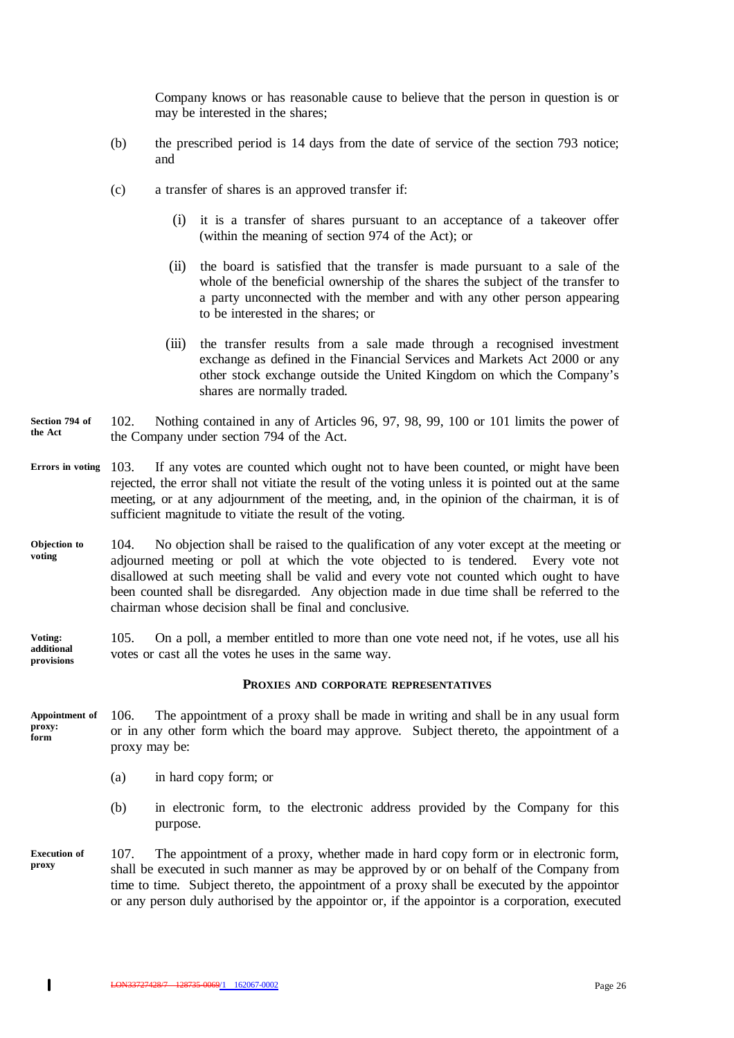Company knows or has reasonable cause to believe that the person in question is or may be interested in the shares;

- (b) the prescribed period is 14 days from the date of service of the section 793 notice; and
- (c) a transfer of shares is an approved transfer if:
	- (i) it is a transfer of shares pursuant to an acceptance of a takeover offer (within the meaning of section 974 of the Act); or
	- (ii) the board is satisfied that the transfer is made pursuant to a sale of the whole of the beneficial ownership of the shares the subject of the transfer to a party unconnected with the member and with any other person appearing to be interested in the shares; or
	- (iii) the transfer results from a sale made through a recognised investment exchange as defined in the Financial Services and Markets Act 2000 or any other stock exchange outside the United Kingdom on which the Company's shares are normally traded.
- 102. Nothing contained in any of Articles 96, 97, 98, 99, 100 or 101 limits the power of the Company under section 794 of the Act. **Section 794 of the Act**
- 103. If any votes are counted which ought not to have been counted, or might have been rejected, the error shall not vitiate the result of the voting unless it is pointed out at the same meeting, or at any adjournment of the meeting, and, in the opinion of the chairman, it is of sufficient magnitude to vitiate the result of the voting. **Errors in voting**
- 104. No objection shall be raised to the qualification of any voter except at the meeting or adjourned meeting or poll at which the vote objected to is tendered. Every vote not disallowed at such meeting shall be valid and every vote not counted which ought to have been counted shall be disregarded. Any objection made in due time shall be referred to the chairman whose decision shall be final and conclusive. **Objection to voting**

105. On a poll, a member entitled to more than one vote need not, if he votes, use all his votes or cast all the votes he uses in the same way. **Voting: additional provisions**

#### **PROXIES AND CORPORATE REPRESENTATIVES**

- 106. The appointment of a proxy shall be made in writing and shall be in any usual form or in any other form which the board may approve. Subject thereto, the appointment of a proxy may be: **Appointment of proxy: form**
	- (a) in hard copy form; or
	- (b) in electronic form, to the electronic address provided by the Company for this purpose.
- 107. The appointment of a proxy, whether made in hard copy form or in electronic form, shall be executed in such manner as may be approved by or on behalf of the Company from time to time. Subject thereto, the appointment of a proxy shall be executed by the appointor or any person duly authorised by the appointor or, if the appointor is a corporation, executed **Execution of proxy**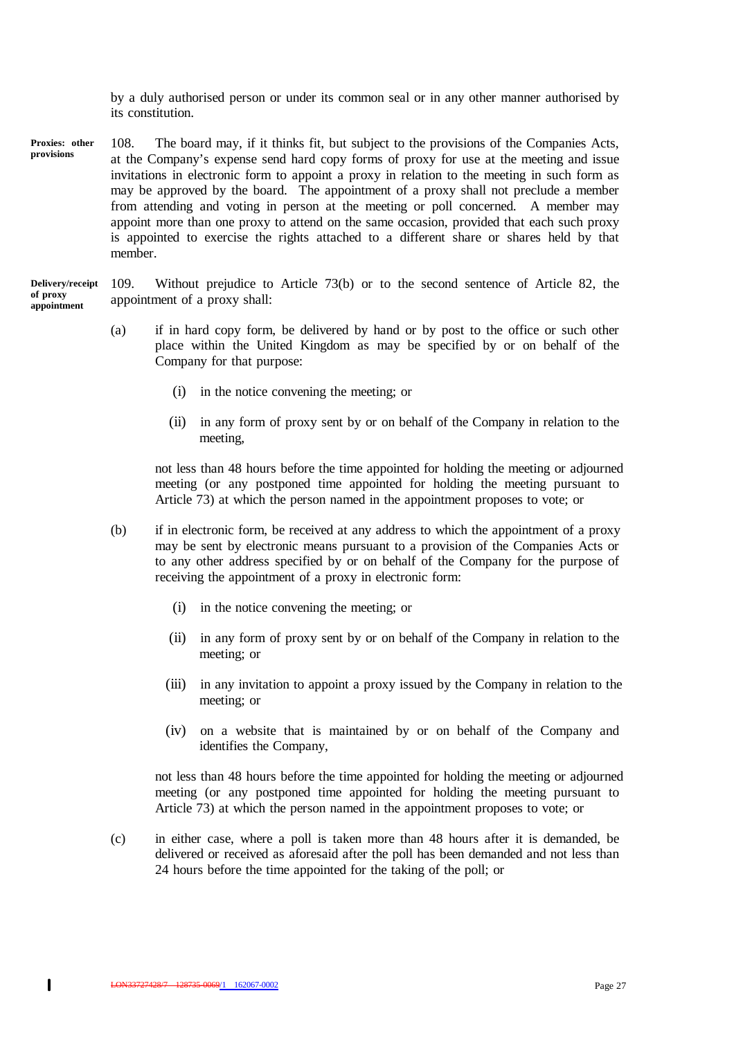by a duly authorised person or under its common seal or in any other manner authorised by its constitution.

108. The board may, if it thinks fit, but subject to the provisions of the Companies Acts, at the Company's expense send hard copy forms of proxy for use at the meeting and issue invitations in electronic form to appoint a proxy in relation to the meeting in such form as may be approved by the board. The appointment of a proxy shall not preclude a member from attending and voting in person at the meeting or poll concerned. A member may appoint more than one proxy to attend on the same occasion, provided that each such proxy is appointed to exercise the rights attached to a different share or shares held by that member. **Proxies: other provisions**

#### 109. Without prejudice to Article 73(b) or to the second sentence of Article 82, the appointment of a proxy shall: **Delivery/receipt of proxy appointment**

- (a) if in hard copy form, be delivered by hand or by post to the office or such other place within the United Kingdom as may be specified by or on behalf of the Company for that purpose:
	- (i) in the notice convening the meeting; or
	- (ii) in any form of proxy sent by or on behalf of the Company in relation to the meeting,

not less than 48 hours before the time appointed for holding the meeting or adjourned meeting (or any postponed time appointed for holding the meeting pursuant to Article 73) at which the person named in the appointment proposes to vote; or

- (b) if in electronic form, be received at any address to which the appointment of a proxy may be sent by electronic means pursuant to a provision of the Companies Acts or to any other address specified by or on behalf of the Company for the purpose of receiving the appointment of a proxy in electronic form:
	- (i) in the notice convening the meeting; or
	- (ii) in any form of proxy sent by or on behalf of the Company in relation to the meeting; or
	- (iii) in any invitation to appoint a proxy issued by the Company in relation to the meeting; or
	- (iv) on a website that is maintained by or on behalf of the Company and identifies the Company,

not less than 48 hours before the time appointed for holding the meeting or adjourned meeting (or any postponed time appointed for holding the meeting pursuant to Article 73) at which the person named in the appointment proposes to vote; or

(c) in either case, where a poll is taken more than 48 hours after it is demanded, be delivered or received as aforesaid after the poll has been demanded and not less than 24 hours before the time appointed for the taking of the poll; or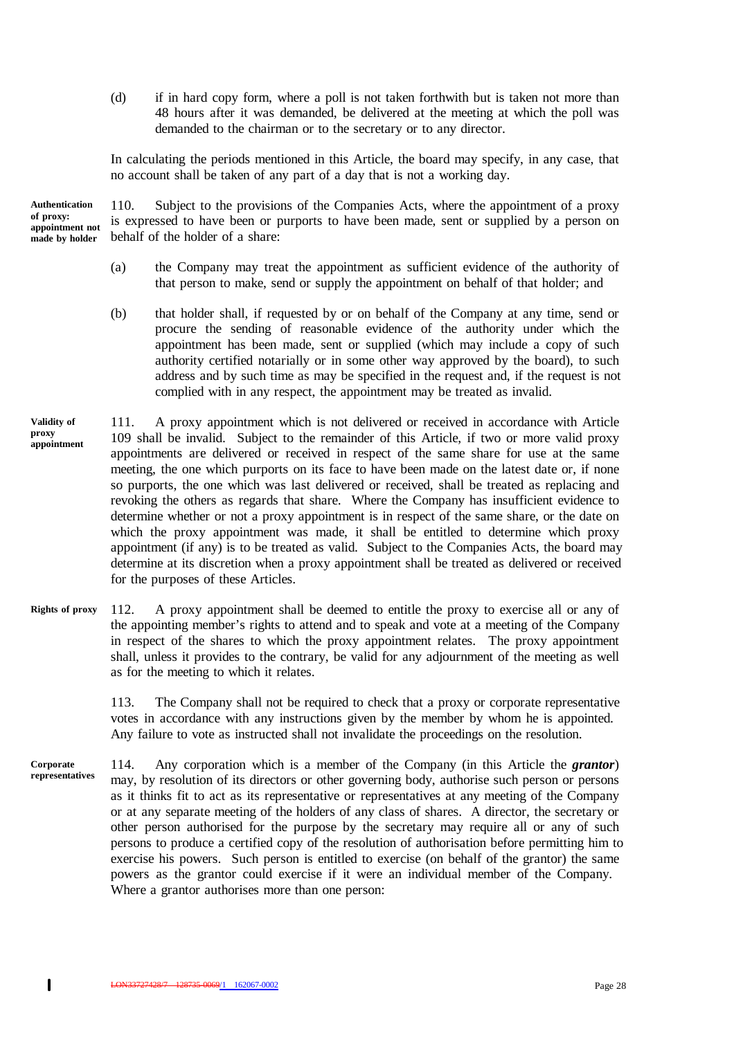(d) if in hard copy form, where a poll is not taken forthwith but is taken not more than 48 hours after it was demanded, be delivered at the meeting at which the poll was demanded to the chairman or to the secretary or to any director.

In calculating the periods mentioned in this Article, the board may specify, in any case, that no account shall be taken of any part of a day that is not a working day.

**Authentication of proxy: appointment not made by holder**

110. Subject to the provisions of the Companies Acts, where the appointment of a proxy is expressed to have been or purports to have been made, sent or supplied by a person on behalf of the holder of a share:

- (a) the Company may treat the appointment as sufficient evidence of the authority of that person to make, send or supply the appointment on behalf of that holder; and
- (b) that holder shall, if requested by or on behalf of the Company at any time, send or procure the sending of reasonable evidence of the authority under which the appointment has been made, sent or supplied (which may include a copy of such authority certified notarially or in some other way approved by the board), to such address and by such time as may be specified in the request and, if the request is not complied with in any respect, the appointment may be treated as invalid.
- 111. A proxy appointment which is not delivered or received in accordance with Article 109 shall be invalid. Subject to the remainder of this Article, if two or more valid proxy appointments are delivered or received in respect of the same share for use at the same meeting, the one which purports on its face to have been made on the latest date or, if none so purports, the one which was last delivered or received, shall be treated as replacing and revoking the others as regards that share. Where the Company has insufficient evidence to determine whether or not a proxy appointment is in respect of the same share, or the date on which the proxy appointment was made, it shall be entitled to determine which proxy appointment (if any) is to be treated as valid. Subject to the Companies Acts, the board may determine at its discretion when a proxy appointment shall be treated as delivered or received for the purposes of these Articles. **Validity of proxy appointment**
- 112. A proxy appointment shall be deemed to entitle the proxy to exercise all or any of the appointing member's rights to attend and to speak and vote at a meeting of the Company in respect of the shares to which the proxy appointment relates. The proxy appointment shall, unless it provides to the contrary, be valid for any adjournment of the meeting as well as for the meeting to which it relates. **Rights of proxy**

113. The Company shall not be required to check that a proxy or corporate representative votes in accordance with any instructions given by the member by whom he is appointed. Any failure to vote as instructed shall not invalidate the proceedings on the resolution.

114. Any corporation which is a member of the Company (in this Article the *grantor*) may, by resolution of its directors or other governing body, authorise such person or persons as it thinks fit to act as its representative or representatives at any meeting of the Company or at any separate meeting of the holders of any class of shares. A director, the secretary or other person authorised for the purpose by the secretary may require all or any of such persons to produce a certified copy of the resolution of authorisation before permitting him to exercise his powers. Such person is entitled to exercise (on behalf of the grantor) the same powers as the grantor could exercise if it were an individual member of the Company. Where a grantor authorises more than one person: **Corporate representatives**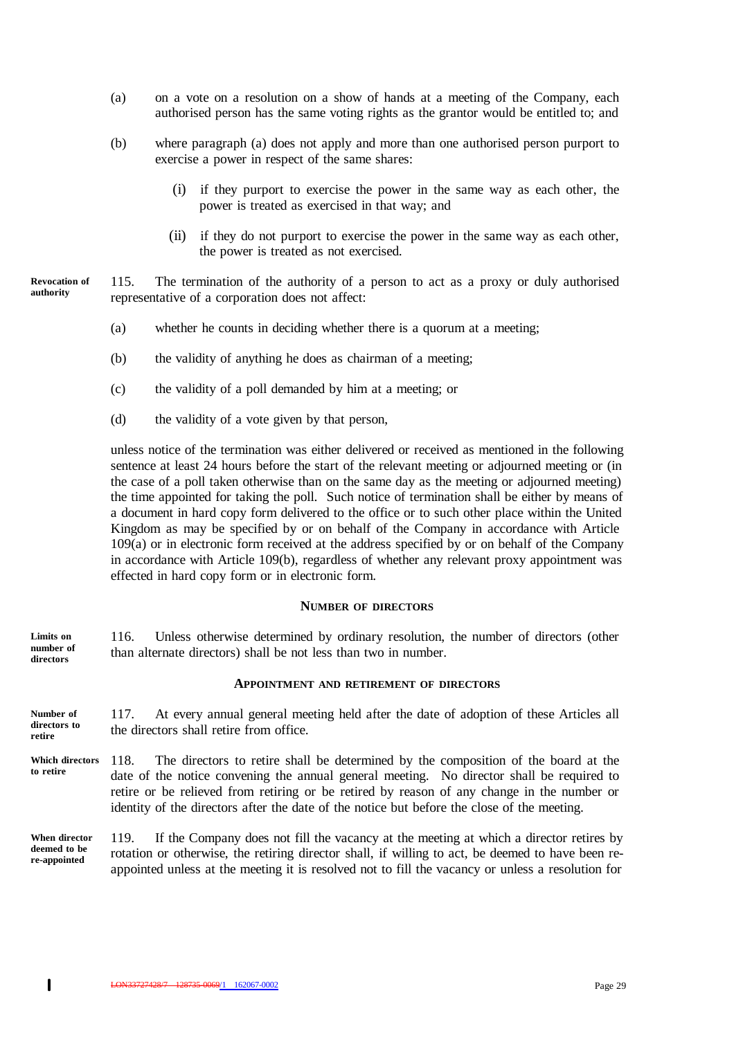- (a) on a vote on a resolution on a show of hands at a meeting of the Company, each authorised person has the same voting rights as the grantor would be entitled to; and
- (b) where paragraph (a) does not apply and more than one authorised person purport to exercise a power in respect of the same shares:
	- if they purport to exercise the power in the same way as each other, the power is treated as exercised in that way; and
	- (ii) if they do not purport to exercise the power in the same way as each other, the power is treated as not exercised.

115. The termination of the authority of a person to act as a proxy or duly authorised representative of a corporation does not affect: **Revocation of authority**

- (a) whether he counts in deciding whether there is a quorum at a meeting;
- (b) the validity of anything he does as chairman of a meeting;
- (c) the validity of a poll demanded by him at a meeting; or
- (d) the validity of a vote given by that person,

unless notice of the termination was either delivered or received as mentioned in the following sentence at least 24 hours before the start of the relevant meeting or adjourned meeting or (in the case of a poll taken otherwise than on the same day as the meeting or adjourned meeting) the time appointed for taking the poll. Such notice of termination shall be either by means of a document in hard copy form delivered to the office or to such other place within the United Kingdom as may be specified by or on behalf of the Company in accordance with Article 109(a) or in electronic form received at the address specified by or on behalf of the Company in accordance with Article 109(b), regardless of whether any relevant proxy appointment was effected in hard copy form or in electronic form.

#### **NUMBER OF DIRECTORS**

116. Unless otherwise determined by ordinary resolution, the number of directors (other than alternate directors) shall be not less than two in number. **Limits on number of directors**

## **APPOINTMENT AND RETIREMENT OF DIRECTORS**

117. At every annual general meeting held after the date of adoption of these Articles all the directors shall retire from office. **Number of directors to retire**

118. The directors to retire shall be determined by the composition of the board at the date of the notice convening the annual general meeting. No director shall be required to retire or be relieved from retiring or be retired by reason of any change in the number or identity of the directors after the date of the notice but before the close of the meeting. **Which directors to retire**

119. If the Company does not fill the vacancy at the meeting at which a director retires by rotation or otherwise, the retiring director shall, if willing to act, be deemed to have been reappointed unless at the meeting it is resolved not to fill the vacancy or unless a resolution for **When director deemed to be re-appointed**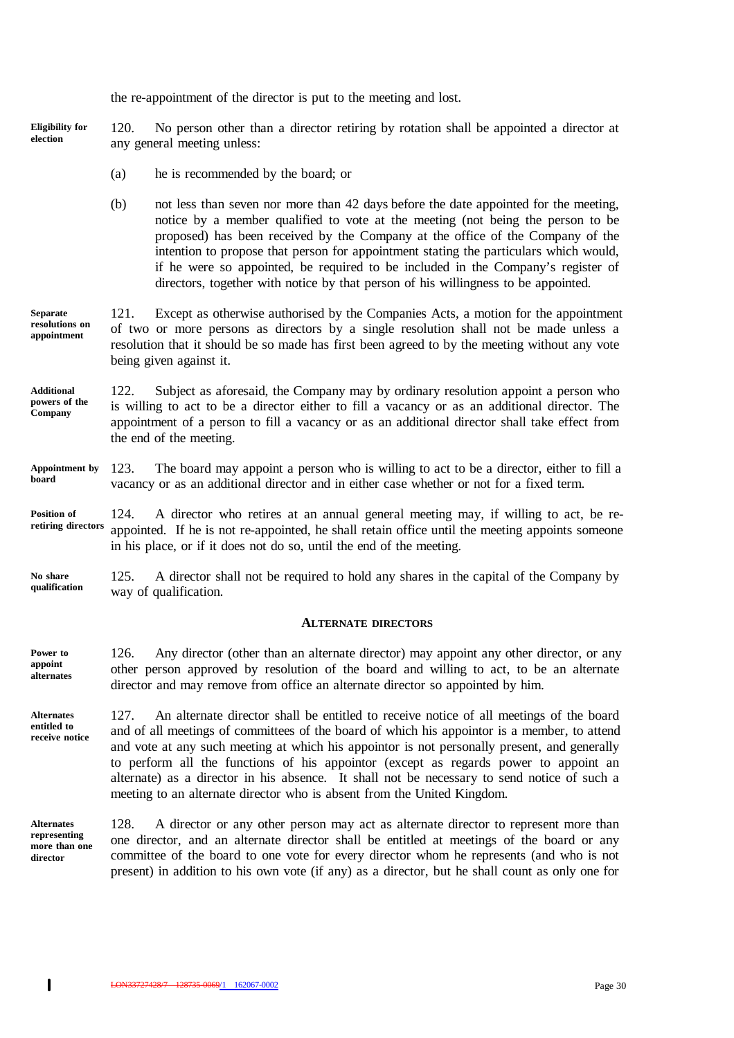the re-appointment of the director is put to the meeting and lost.

120. No person other than a director retiring by rotation shall be appointed a director at any general meeting unless: **Eligibility for election**

- (a) he is recommended by the board; or
- (b) not less than seven nor more than 42 days before the date appointed for the meeting, notice by a member qualified to vote at the meeting (not being the person to be proposed) has been received by the Company at the office of the Company of the intention to propose that person for appointment stating the particulars which would, if he were so appointed, be required to be included in the Company's register of directors, together with notice by that person of his willingness to be appointed.
- 121. Except as otherwise authorised by the Companies Acts, a motion for the appointment of two or more persons as directors by a single resolution shall not be made unless a resolution that it should be so made has first been agreed to by the meeting without any vote being given against it. **Separate resolutions on appointment**
- 122. Subject as aforesaid, the Company may by ordinary resolution appoint a person who is willing to act to be a director either to fill a vacancy or as an additional director. The appointment of a person to fill a vacancy or as an additional director shall take effect from the end of the meeting. **Additional powers of the Company**
- 123. The board may appoint a person who is willing to act to be a director, either to fill a vacancy or as an additional director and in either case whether or not for a fixed term. **Appointment by board**
- 124. A director who retires at an annual general meeting may, if willing to act, be reappointed. If he is not re-appointed, he shall retain office until the meeting appoints someone in his place, or if it does not do so, until the end of the meeting. **Position of retiring directors**
- 125. A director shall not be required to hold any shares in the capital of the Company by way of qualification. **No share qualification**

#### **ALTERNATE DIRECTORS**

126. Any director (other than an alternate director) may appoint any other director, or any other person approved by resolution of the board and willing to act, to be an alternate director and may remove from office an alternate director so appointed by him. **Power to appoint alternates**

- 127. An alternate director shall be entitled to receive notice of all meetings of the board and of all meetings of committees of the board of which his appointor is a member, to attend and vote at any such meeting at which his appointor is not personally present, and generally to perform all the functions of his appointor (except as regards power to appoint an alternate) as a director in his absence. It shall not be necessary to send notice of such a meeting to an alternate director who is absent from the United Kingdom. **Alternates entitled to receive notice**
- 128. A director or any other person may act as alternate director to represent more than one director, and an alternate director shall be entitled at meetings of the board or any committee of the board to one vote for every director whom he represents (and who is not present) in addition to his own vote (if any) as a director, but he shall count as only one for **Alternates representing more than one director**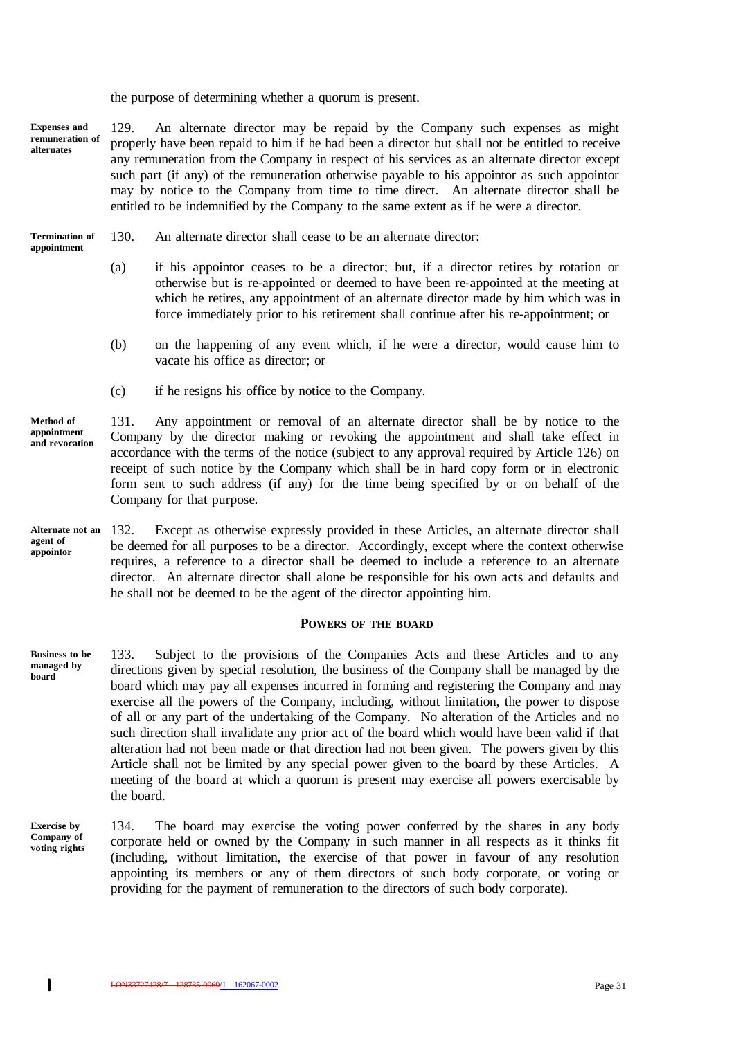the purpose of determining whether a quorum is present.

129. An alternate director may be repaid by the Company such expenses as might properly have been repaid to him if he had been a director but shall not be entitled to receive any remuneration from the Company in respect of his services as an alternate director except such part (if any) of the remuneration otherwise payable to his appointor as such appointor may by notice to the Company from time to time direct. An alternate director shall be entitled to be indemnified by the Company to the same extent as if he were a director. **Expenses and remuneration of alternates**

- 130. An alternate director shall cease to be an alternate director: **Termination of appointment**
	- (a) if his appointor ceases to be a director; but, if a director retires by rotation or otherwise but is re-appointed or deemed to have been re-appointed at the meeting at which he retires, any appointment of an alternate director made by him which was in force immediately prior to his retirement shall continue after his re-appointment; or
	- (b) on the happening of any event which, if he were a director, would cause him to vacate his office as director; or
	- (c) if he resigns his office by notice to the Company.

131. Any appointment or removal of an alternate director shall be by notice to the Company by the director making or revoking the appointment and shall take effect in accordance with the terms of the notice (subject to any approval required by Article 126) on receipt of such notice by the Company which shall be in hard copy form or in electronic form sent to such address (if any) for the time being specified by or on behalf of the Company for that purpose. **Method of appointment and revocation**

132. Except as otherwise expressly provided in these Articles, an alternate director shall be deemed for all purposes to be a director. Accordingly, except where the context otherwise requires, a reference to a director shall be deemed to include a reference to an alternate director. An alternate director shall alone be responsible for his own acts and defaults and he shall not be deemed to be the agent of the director appointing him. **Alternate not an agent of appointor**

#### **POWERS OF THE BOARD**

133. Subject to the provisions of the Companies Acts and these Articles and to any directions given by special resolution, the business of the Company shall be managed by the board which may pay all expenses incurred in forming and registering the Company and may exercise all the powers of the Company, including, without limitation, the power to dispose of all or any part of the undertaking of the Company. No alteration of the Articles and no such direction shall invalidate any prior act of the board which would have been valid if that alteration had not been made or that direction had not been given. The powers given by this Article shall not be limited by any special power given to the board by these Articles. A meeting of the board at which a quorum is present may exercise all powers exercisable by the board. **Business to be managed by board**

134. The board may exercise the voting power conferred by the shares in any body corporate held or owned by the Company in such manner in all respects as it thinks fit (including, without limitation, the exercise of that power in favour of any resolution appointing its members or any of them directors of such body corporate, or voting or providing for the payment of remuneration to the directors of such body corporate). **Exercise by Company of voting rights**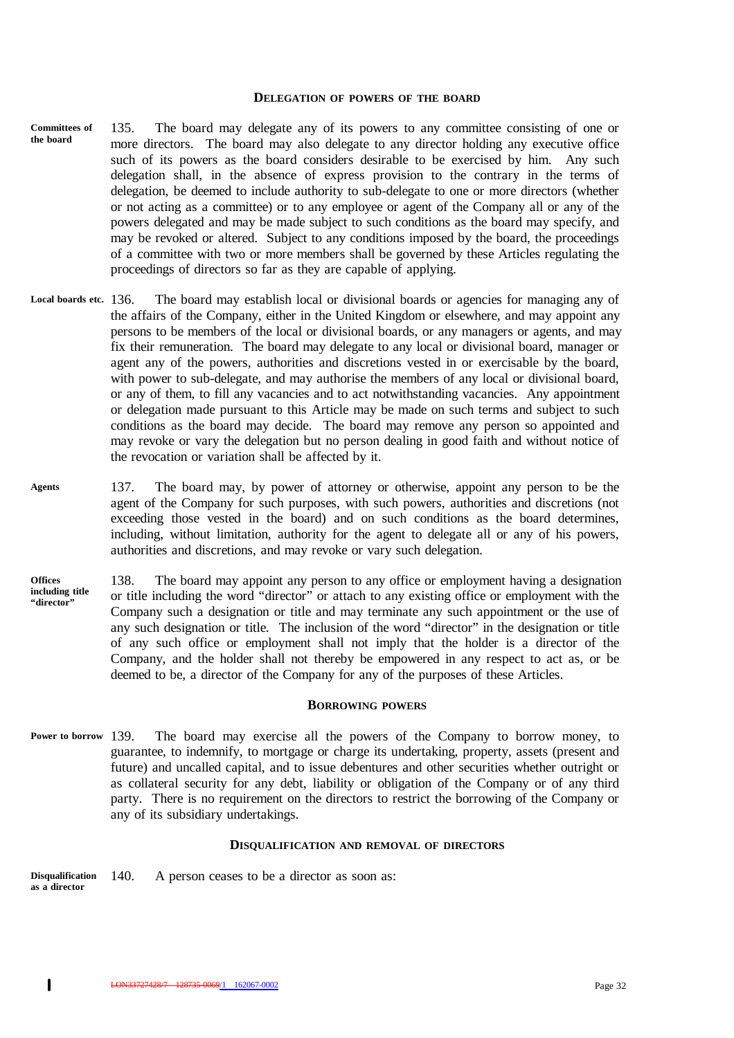#### **DELEGATION OF POWERS OF THE BOARD**

- 135. The board may delegate any of its powers to any committee consisting of one or more directors. The board may also delegate to any director holding any executive office such of its powers as the board considers desirable to be exercised by him. Any such delegation shall, in the absence of express provision to the contrary in the terms of delegation, be deemed to include authority to sub-delegate to one or more directors (whether or not acting as a committee) or to any employee or agent of the Company all or any of the powers delegated and may be made subject to such conditions as the board may specify, and may be revoked or altered. Subject to any conditions imposed by the board, the proceedings of a committee with two or more members shall be governed by these Articles regulating the proceedings of directors so far as they are capable of applying. **Committees of the board**
- The board may establish local or divisional boards or agencies for managing any of the affairs of the Company, either in the United Kingdom or elsewhere, and may appoint any persons to be members of the local or divisional boards, or any managers or agents, and may fix their remuneration. The board may delegate to any local or divisional board, manager or agent any of the powers, authorities and discretions vested in or exercisable by the board, with power to sub-delegate, and may authorise the members of any local or divisional board, or any of them, to fill any vacancies and to act notwithstanding vacancies. Any appointment or delegation made pursuant to this Article may be made on such terms and subject to such conditions as the board may decide. The board may remove any person so appointed and may revoke or vary the delegation but no person dealing in good faith and without notice of the revocation or variation shall be affected by it. **Local boards etc.**
- 137. The board may, by power of attorney or otherwise, appoint any person to be the agent of the Company for such purposes, with such powers, authorities and discretions (not exceeding those vested in the board) and on such conditions as the board determines, including, without limitation, authority for the agent to delegate all or any of his powers, authorities and discretions, and may revoke or vary such delegation. **Agents**
- 138. The board may appoint any person to any office or employment having a designation or title including the word "director" or attach to any existing office or employment with the Company such a designation or title and may terminate any such appointment or the use of any such designation or title. The inclusion of the word "director" in the designation or title of any such office or employment shall not imply that the holder is a director of the Company, and the holder shall not thereby be empowered in any respect to act as, or be deemed to be, a director of the Company for any of the purposes of these Articles. **Offices including title "director"**

#### **BORROWING POWERS**

The board may exercise all the powers of the Company to borrow money, to guarantee, to indemnify, to mortgage or charge its undertaking, property, assets (present and future) and uncalled capital, and to issue debentures and other securities whether outright or as collateral security for any debt, liability or obligation of the Company or of any third party. There is no requirement on the directors to restrict the borrowing of the Company or any of its subsidiary undertakings. Power to borrow 139.

#### **DISQUALIFICATION AND REMOVAL OF DIRECTORS**

140. A person ceases to be a director as soon as: **Disqualification as a director**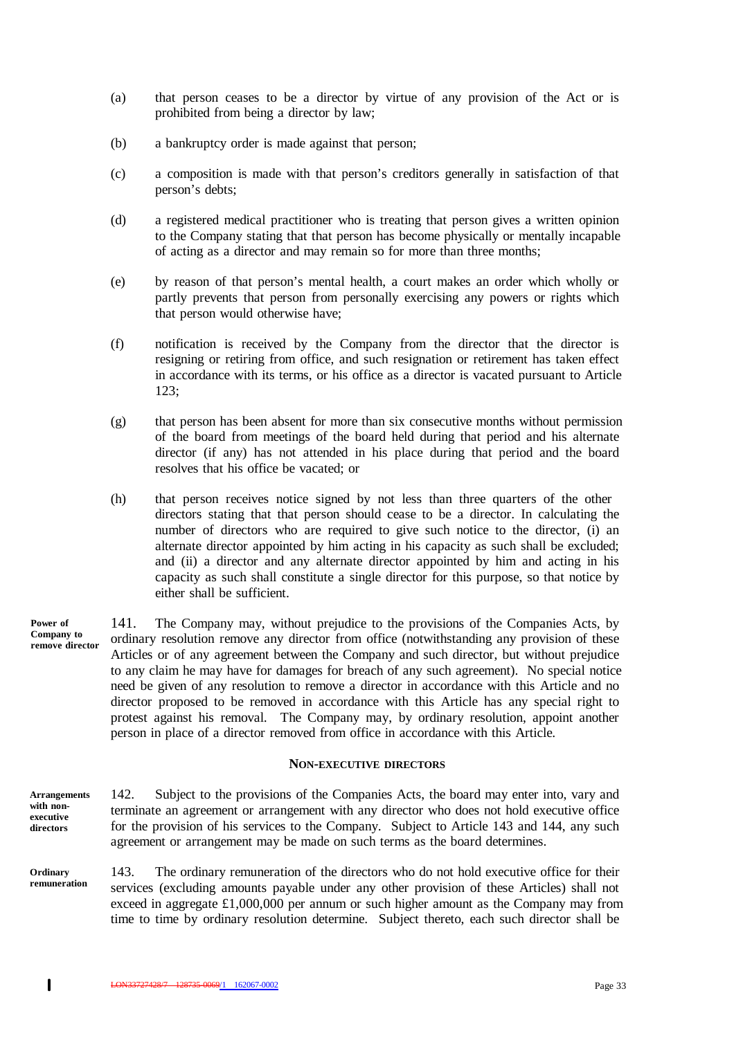- (a) that person ceases to be a director by virtue of any provision of the Act or is prohibited from being a director by law;
- (b) a bankruptcy order is made against that person;
- (c) a composition is made with that person's creditors generally in satisfaction of that person's debts;
- (d) a registered medical practitioner who is treating that person gives a written opinion to the Company stating that that person has become physically or mentally incapable of acting as a director and may remain so for more than three months;
- (e) by reason of that person's mental health, a court makes an order which wholly or partly prevents that person from personally exercising any powers or rights which that person would otherwise have;
- (f) notification is received by the Company from the director that the director is resigning or retiring from office, and such resignation or retirement has taken effect in accordance with its terms, or his office as a director is vacated pursuant to Article 123;
- (g) that person has been absent for more than six consecutive months without permission of the board from meetings of the board held during that period and his alternate director (if any) has not attended in his place during that period and the board resolves that his office be vacated; or
- (h) that person receives notice signed by not less than three quarters of the other directors stating that that person should cease to be a director. In calculating the number of directors who are required to give such notice to the director, (i) an alternate director appointed by him acting in his capacity as such shall be excluded; and (ii) a director and any alternate director appointed by him and acting in his capacity as such shall constitute a single director for this purpose, so that notice by either shall be sufficient.
- 141. The Company may, without prejudice to the provisions of the Companies Acts, by ordinary resolution remove any director from office (notwithstanding any provision of these Articles or of any agreement between the Company and such director, but without prejudice to any claim he may have for damages for breach of any such agreement). No special notice need be given of any resolution to remove a director in accordance with this Article and no director proposed to be removed in accordance with this Article has any special right to protest against his removal. The Company may, by ordinary resolution, appoint another person in place of a director removed from office in accordance with this Article. **Power of Company to remove director**

#### **NON-EXECUTIVE DIRECTORS**

- 142. Subject to the provisions of the Companies Acts, the board may enter into, vary and terminate an agreement or arrangement with any director who does not hold executive office for the provision of his services to the Company. Subject to Article 143 and 144, any such agreement or arrangement may be made on such terms as the board determines. **Arrangements with nonexecutive directors**
- 143. The ordinary remuneration of the directors who do not hold executive office for their services (excluding amounts payable under any other provision of these Articles) shall not exceed in aggregate £1,000,000 per annum or such higher amount as the Company may from time to time by ordinary resolution determine. Subject thereto, each such director shall be **Ordinary remuneration**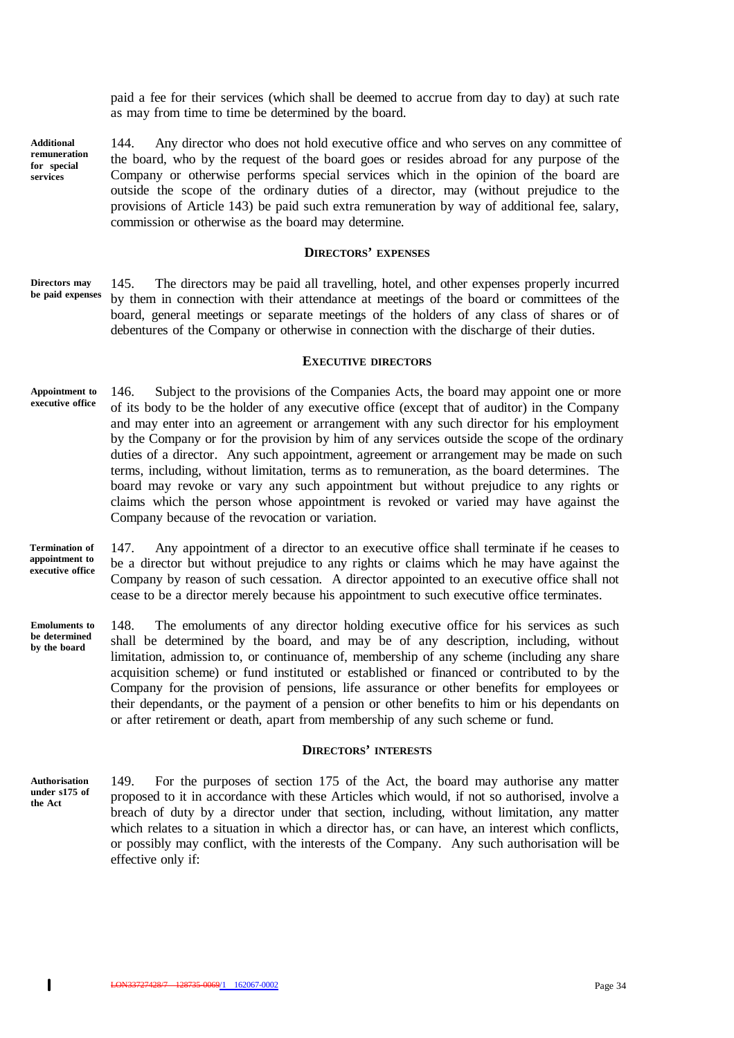paid a fee for their services (which shall be deemed to accrue from day to day) at such rate as may from time to time be determined by the board.

**Additional remuneration for special services**

144. Any director who does not hold executive office and who serves on any committee of the board, who by the request of the board goes or resides abroad for any purpose of the Company or otherwise performs special services which in the opinion of the board are outside the scope of the ordinary duties of a director, may (without prejudice to the provisions of Article 143) be paid such extra remuneration by way of additional fee, salary, commission or otherwise as the board may determine.

#### **DIRECTORS' EXPENSES**

145. The directors may be paid all travelling, hotel, and other expenses properly incurred by them in connection with their attendance at meetings of the board or committees of the board, general meetings or separate meetings of the holders of any class of shares or of debentures of the Company or otherwise in connection with the discharge of their duties. **Directors may be paid expenses**

## **EXECUTIVE DIRECTORS**

- 146. Subject to the provisions of the Companies Acts, the board may appoint one or more of its body to be the holder of any executive office (except that of auditor) in the Company and may enter into an agreement or arrangement with any such director for his employment by the Company or for the provision by him of any services outside the scope of the ordinary duties of a director. Any such appointment, agreement or arrangement may be made on such terms, including, without limitation, terms as to remuneration, as the board determines. The board may revoke or vary any such appointment but without prejudice to any rights or claims which the person whose appointment is revoked or varied may have against the Company because of the revocation or variation. **Appointment to executive office**
- 147. Any appointment of a director to an executive office shall terminate if he ceases to be a director but without prejudice to any rights or claims which he may have against the Company by reason of such cessation. A director appointed to an executive office shall not cease to be a director merely because his appointment to such executive office terminates. **Termination of appointment to executive office**
- 148. The emoluments of any director holding executive office for his services as such shall be determined by the board, and may be of any description, including, without limitation, admission to, or continuance of, membership of any scheme (including any share acquisition scheme) or fund instituted or established or financed or contributed to by the Company for the provision of pensions, life assurance or other benefits for employees or their dependants, or the payment of a pension or other benefits to him or his dependants on or after retirement or death, apart from membership of any such scheme or fund. **Emoluments to be determined by the board**

#### **DIRECTORS' INTERESTS**

149. For the purposes of section 175 of the Act, the board may authorise any matter proposed to it in accordance with these Articles which would, if not so authorised, involve a breach of duty by a director under that section, including, without limitation, any matter which relates to a situation in which a director has, or can have, an interest which conflicts, or possibly may conflict, with the interests of the Company. Any such authorisation will be effective only if: **Authorisation under s175 of the Act**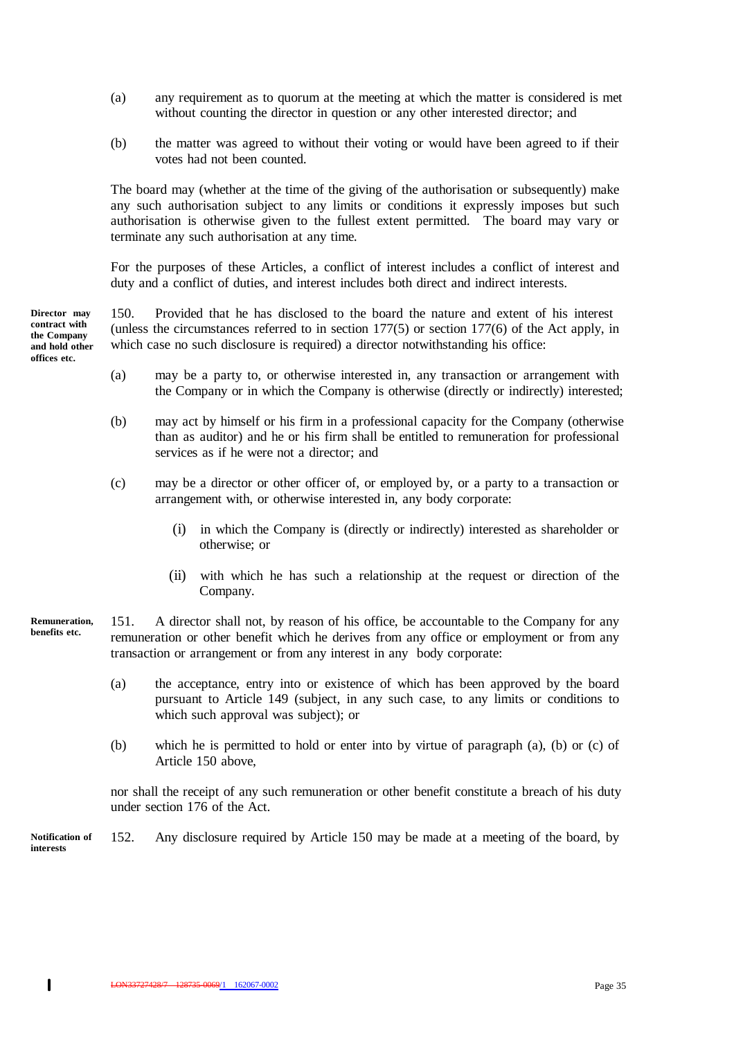- (a) any requirement as to quorum at the meeting at which the matter is considered is met without counting the director in question or any other interested director; and
- (b) the matter was agreed to without their voting or would have been agreed to if their votes had not been counted.

The board may (whether at the time of the giving of the authorisation or subsequently) make any such authorisation subject to any limits or conditions it expressly imposes but such authorisation is otherwise given to the fullest extent permitted. The board may vary or terminate any such authorisation at any time.

For the purposes of these Articles, a conflict of interest includes a conflict of interest and duty and a conflict of duties, and interest includes both direct and indirect interests.

**Director may contract with the Company and hold other offices etc.**

150. Provided that he has disclosed to the board the nature and extent of his interest (unless the circumstances referred to in section 177(5) or section 177(6) of the Act apply, in which case no such disclosure is required) a director notwithstanding his office:

- (a) may be a party to, or otherwise interested in, any transaction or arrangement with the Company or in which the Company is otherwise (directly or indirectly) interested;
- (b) may act by himself or his firm in a professional capacity for the Company (otherwise than as auditor) and he or his firm shall be entitled to remuneration for professional services as if he were not a director; and
- (c) may be a director or other officer of, or employed by, or a party to a transaction or arrangement with, or otherwise interested in, any body corporate:
	- (i) in which the Company is (directly or indirectly) interested as shareholder or otherwise; or
	- (ii) with which he has such a relationship at the request or direction of the Company.
- 151. A director shall not, by reason of his office, be accountable to the Company for any remuneration or other benefit which he derives from any office or employment or from any transaction or arrangement or from any interest in any body corporate: **Remuneration, benefits etc.**
	- (a) the acceptance, entry into or existence of which has been approved by the board pursuant to Article 149 (subject, in any such case, to any limits or conditions to which such approval was subject); or
	- (b) which he is permitted to hold or enter into by virtue of paragraph (a), (b) or (c) of Article 150 above,

nor shall the receipt of any such remuneration or other benefit constitute a breach of his duty under section 176 of the Act.

152. Any disclosure required by Article 150 may be made at a meeting of the board, by **Notification of interests**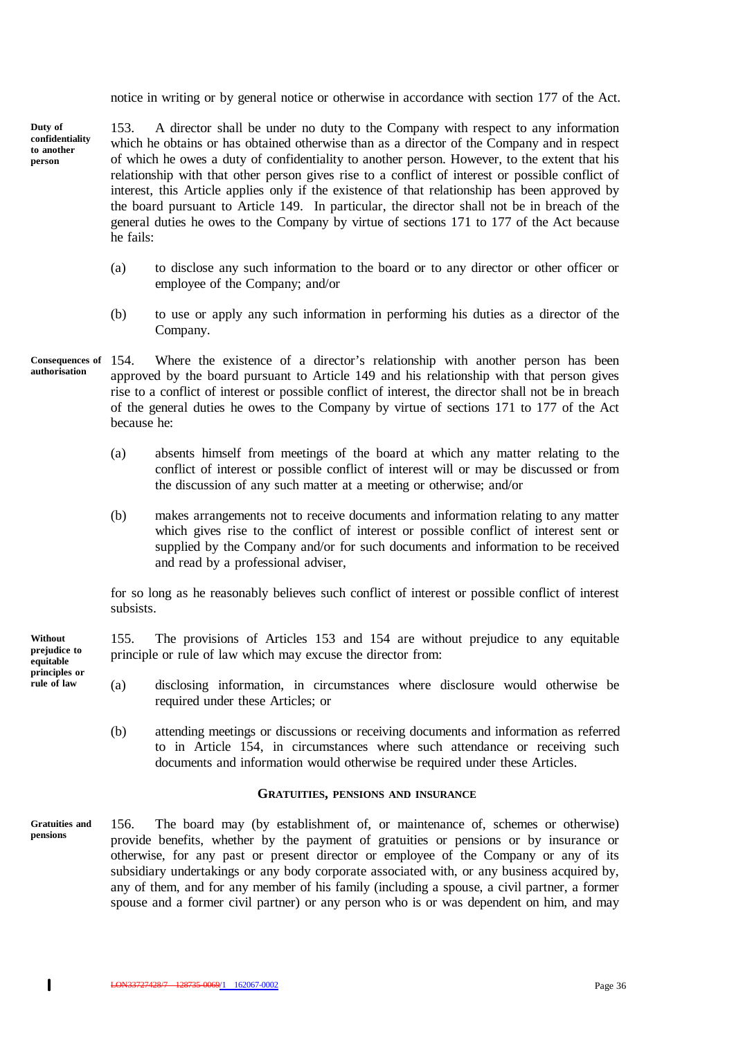notice in writing or by general notice or otherwise in accordance with section 177 of the Act.

153. A director shall be under no duty to the Company with respect to any information which he obtains or has obtained otherwise than as a director of the Company and in respect of which he owes a duty of confidentiality to another person. However, to the extent that his relationship with that other person gives rise to a conflict of interest or possible conflict of interest, this Article applies only if the existence of that relationship has been approved by the board pursuant to Article 149. In particular, the director shall not be in breach of the general duties he owes to the Company by virtue of sections 171 to 177 of the Act because he fails: **Duty of confidentiality to another person**

- (a) to disclose any such information to the board or to any director or other officer or employee of the Company; and/or
- (b) to use or apply any such information in performing his duties as a director of the Company.
- 154. Where the existence of a director's relationship with another person has been approved by the board pursuant to Article 149 and his relationship with that person gives rise to a conflict of interest or possible conflict of interest, the director shall not be in breach of the general duties he owes to the Company by virtue of sections 171 to 177 of the Act because he: **Consequences of authorisation**
	- (a) absents himself from meetings of the board at which any matter relating to the conflict of interest or possible conflict of interest will or may be discussed or from the discussion of any such matter at a meeting or otherwise; and/or
	- (b) makes arrangements not to receive documents and information relating to any matter which gives rise to the conflict of interest or possible conflict of interest sent or supplied by the Company and/or for such documents and information to be received and read by a professional adviser,

for so long as he reasonably believes such conflict of interest or possible conflict of interest subsists.

155. The provisions of Articles 153 and 154 are without prejudice to any equitable principle or rule of law which may excuse the director from:

- (a) disclosing information, in circumstances where disclosure would otherwise be required under these Articles; or
- (b) attending meetings or discussions or receiving documents and information as referred to in Article 154, in circumstances where such attendance or receiving such documents and information would otherwise be required under these Articles.

#### **GRATUITIES, PENSIONS AND INSURANCE**

156. The board may (by establishment of, or maintenance of, schemes or otherwise) provide benefits, whether by the payment of gratuities or pensions or by insurance or otherwise, for any past or present director or employee of the Company or any of its subsidiary undertakings or any body corporate associated with, or any business acquired by, any of them, and for any member of his family (including a spouse, a civil partner, a former spouse and a former civil partner) or any person who is or was dependent on him, and may **pensions**

**Gratuities and**

**Without prejudice to equitable principles or rule of law**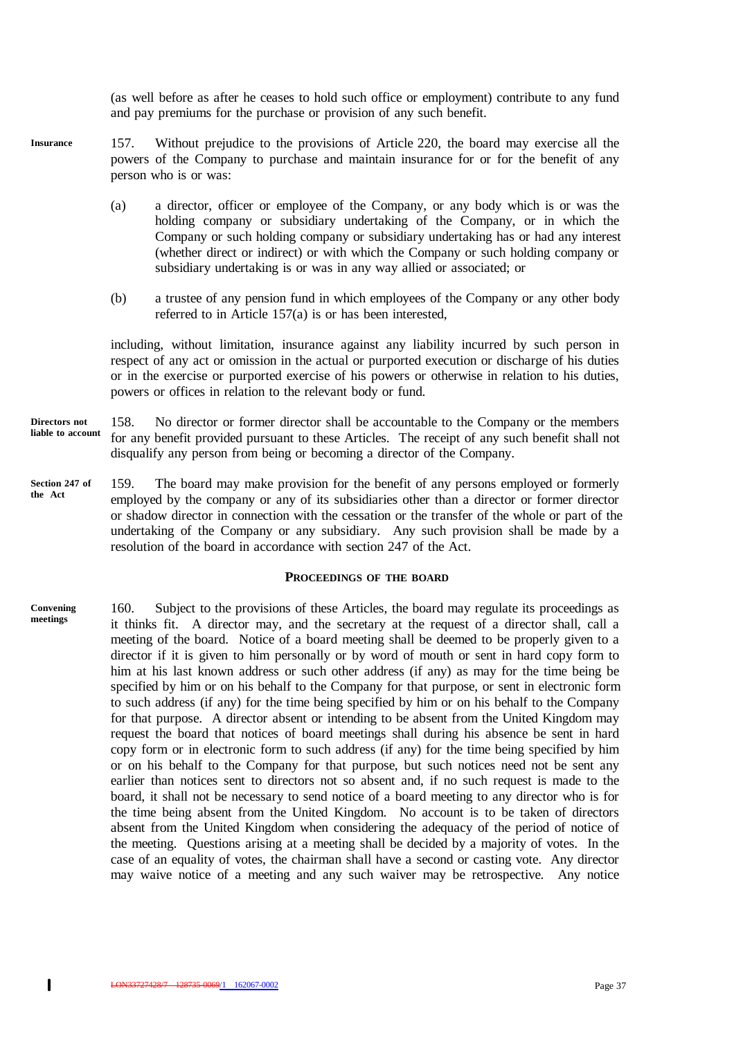(as well before as after he ceases to hold such office or employment) contribute to any fund and pay premiums for the purchase or provision of any such benefit.

- 157. Without prejudice to the provisions of Article 220, the board may exercise all the powers of the Company to purchase and maintain insurance for or for the benefit of any person who is or was: **Insurance**
	- (a) a director, officer or employee of the Company, or any body which is or was the holding company or subsidiary undertaking of the Company, or in which the Company or such holding company or subsidiary undertaking has or had any interest (whether direct or indirect) or with which the Company or such holding company or subsidiary undertaking is or was in any way allied or associated; or
	- (b) a trustee of any pension fund in which employees of the Company or any other body referred to in Article 157(a) is or has been interested,

including, without limitation, insurance against any liability incurred by such person in respect of any act or omission in the actual or purported execution or discharge of his duties or in the exercise or purported exercise of his powers or otherwise in relation to his duties, powers or offices in relation to the relevant body or fund.

- 158. No director or former director shall be accountable to the Company or the members for any benefit provided pursuant to these Articles. The receipt of any such benefit shall not disqualify any person from being or becoming a director of the Company. **Directors not liable to account**
- 159. The board may make provision for the benefit of any persons employed or formerly employed by the company or any of its subsidiaries other than a director or former director or shadow director in connection with the cessation or the transfer of the whole or part of the undertaking of the Company or any subsidiary. Any such provision shall be made by a resolution of the board in accordance with section 247 of the Act. **Section 247 of the Act**

#### **PROCEEDINGS OF THE BOARD**

160. Subject to the provisions of these Articles, the board may regulate its proceedings as it thinks fit. A director may, and the secretary at the request of a director shall, call a meeting of the board. Notice of a board meeting shall be deemed to be properly given to a director if it is given to him personally or by word of mouth or sent in hard copy form to him at his last known address or such other address (if any) as may for the time being be specified by him or on his behalf to the Company for that purpose, or sent in electronic form to such address (if any) for the time being specified by him or on his behalf to the Company for that purpose. A director absent or intending to be absent from the United Kingdom may request the board that notices of board meetings shall during his absence be sent in hard copy form or in electronic form to such address (if any) for the time being specified by him or on his behalf to the Company for that purpose, but such notices need not be sent any earlier than notices sent to directors not so absent and, if no such request is made to the board, it shall not be necessary to send notice of a board meeting to any director who is for the time being absent from the United Kingdom. No account is to be taken of directors absent from the United Kingdom when considering the adequacy of the period of notice of the meeting. Questions arising at a meeting shall be decided by a majority of votes. In the case of an equality of votes, the chairman shall have a second or casting vote. Any director may waive notice of a meeting and any such waiver may be retrospective. Any notice **Convening meetings**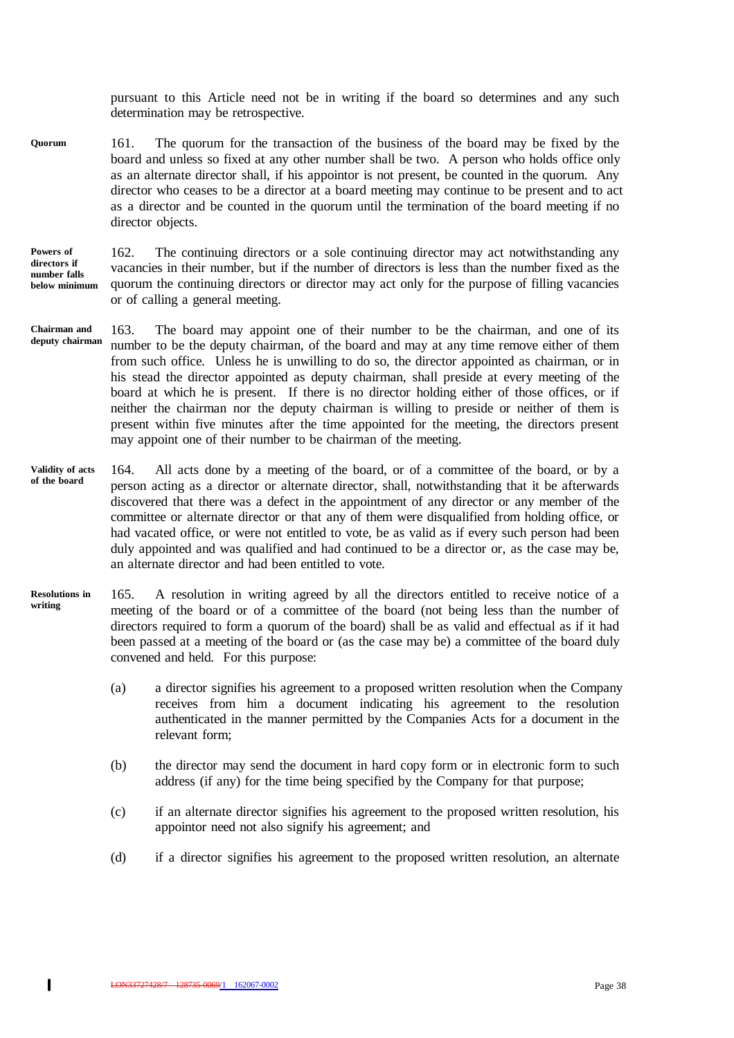pursuant to this Article need not be in writing if the board so determines and any such determination may be retrospective.

161. The quorum for the transaction of the business of the board may be fixed by the board and unless so fixed at any other number shall be two. A person who holds office only as an alternate director shall, if his appointor is not present, be counted in the quorum. Any director who ceases to be a director at a board meeting may continue to be present and to act as a director and be counted in the quorum until the termination of the board meeting if no director objects. **Quorum**

#### **Powers of directors if number falls below minimum**

162. The continuing directors or a sole continuing director may act notwithstanding any vacancies in their number, but if the number of directors is less than the number fixed as the quorum the continuing directors or director may act only for the purpose of filling vacancies or of calling a general meeting.

- 163. The board may appoint one of their number to be the chairman, and one of its number to be the deputy chairman, of the board and may at any time remove either of them from such office. Unless he is unwilling to do so, the director appointed as chairman, or in his stead the director appointed as deputy chairman, shall preside at every meeting of the board at which he is present. If there is no director holding either of those offices, or if neither the chairman nor the deputy chairman is willing to preside or neither of them is present within five minutes after the time appointed for the meeting, the directors present may appoint one of their number to be chairman of the meeting. **Chairman and deputy chairman**
- 164. All acts done by a meeting of the board, or of a committee of the board, or by a person acting as a director or alternate director, shall, notwithstanding that it be afterwards discovered that there was a defect in the appointment of any director or any member of the committee or alternate director or that any of them were disqualified from holding office, or had vacated office, or were not entitled to vote, be as valid as if every such person had been duly appointed and was qualified and had continued to be a director or, as the case may be, an alternate director and had been entitled to vote. **Validity of acts of the board**
- 165. A resolution in writing agreed by all the directors entitled to receive notice of a meeting of the board or of a committee of the board (not being less than the number of directors required to form a quorum of the board) shall be as valid and effectual as if it had been passed at a meeting of the board or (as the case may be) a committee of the board duly convened and held. For this purpose: **Resolutions in writing**
	- (a) a director signifies his agreement to a proposed written resolution when the Company receives from him a document indicating his agreement to the resolution authenticated in the manner permitted by the Companies Acts for a document in the relevant form;
	- (b) the director may send the document in hard copy form or in electronic form to such address (if any) for the time being specified by the Company for that purpose;
	- (c) if an alternate director signifies his agreement to the proposed written resolution, his appointor need not also signify his agreement; and
	- (d) if a director signifies his agreement to the proposed written resolution, an alternate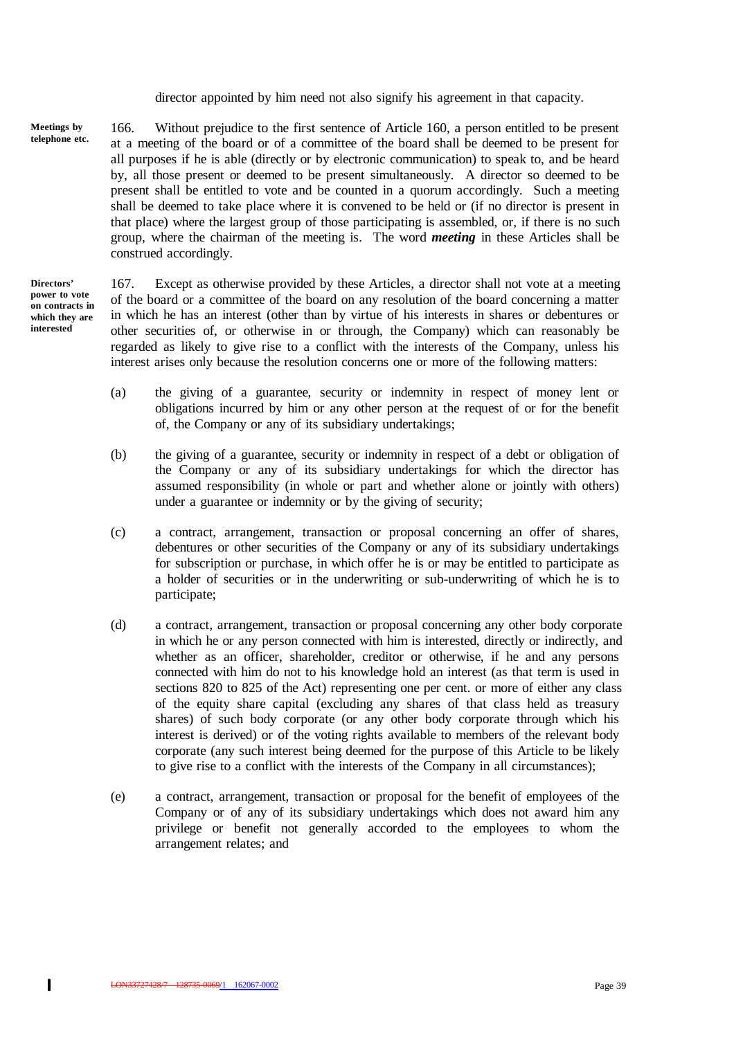director appointed by him need not also signify his agreement in that capacity.

166. Without prejudice to the first sentence of Article 160, a person entitled to be present at a meeting of the board or of a committee of the board shall be deemed to be present for all purposes if he is able (directly or by electronic communication) to speak to, and be heard by, all those present or deemed to be present simultaneously. A director so deemed to be present shall be entitled to vote and be counted in a quorum accordingly. Such a meeting shall be deemed to take place where it is convened to be held or (if no director is present in that place) where the largest group of those participating is assembled, or, if there is no such group, where the chairman of the meeting is. The word *meeting* in these Articles shall be construed accordingly. **Meetings by telephone etc.**

**Directors' power to vote on contracts in which they are interested**

167. Except as otherwise provided by these Articles, a director shall not vote at a meeting of the board or a committee of the board on any resolution of the board concerning a matter in which he has an interest (other than by virtue of his interests in shares or debentures or other securities of, or otherwise in or through, the Company) which can reasonably be regarded as likely to give rise to a conflict with the interests of the Company, unless his interest arises only because the resolution concerns one or more of the following matters:

- (a) the giving of a guarantee, security or indemnity in respect of money lent or obligations incurred by him or any other person at the request of or for the benefit of, the Company or any of its subsidiary undertakings;
- (b) the giving of a guarantee, security or indemnity in respect of a debt or obligation of the Company or any of its subsidiary undertakings for which the director has assumed responsibility (in whole or part and whether alone or jointly with others) under a guarantee or indemnity or by the giving of security;
- (c) a contract, arrangement, transaction or proposal concerning an offer of shares, debentures or other securities of the Company or any of its subsidiary undertakings for subscription or purchase, in which offer he is or may be entitled to participate as a holder of securities or in the underwriting or sub-underwriting of which he is to participate;
- (d) a contract, arrangement, transaction or proposal concerning any other body corporate in which he or any person connected with him is interested, directly or indirectly, and whether as an officer, shareholder, creditor or otherwise, if he and any persons connected with him do not to his knowledge hold an interest (as that term is used in sections 820 to 825 of the Act) representing one per cent. or more of either any class of the equity share capital (excluding any shares of that class held as treasury shares) of such body corporate (or any other body corporate through which his interest is derived) or of the voting rights available to members of the relevant body corporate (any such interest being deemed for the purpose of this Article to be likely to give rise to a conflict with the interests of the Company in all circumstances);
- (e) a contract, arrangement, transaction or proposal for the benefit of employees of the Company or of any of its subsidiary undertakings which does not award him any privilege or benefit not generally accorded to the employees to whom the arrangement relates; and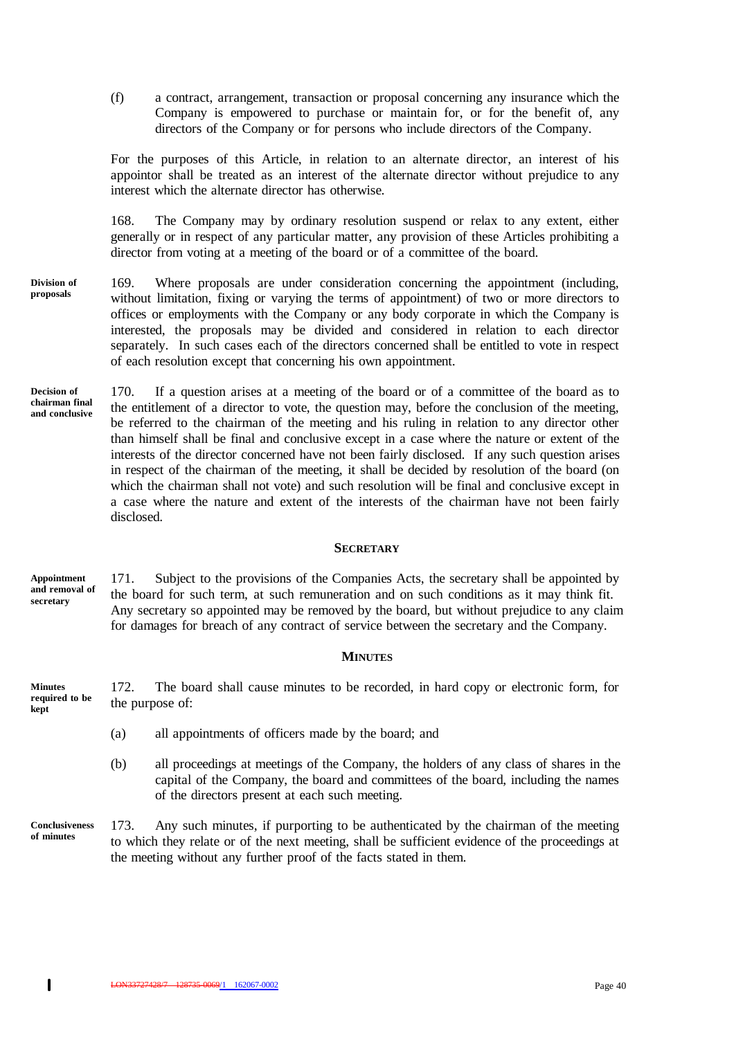(f) a contract, arrangement, transaction or proposal concerning any insurance which the Company is empowered to purchase or maintain for, or for the benefit of, any directors of the Company or for persons who include directors of the Company.

For the purposes of this Article, in relation to an alternate director, an interest of his appointor shall be treated as an interest of the alternate director without prejudice to any interest which the alternate director has otherwise.

168. The Company may by ordinary resolution suspend or relax to any extent, either generally or in respect of any particular matter, any provision of these Articles prohibiting a director from voting at a meeting of the board or of a committee of the board.

- 169. Where proposals are under consideration concerning the appointment (including, without limitation, fixing or varying the terms of appointment) of two or more directors to offices or employments with the Company or any body corporate in which the Company is interested, the proposals may be divided and considered in relation to each director separately. In such cases each of the directors concerned shall be entitled to vote in respect of each resolution except that concerning his own appointment. **Division of proposals**
- 170. If a question arises at a meeting of the board or of a committee of the board as to the entitlement of a director to vote, the question may, before the conclusion of the meeting, be referred to the chairman of the meeting and his ruling in relation to any director other than himself shall be final and conclusive except in a case where the nature or extent of the interests of the director concerned have not been fairly disclosed. If any such question arises in respect of the chairman of the meeting, it shall be decided by resolution of the board (on which the chairman shall not vote) and such resolution will be final and conclusive except in a case where the nature and extent of the interests of the chairman have not been fairly disclosed. **Decision of chairman final and conclusive**

## **SECRETARY**

171. Subject to the provisions of the Companies Acts, the secretary shall be appointed by the board for such term, at such remuneration and on such conditions as it may think fit. Any secretary so appointed may be removed by the board, but without prejudice to any claim for damages for breach of any contract of service between the secretary and the Company. **Appointment and removal of secretary**

#### **MINUTES**

172. The board shall cause minutes to be recorded, in hard copy or electronic form, for the purpose of: **Minutes required to be kept**

- (a) all appointments of officers made by the board; and
- (b) all proceedings at meetings of the Company, the holders of any class of shares in the capital of the Company, the board and committees of the board, including the names of the directors present at each such meeting.
- 173. Any such minutes, if purporting to be authenticated by the chairman of the meeting to which they relate or of the next meeting, shall be sufficient evidence of the proceedings at the meeting without any further proof of the facts stated in them. **Conclusiveness of minutes**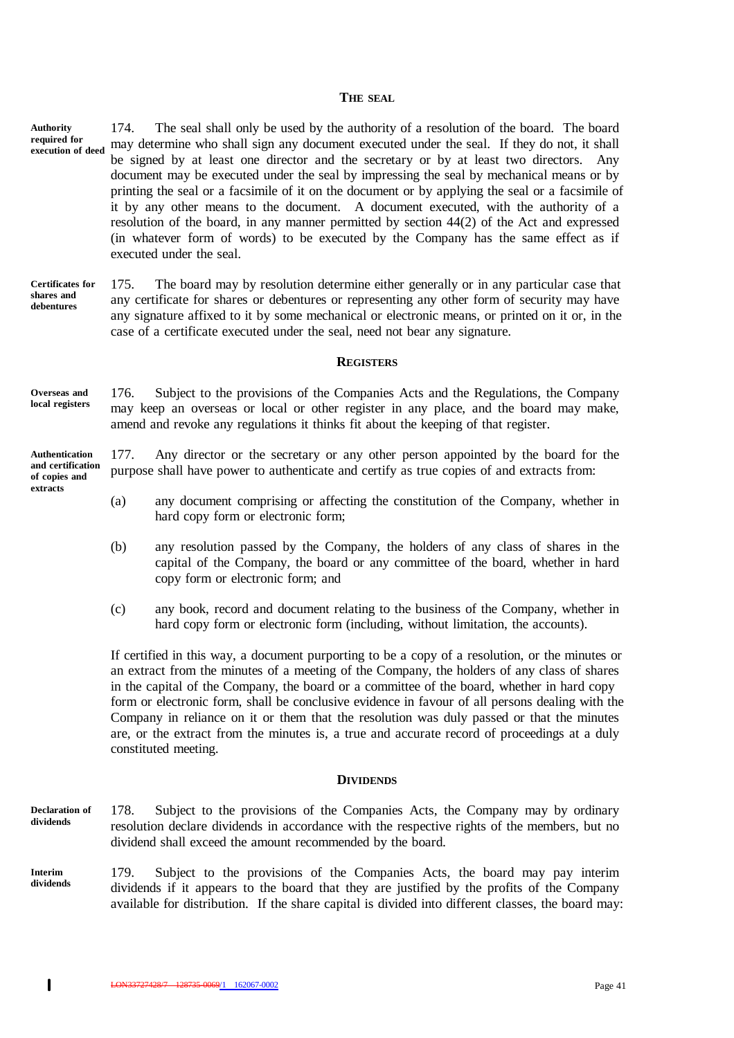#### **THE SEAL**

174. The seal shall only be used by the authority of a resolution of the board. The board may determine who shall sign any document executed under the seal. If they do not, it shall be signed by at least one director and the secretary or by at least two directors. Any document may be executed under the seal by impressing the seal by mechanical means or by printing the seal or a facsimile of it on the document or by applying the seal or a facsimile of it by any other means to the document. A document executed, with the authority of a resolution of the board, in any manner permitted by section 44(2) of the Act and expressed (in whatever form of words) to be executed by the Company has the same effect as if executed under the seal. **Authority required for execution of deed**

175. The board may by resolution determine either generally or in any particular case that any certificate for shares or debentures or representing any other form of security may have any signature affixed to it by some mechanical or electronic means, or printed on it or, in the case of a certificate executed under the seal, need not bear any signature. **Certificates for shares and debentures**

#### **REGISTERS**

176. Subject to the provisions of the Companies Acts and the Regulations, the Company may keep an overseas or local or other register in any place, and the board may make, amend and revoke any regulations it thinks fit about the keeping of that register. **Overseas and local registers**

177. Any director or the secretary or any other person appointed by the board for the purpose shall have power to authenticate and certify as true copies of and extracts from: **Authentication and certification of copies and**

- (a) any document comprising or affecting the constitution of the Company, whether in hard copy form or electronic form;
- (b) any resolution passed by the Company, the holders of any class of shares in the capital of the Company, the board or any committee of the board, whether in hard copy form or electronic form; and
- (c) any book, record and document relating to the business of the Company, whether in hard copy form or electronic form (including, without limitation, the accounts).

If certified in this way, a document purporting to be a copy of a resolution, or the minutes or an extract from the minutes of a meeting of the Company, the holders of any class of shares in the capital of the Company, the board or a committee of the board, whether in hard copy form or electronic form, shall be conclusive evidence in favour of all persons dealing with the Company in reliance on it or them that the resolution was duly passed or that the minutes are, or the extract from the minutes is, a true and accurate record of proceedings at a duly constituted meeting.

#### **DIVIDENDS**

- 178. Subject to the provisions of the Companies Acts, the Company may by ordinary resolution declare dividends in accordance with the respective rights of the members, but no dividend shall exceed the amount recommended by the board. **Declaration of dividends**
- 179. Subject to the provisions of the Companies Acts, the board may pay interim dividends if it appears to the board that they are justified by the profits of the Company available for distribution. If the share capital is divided into different classes, the board may: **Interim dividends**

**extracts**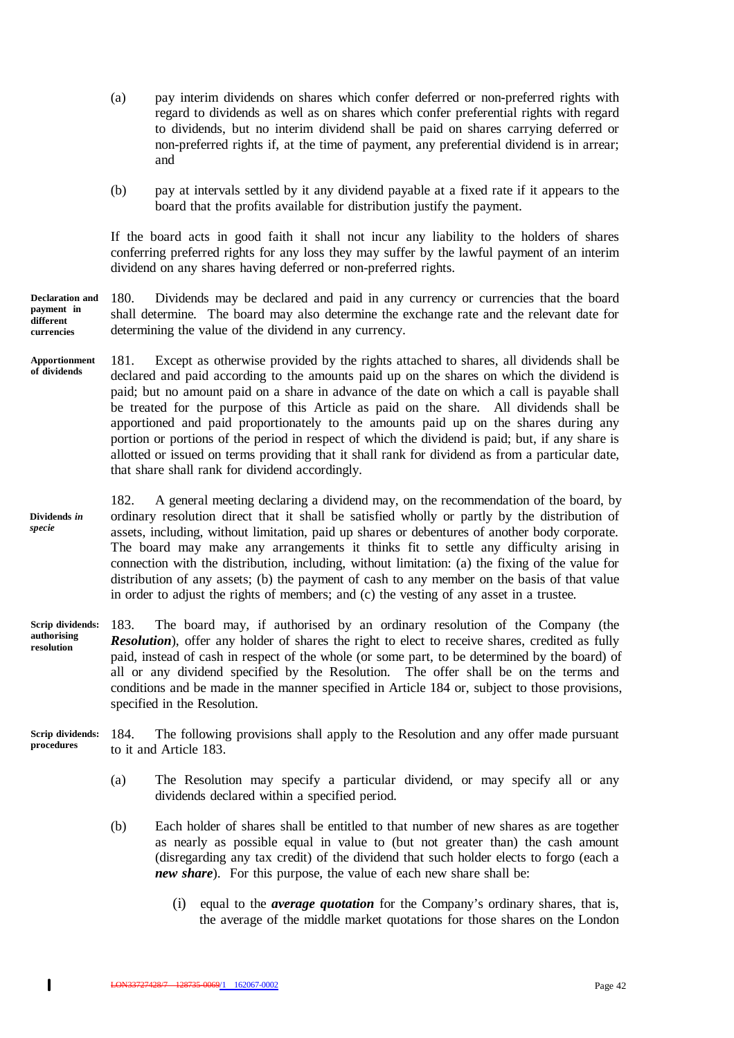- (a) pay interim dividends on shares which confer deferred or non-preferred rights with regard to dividends as well as on shares which confer preferential rights with regard to dividends, but no interim dividend shall be paid on shares carrying deferred or non-preferred rights if, at the time of payment, any preferential dividend is in arrear; and
- (b) pay at intervals settled by it any dividend payable at a fixed rate if it appears to the board that the profits available for distribution justify the payment.

If the board acts in good faith it shall not incur any liability to the holders of shares conferring preferred rights for any loss they may suffer by the lawful payment of an interim dividend on any shares having deferred or non-preferred rights.

180. Dividends may be declared and paid in any currency or currencies that the board shall determine. The board may also determine the exchange rate and the relevant date for determining the value of the dividend in any currency. **Declaration and payment in different currencies**

- 181. Except as otherwise provided by the rights attached to shares, all dividends shall be declared and paid according to the amounts paid up on the shares on which the dividend is paid; but no amount paid on a share in advance of the date on which a call is payable shall be treated for the purpose of this Article as paid on the share. All dividends shall be apportioned and paid proportionately to the amounts paid up on the shares during any portion or portions of the period in respect of which the dividend is paid; but, if any share is allotted or issued on terms providing that it shall rank for dividend as from a particular date, that share shall rank for dividend accordingly. **Apportionment of dividends**
- 182. A general meeting declaring a dividend may, on the recommendation of the board, by ordinary resolution direct that it shall be satisfied wholly or partly by the distribution of assets, including, without limitation, paid up shares or debentures of another body corporate. The board may make any arrangements it thinks fit to settle any difficulty arising in connection with the distribution, including, without limitation: (a) the fixing of the value for distribution of any assets; (b) the payment of cash to any member on the basis of that value in order to adjust the rights of members; and (c) the vesting of any asset in a trustee. **Dividends** *in specie*
- 183. The board may, if authorised by an ordinary resolution of the Company (the **Resolution**), offer any holder of shares the right to elect to receive shares, credited as fully paid, instead of cash in respect of the whole (or some part, to be determined by the board) of all or any dividend specified by the Resolution. The offer shall be on the terms and conditions and be made in the manner specified in Article 184 or, subject to those provisions, specified in the Resolution. **Scrip dividends: authorising resolution**
- 184. The following provisions shall apply to the Resolution and any offer made pursuant to it and Article 183. **Scrip dividends: procedures**
	- (a) The Resolution may specify a particular dividend, or may specify all or any dividends declared within a specified period.
	- (b) Each holder of shares shall be entitled to that number of new shares as are together as nearly as possible equal in value to (but not greater than) the cash amount (disregarding any tax credit) of the dividend that such holder elects to forgo (each a *new share*). For this purpose, the value of each new share shall be:
		- (i) equal to the *average quotation* for the Company's ordinary shares, that is, the average of the middle market quotations for those shares on the London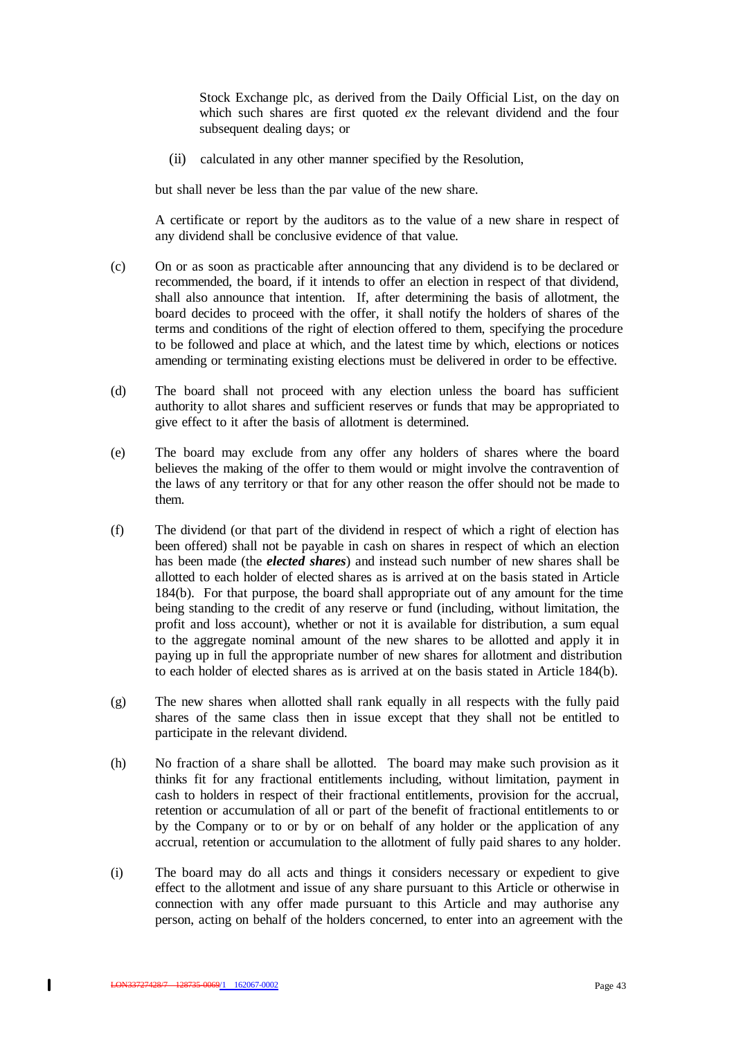Stock Exchange plc, as derived from the Daily Official List, on the day on which such shares are first quoted *ex* the relevant dividend and the four subsequent dealing days; or

(ii) calculated in any other manner specified by the Resolution,

but shall never be less than the par value of the new share.

A certificate or report by the auditors as to the value of a new share in respect of any dividend shall be conclusive evidence of that value.

- (c) On or as soon as practicable after announcing that any dividend is to be declared or recommended, the board, if it intends to offer an election in respect of that dividend, shall also announce that intention. If, after determining the basis of allotment, the board decides to proceed with the offer, it shall notify the holders of shares of the terms and conditions of the right of election offered to them, specifying the procedure to be followed and place at which, and the latest time by which, elections or notices amending or terminating existing elections must be delivered in order to be effective.
- (d) The board shall not proceed with any election unless the board has sufficient authority to allot shares and sufficient reserves or funds that may be appropriated to give effect to it after the basis of allotment is determined.
- (e) The board may exclude from any offer any holders of shares where the board believes the making of the offer to them would or might involve the contravention of the laws of any territory or that for any other reason the offer should not be made to them.
- (f) The dividend (or that part of the dividend in respect of which a right of election has been offered) shall not be payable in cash on shares in respect of which an election has been made (the *elected shares*) and instead such number of new shares shall be allotted to each holder of elected shares as is arrived at on the basis stated in Article 184(b). For that purpose, the board shall appropriate out of any amount for the time being standing to the credit of any reserve or fund (including, without limitation, the profit and loss account), whether or not it is available for distribution, a sum equal to the aggregate nominal amount of the new shares to be allotted and apply it in paying up in full the appropriate number of new shares for allotment and distribution to each holder of elected shares as is arrived at on the basis stated in Article 184(b).
- (g) The new shares when allotted shall rank equally in all respects with the fully paid shares of the same class then in issue except that they shall not be entitled to participate in the relevant dividend.
- (h) No fraction of a share shall be allotted. The board may make such provision as it thinks fit for any fractional entitlements including, without limitation, payment in cash to holders in respect of their fractional entitlements, provision for the accrual, retention or accumulation of all or part of the benefit of fractional entitlements to or by the Company or to or by or on behalf of any holder or the application of any accrual, retention or accumulation to the allotment of fully paid shares to any holder.
- (i) The board may do all acts and things it considers necessary or expedient to give effect to the allotment and issue of any share pursuant to this Article or otherwise in connection with any offer made pursuant to this Article and may authorise any person, acting on behalf of the holders concerned, to enter into an agreement with the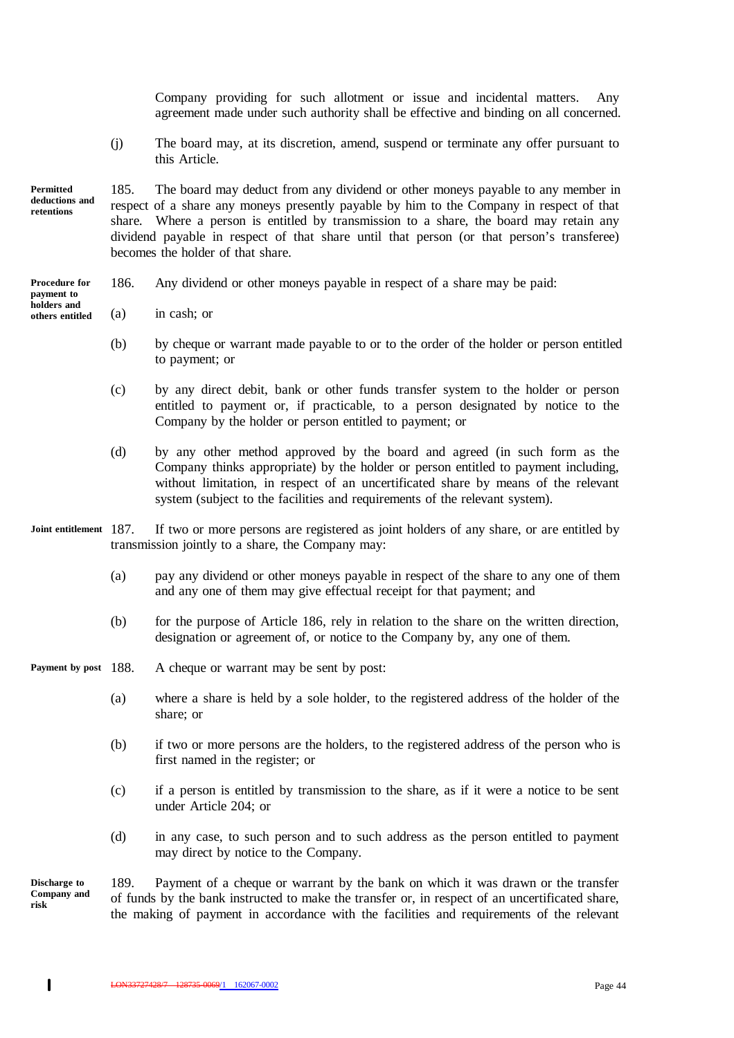Company providing for such allotment or issue and incidental matters. Any agreement made under such authority shall be effective and binding on all concerned.

(j) The board may, at its discretion, amend, suspend or terminate any offer pursuant to this Article.

**Permitted deductions and retentions**

**holders and others entitled**

185. The board may deduct from any dividend or other moneys payable to any member in respect of a share any moneys presently payable by him to the Company in respect of that share. Where a person is entitled by transmission to a share, the board may retain any dividend payable in respect of that share until that person (or that person's transferee) becomes the holder of that share.

- 186. Any dividend or other moneys payable in respect of a share may be paid: **Procedure for payment to**
	- (a) in cash; or
		- (b) by cheque or warrant made payable to or to the order of the holder or person entitled to payment; or
		- (c) by any direct debit, bank or other funds transfer system to the holder or person entitled to payment or, if practicable, to a person designated by notice to the Company by the holder or person entitled to payment; or
		- (d) by any other method approved by the board and agreed (in such form as the Company thinks appropriate) by the holder or person entitled to payment including, without limitation, in respect of an uncertificated share by means of the relevant system (subject to the facilities and requirements of the relevant system).
- If two or more persons are registered as joint holders of any share, or are entitled by transmission jointly to a share, the Company may: Joint entitlement 187.
	- (a) pay any dividend or other moneys payable in respect of the share to any one of them and any one of them may give effectual receipt for that payment; and
	- (b) for the purpose of Article 186, rely in relation to the share on the written direction, designation or agreement of, or notice to the Company by, any one of them.
- A cheque or warrant may be sent by post: Payment by post 188.
	- (a) where a share is held by a sole holder, to the registered address of the holder of the share; or
	- (b) if two or more persons are the holders, to the registered address of the person who is first named in the register; or
	- (c) if a person is entitled by transmission to the share, as if it were a notice to be sent under Article 204; or
	- (d) in any case, to such person and to such address as the person entitled to payment may direct by notice to the Company.

**Discharge to Company and risk**

189. Payment of a cheque or warrant by the bank on which it was drawn or the transfer of funds by the bank instructed to make the transfer or, in respect of an uncertificated share, the making of payment in accordance with the facilities and requirements of the relevant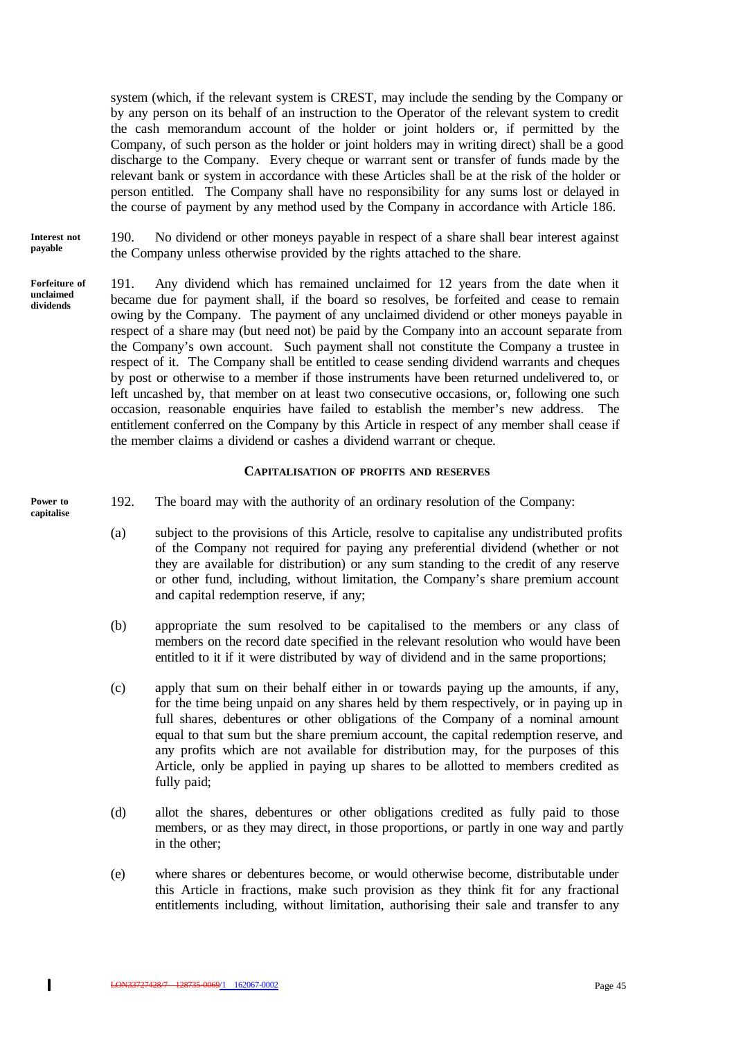system (which, if the relevant system is CREST, may include the sending by the Company or by any person on its behalf of an instruction to the Operator of the relevant system to credit the cash memorandum account of the holder or joint holders or, if permitted by the Company, of such person as the holder or joint holders may in writing direct) shall be a good discharge to the Company. Every cheque or warrant sent or transfer of funds made by the relevant bank or system in accordance with these Articles shall be at the risk of the holder or person entitled. The Company shall have no responsibility for any sums lost or delayed in the course of payment by any method used by the Company in accordance with Article 186.

190. No dividend or other moneys payable in respect of a share shall bear interest against the Company unless otherwise provided by the rights attached to the share. **Interest not payable**

191. Any dividend which has remained unclaimed for 12 years from the date when it became due for payment shall, if the board so resolves, be forfeited and cease to remain owing by the Company. The payment of any unclaimed dividend or other moneys payable in respect of a share may (but need not) be paid by the Company into an account separate from the Company's own account. Such payment shall not constitute the Company a trustee in respect of it. The Company shall be entitled to cease sending dividend warrants and cheques by post or otherwise to a member if those instruments have been returned undelivered to, or left uncashed by, that member on at least two consecutive occasions, or, following one such occasion, reasonable enquiries have failed to establish the member's new address. The entitlement conferred on the Company by this Article in respect of any member shall cease if the member claims a dividend or cashes a dividend warrant or cheque. **Forfeiture of unclaimed dividends**

## **CAPITALISATION OF PROFITS AND RESERVES**

- 192. The board may with the authority of an ordinary resolution of the Company:
	- (a) subject to the provisions of this Article, resolve to capitalise any undistributed profits of the Company not required for paying any preferential dividend (whether or not they are available for distribution) or any sum standing to the credit of any reserve or other fund, including, without limitation, the Company's share premium account and capital redemption reserve, if any;
	- (b) appropriate the sum resolved to be capitalised to the members or any class of members on the record date specified in the relevant resolution who would have been entitled to it if it were distributed by way of dividend and in the same proportions;
	- (c) apply that sum on their behalf either in or towards paying up the amounts, if any, for the time being unpaid on any shares held by them respectively, or in paying up in full shares, debentures or other obligations of the Company of a nominal amount equal to that sum but the share premium account, the capital redemption reserve, and any profits which are not available for distribution may, for the purposes of this Article, only be applied in paying up shares to be allotted to members credited as fully paid;
	- (d) allot the shares, debentures or other obligations credited as fully paid to those members, or as they may direct, in those proportions, or partly in one way and partly in the other;
	- (e) where shares or debentures become, or would otherwise become, distributable under this Article in fractions, make such provision as they think fit for any fractional entitlements including, without limitation, authorising their sale and transfer to any

**Power to capitalise**

 $\mathbf{I}$ 

<u>Latin 128735-0069/1 162067-0002</u> and the state of the state of the state of the state of the state of the state of the state of the state of the state of the state of the state of the state of the state of the state of th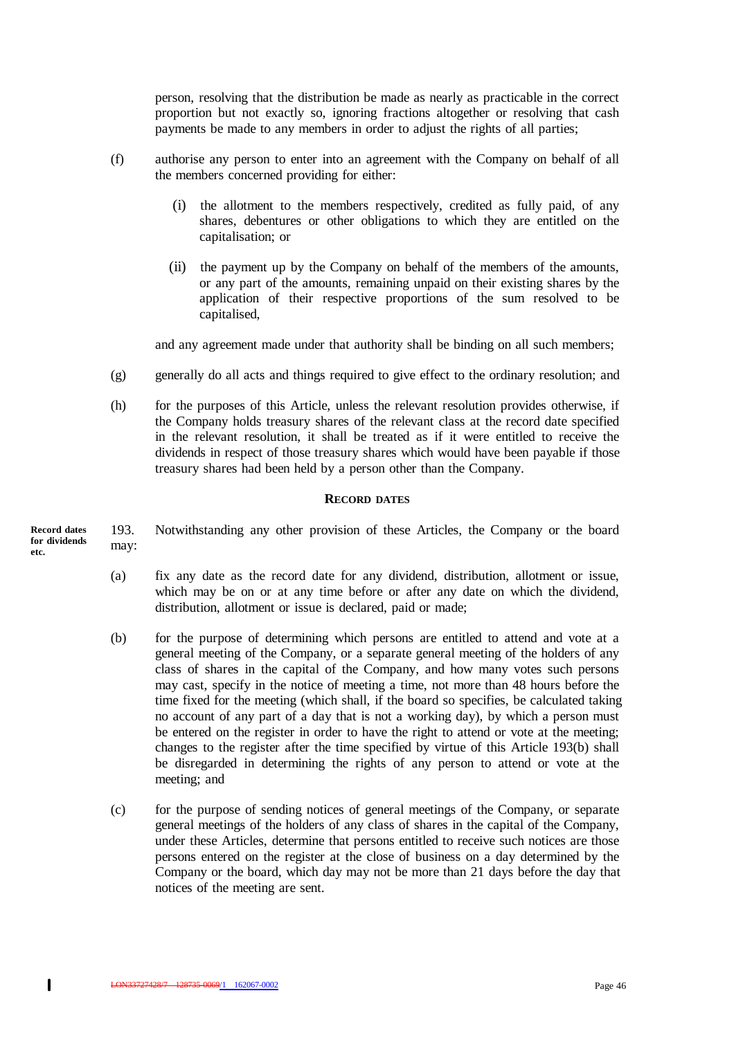person, resolving that the distribution be made as nearly as practicable in the correct proportion but not exactly so, ignoring fractions altogether or resolving that cash payments be made to any members in order to adjust the rights of all parties;

- (f) authorise any person to enter into an agreement with the Company on behalf of all the members concerned providing for either:
	- (i) the allotment to the members respectively, credited as fully paid, of any shares, debentures or other obligations to which they are entitled on the capitalisation; or
	- (ii) the payment up by the Company on behalf of the members of the amounts, or any part of the amounts, remaining unpaid on their existing shares by the application of their respective proportions of the sum resolved to be capitalised,

and any agreement made under that authority shall be binding on all such members;

- (g) generally do all acts and things required to give effect to the ordinary resolution; and
- (h) for the purposes of this Article, unless the relevant resolution provides otherwise, if the Company holds treasury shares of the relevant class at the record date specified in the relevant resolution, it shall be treated as if it were entitled to receive the dividends in respect of those treasury shares which would have been payable if those treasury shares had been held by a person other than the Company.

#### **RECORD DATES**

193. Notwithstanding any other provision of these Articles, the Company or the board may: **Record dates for dividends etc.**

- (a) fix any date as the record date for any dividend, distribution, allotment or issue, which may be on or at any time before or after any date on which the dividend, distribution, allotment or issue is declared, paid or made;
- (b) for the purpose of determining which persons are entitled to attend and vote at a general meeting of the Company, or a separate general meeting of the holders of any class of shares in the capital of the Company, and how many votes such persons may cast, specify in the notice of meeting a time, not more than 48 hours before the time fixed for the meeting (which shall, if the board so specifies, be calculated taking no account of any part of a day that is not a working day), by which a person must be entered on the register in order to have the right to attend or vote at the meeting; changes to the register after the time specified by virtue of this Article 193(b) shall be disregarded in determining the rights of any person to attend or vote at the meeting; and
- (c) for the purpose of sending notices of general meetings of the Company, or separate general meetings of the holders of any class of shares in the capital of the Company, under these Articles, determine that persons entitled to receive such notices are those persons entered on the register at the close of business on a day determined by the Company or the board, which day may not be more than 21 days before the day that notices of the meeting are sent.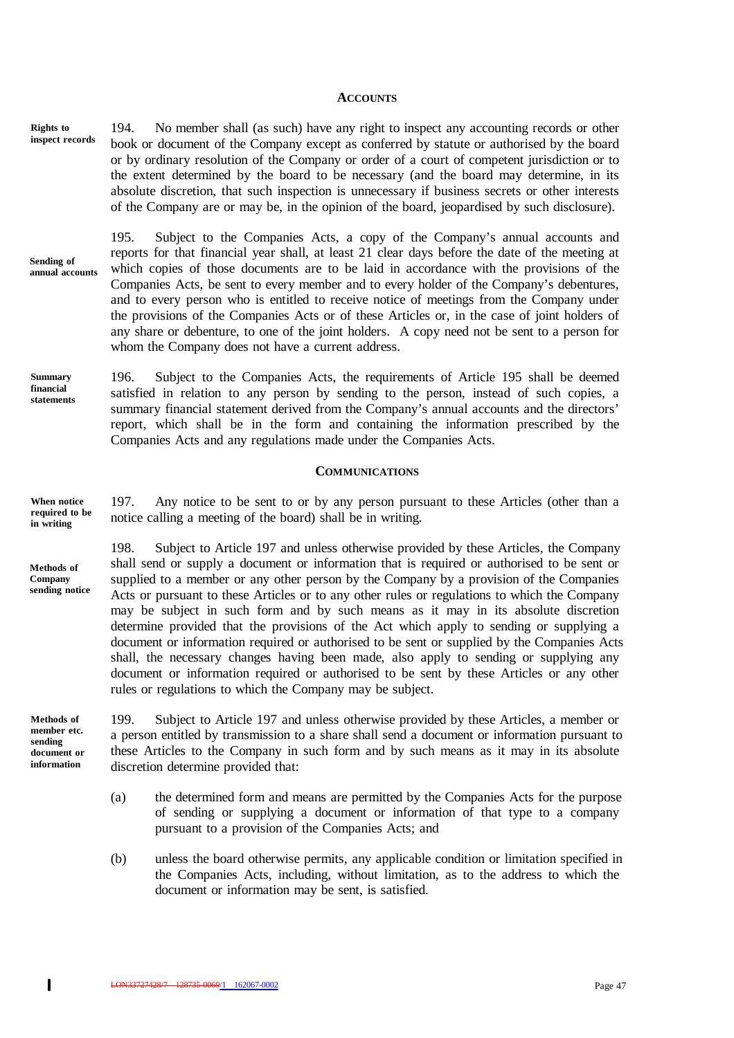#### **ACCOUNTS**

194. No member shall (as such) have any right to inspect any accounting records or other book or document of the Company except as conferred by statute or authorised by the board or by ordinary resolution of the Company or order of a court of competent jurisdiction or to the extent determined by the board to be necessary (and the board may determine, in its absolute discretion, that such inspection is unnecessary if business secrets or other interests of the Company are or may be, in the opinion of the board, jeopardised by such disclosure). **Rights to inspect records**

**Sending of annual accounts** 195. Subject to the Companies Acts, a copy of the Company's annual accounts and reports for that financial year shall, at least 21 clear days before the date of the meeting at which copies of those documents are to be laid in accordance with the provisions of the Companies Acts, be sent to every member and to every holder of the Company's debentures, and to every person who is entitled to receive notice of meetings from the Company under the provisions of the Companies Acts or of these Articles or, in the case of joint holders of any share or debenture, to one of the joint holders. A copy need not be sent to a person for whom the Company does not have a current address.

196. Subject to the Companies Acts, the requirements of Article 195 shall be deemed satisfied in relation to any person by sending to the person, instead of such copies, a summary financial statement derived from the Company's annual accounts and the directors' report, which shall be in the form and containing the information prescribed by the Companies Acts and any regulations made under the Companies Acts. **Summary financial statements**

#### **COMMUNICATIONS**

197. Any notice to be sent to or by any person pursuant to these Articles (other than a notice calling a meeting of the board) shall be in writing. **When notice required to be in writing**

> 198. Subject to Article 197 and unless otherwise provided by these Articles, the Company shall send or supply a document or information that is required or authorised to be sent or supplied to a member or any other person by the Company by a provision of the Companies Acts or pursuant to these Articles or to any other rules or regulations to which the Company may be subject in such form and by such means as it may in its absolute discretion determine provided that the provisions of the Act which apply to sending or supplying a document or information required or authorised to be sent or supplied by the Companies Acts shall, the necessary changes having been made, also apply to sending or supplying any document or information required or authorised to be sent by these Articles or any other rules or regulations to which the Company may be subject.

**Methods of member etc. sending document or information**

**Methods of Company sending notice**

> 199. Subject to Article 197 and unless otherwise provided by these Articles, a member or a person entitled by transmission to a share shall send a document or information pursuant to these Articles to the Company in such form and by such means as it may in its absolute discretion determine provided that:

- (a) the determined form and means are permitted by the Companies Acts for the purpose of sending or supplying a document or information of that type to a company pursuant to a provision of the Companies Acts; and
- (b) unless the board otherwise permits, any applicable condition or limitation specified in the Companies Acts, including, without limitation, as to the address to which the document or information may be sent, is satisfied.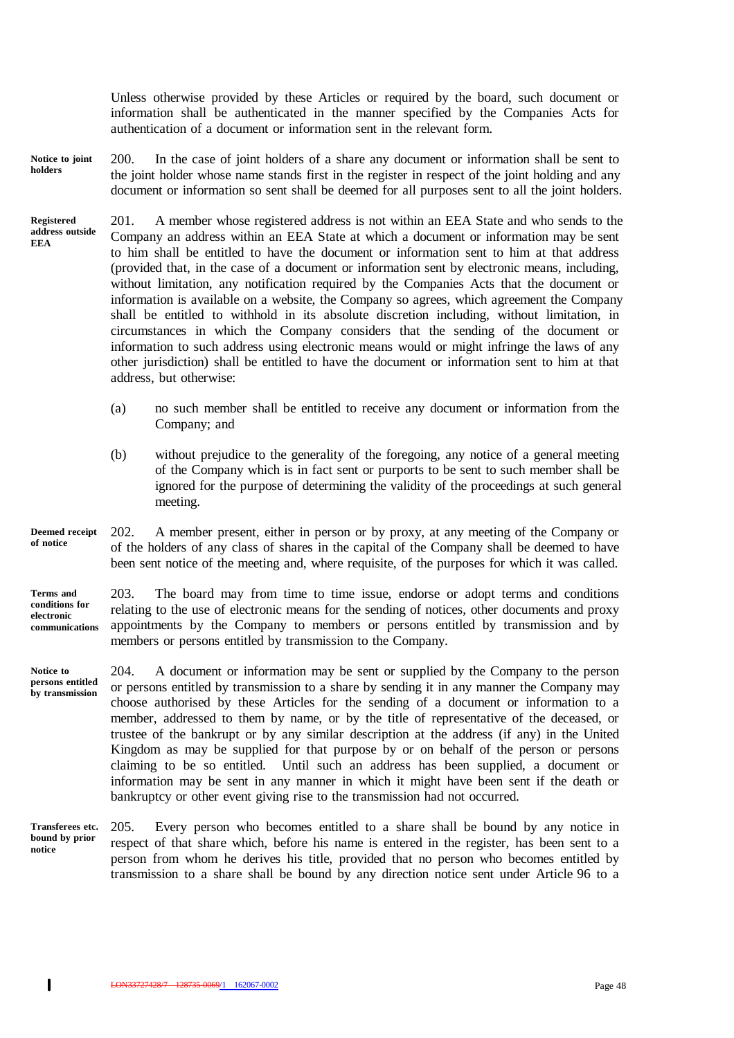Unless otherwise provided by these Articles or required by the board, such document or information shall be authenticated in the manner specified by the Companies Acts for authentication of a document or information sent in the relevant form.

- 200. In the case of joint holders of a share any document or information shall be sent to the joint holder whose name stands first in the register in respect of the joint holding and any document or information so sent shall be deemed for all purposes sent to all the joint holders. **Notice to joint holders**
- 201. A member whose registered address is not within an EEA State and who sends to the Company an address within an EEA State at which a document or information may be sent to him shall be entitled to have the document or information sent to him at that address (provided that, in the case of a document or information sent by electronic means, including, without limitation, any notification required by the Companies Acts that the document or information is available on a website, the Company so agrees, which agreement the Company shall be entitled to withhold in its absolute discretion including, without limitation, in circumstances in which the Company considers that the sending of the document or information to such address using electronic means would or might infringe the laws of any other jurisdiction) shall be entitled to have the document or information sent to him at that address, but otherwise: **Registered address outside EEA**
	- (a) no such member shall be entitled to receive any document or information from the Company; and
	- (b) without prejudice to the generality of the foregoing, any notice of a general meeting of the Company which is in fact sent or purports to be sent to such member shall be ignored for the purpose of determining the validity of the proceedings at such general meeting.
- 202. A member present, either in person or by proxy, at any meeting of the Company or of the holders of any class of shares in the capital of the Company shall be deemed to have been sent notice of the meeting and, where requisite, of the purposes for which it was called. **Deemed receipt of notice**

**Terms and conditions for electronic communications**

203. The board may from time to time issue, endorse or adopt terms and conditions relating to the use of electronic means for the sending of notices, other documents and proxy appointments by the Company to members or persons entitled by transmission and by members or persons entitled by transmission to the Company.

- 204. A document or information may be sent or supplied by the Company to the person or persons entitled by transmission to a share by sending it in any manner the Company may choose authorised by these Articles for the sending of a document or information to a member, addressed to them by name, or by the title of representative of the deceased, or trustee of the bankrupt or by any similar description at the address (if any) in the United Kingdom as may be supplied for that purpose by or on behalf of the person or persons claiming to be so entitled. Until such an address has been supplied, a document or information may be sent in any manner in which it might have been sent if the death or bankruptcy or other event giving rise to the transmission had not occurred. **Notice to persons entitled by transmission**
- 205. Every person who becomes entitled to a share shall be bound by any notice in respect of that share which, before his name is entered in the register, has been sent to a person from whom he derives his title, provided that no person who becomes entitled by transmission to a share shall be bound by any direction notice sent under Article 96 to a **Transferees etc. bound by prior notice**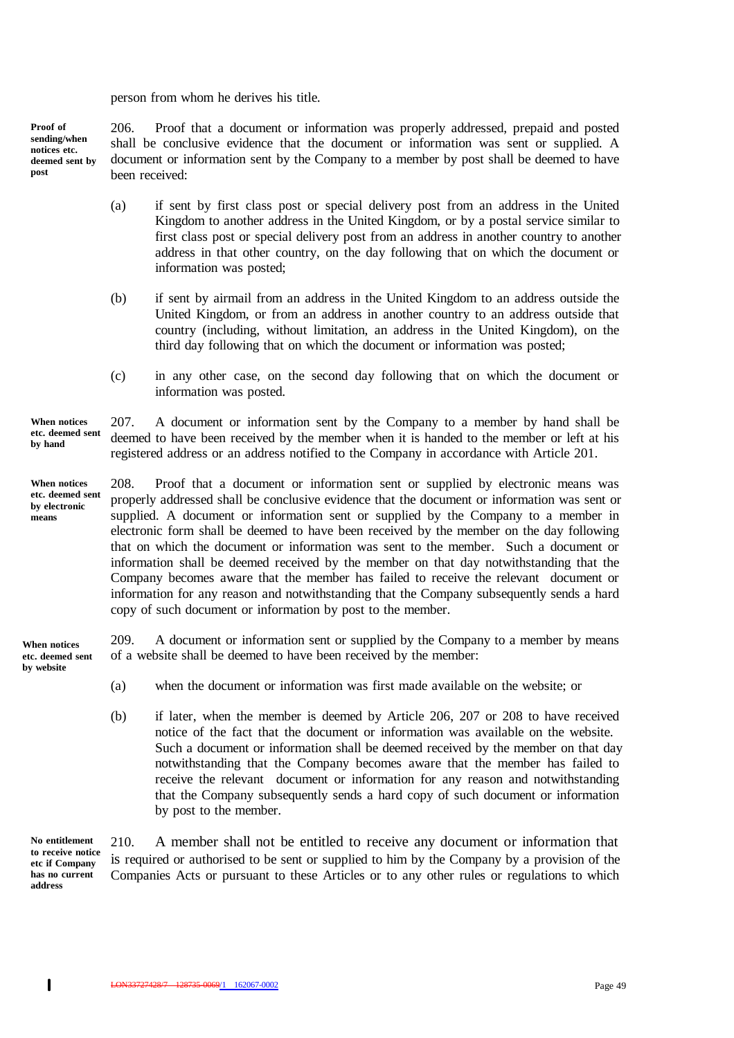person from whom he derives his title.

206. Proof that a document or information was properly addressed, prepaid and posted shall be conclusive evidence that the document or information was sent or supplied. A document or information sent by the Company to a member by post shall be deemed to have been received: **Proof of sending/when notices etc. deemed sent by post**

- (a) if sent by first class post or special delivery post from an address in the United Kingdom to another address in the United Kingdom, or by a postal service similar to first class post or special delivery post from an address in another country to another address in that other country, on the day following that on which the document or information was posted;
- (b) if sent by airmail from an address in the United Kingdom to an address outside the United Kingdom, or from an address in another country to an address outside that country (including, without limitation, an address in the United Kingdom), on the third day following that on which the document or information was posted;
- (c) in any other case, on the second day following that on which the document or information was posted.

207. A document or information sent by the Company to a member by hand shall be deemed to have been received by the member when it is handed to the member or left at his registered address or an address notified to the Company in accordance with Article 201. **When notices etc. deemed sent by hand**

**When notices etc. deemed sent by electronic means**

208. Proof that a document or information sent or supplied by electronic means was properly addressed shall be conclusive evidence that the document or information was sent or supplied. A document or information sent or supplied by the Company to a member in electronic form shall be deemed to have been received by the member on the day following that on which the document or information was sent to the member. Such a document or information shall be deemed received by the member on that day notwithstanding that the Company becomes aware that the member has failed to receive the relevant document or information for any reason and notwithstanding that the Company subsequently sends a hard copy of such document or information by post to the member.

209. A document or information sent or supplied by the Company to a member by means of a website shall be deemed to have been received by the member: **When notices etc. deemed sent by website**

- (a) when the document or information was first made available on the website; or
- (b) if later, when the member is deemed by Article 206, 207 or 208 to have received notice of the fact that the document or information was available on the website. Such a document or information shall be deemed received by the member on that day notwithstanding that the Company becomes aware that the member has failed to receive the relevant document or information for any reason and notwithstanding that the Company subsequently sends a hard copy of such document or information by post to the member.

210. A member shall not be entitled to receive any document or information that is required or authorised to be sent or supplied to him by the Company by a provision of the Companies Acts or pursuant to these Articles or to any other rules or regulations to which **No entitlement to receive notice etc if Company has no current address**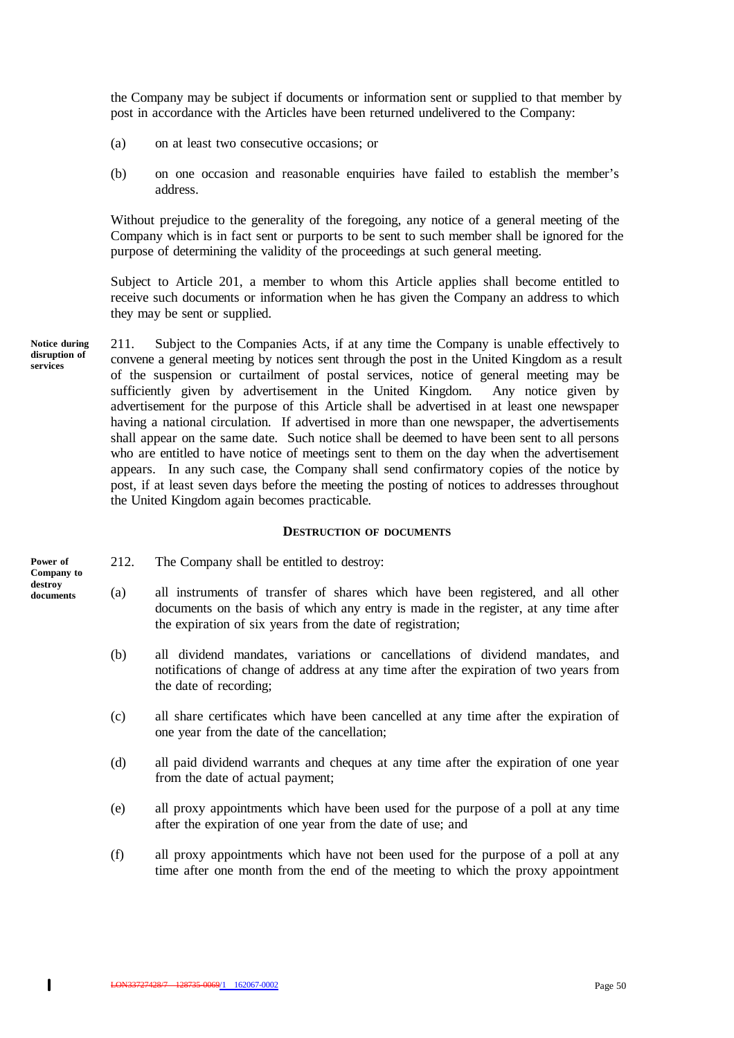the Company may be subject if documents or information sent or supplied to that member by post in accordance with the Articles have been returned undelivered to the Company:

- (a) on at least two consecutive occasions; or
- (b) on one occasion and reasonable enquiries have failed to establish the member's address.

Without prejudice to the generality of the foregoing, any notice of a general meeting of the Company which is in fact sent or purports to be sent to such member shall be ignored for the purpose of determining the validity of the proceedings at such general meeting.

Subject to Article 201, a member to whom this Article applies shall become entitled to receive such documents or information when he has given the Company an address to which they may be sent or supplied.

211. Subject to the Companies Acts, if at any time the Company is unable effectively to convene a general meeting by notices sent through the post in the United Kingdom as a result of the suspension or curtailment of postal services, notice of general meeting may be sufficiently given by advertisement in the United Kingdom. Any notice given by advertisement for the purpose of this Article shall be advertised in at least one newspaper having a national circulation. If advertised in more than one newspaper, the advertisements shall appear on the same date. Such notice shall be deemed to have been sent to all persons who are entitled to have notice of meetings sent to them on the day when the advertisement appears. In any such case, the Company shall send confirmatory copies of the notice by post, if at least seven days before the meeting the posting of notices to addresses throughout the United Kingdom again becomes practicable. **Notice during disruption of services**

#### **DESTRUCTION OF DOCUMENTS**

**Power of Company to destroy documents**

- 212. The Company shall be entitled to destroy:
- (a) all instruments of transfer of shares which have been registered, and all other documents on the basis of which any entry is made in the register, at any time after the expiration of six years from the date of registration;
	- (b) all dividend mandates, variations or cancellations of dividend mandates, and notifications of change of address at any time after the expiration of two years from the date of recording;
	- (c) all share certificates which have been cancelled at any time after the expiration of one year from the date of the cancellation;
	- (d) all paid dividend warrants and cheques at any time after the expiration of one year from the date of actual payment;
	- (e) all proxy appointments which have been used for the purpose of a poll at any time after the expiration of one year from the date of use; and
	- (f) all proxy appointments which have not been used for the purpose of a poll at any time after one month from the end of the meeting to which the proxy appointment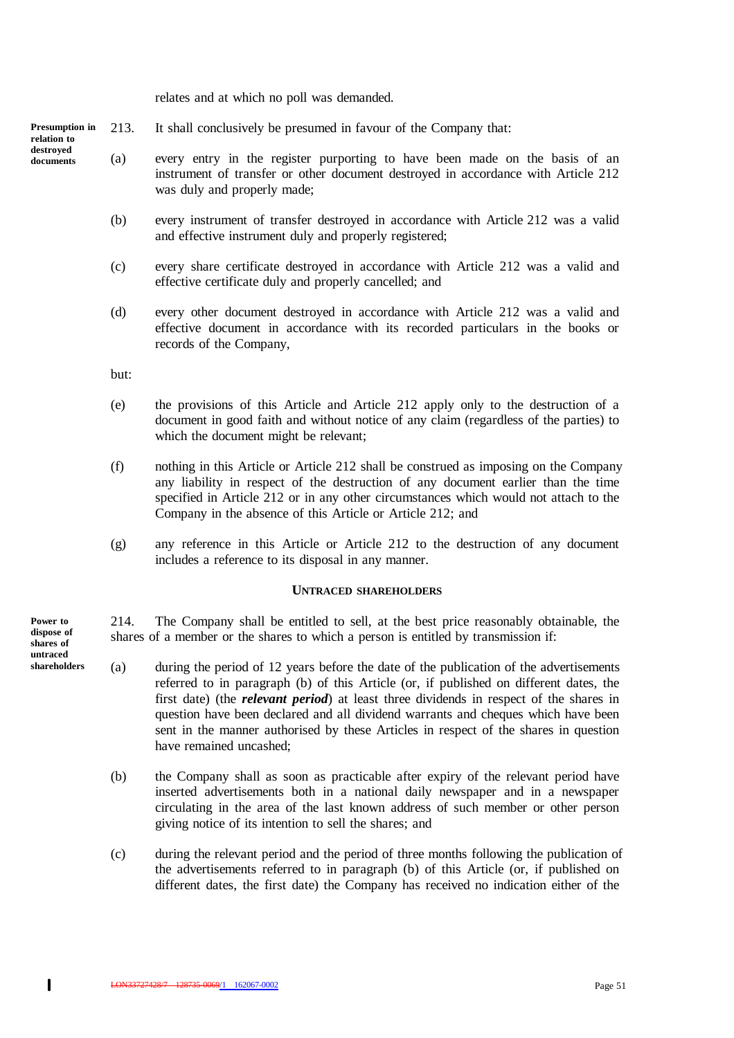relates and at which no poll was demanded.

213. It shall conclusively be presumed in favour of the Company that: **Presumption in relation to**

- (a) every entry in the register purporting to have been made on the basis of an instrument of transfer or other document destroyed in accordance with Article 212 was duly and properly made;
	- (b) every instrument of transfer destroyed in accordance with Article 212 was a valid and effective instrument duly and properly registered;
	- (c) every share certificate destroyed in accordance with Article 212 was a valid and effective certificate duly and properly cancelled; and
	- (d) every other document destroyed in accordance with Article 212 was a valid and effective document in accordance with its recorded particulars in the books or records of the Company,

but:

- (e) the provisions of this Article and Article 212 apply only to the destruction of a document in good faith and without notice of any claim (regardless of the parties) to which the document might be relevant;
- (f) nothing in this Article or Article 212 shall be construed as imposing on the Company any liability in respect of the destruction of any document earlier than the time specified in Article 212 or in any other circumstances which would not attach to the Company in the absence of this Article or Article 212; and
- (g) any reference in this Article or Article 212 to the destruction of any document includes a reference to its disposal in any manner.

#### **UNTRACED SHAREHOLDERS**

214. The Company shall be entitled to sell, at the best price reasonably obtainable, the shares of a member or the shares to which a person is entitled by transmission if:

- (a) during the period of 12 years before the date of the publication of the advertisements referred to in paragraph (b) of this Article (or, if published on different dates, the first date) (the *relevant period*) at least three dividends in respect of the shares in question have been declared and all dividend warrants and cheques which have been sent in the manner authorised by these Articles in respect of the shares in question have remained uncashed;
- (b) the Company shall as soon as practicable after expiry of the relevant period have inserted advertisements both in a national daily newspaper and in a newspaper circulating in the area of the last known address of such member or other person giving notice of its intention to sell the shares; and
- (c) during the relevant period and the period of three months following the publication of the advertisements referred to in paragraph (b) of this Article (or, if published on different dates, the first date) the Company has received no indication either of the

**Power to dispose of shares of untraced shareholders**

 $\mathbf{I}$ 

**destroyed documents**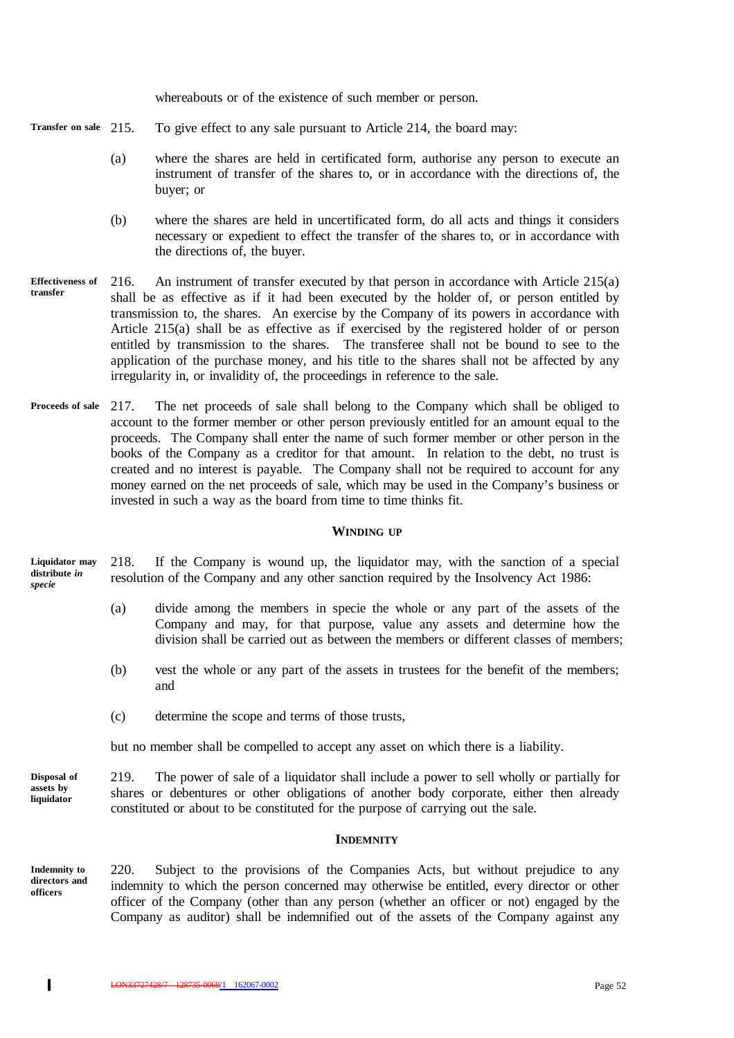whereabouts or of the existence of such member or person.

- To give effect to any sale pursuant to Article 214, the board may: **Transfer on sale**
	- (a) where the shares are held in certificated form, authorise any person to execute an instrument of transfer of the shares to, or in accordance with the directions of, the buyer; or
	- (b) where the shares are held in uncertificated form, do all acts and things it considers necessary or expedient to effect the transfer of the shares to, or in accordance with the directions of, the buyer.
- 216. An instrument of transfer executed by that person in accordance with Article 215(a) shall be as effective as if it had been executed by the holder of, or person entitled by transmission to, the shares. An exercise by the Company of its powers in accordance with Article 215(a) shall be as effective as if exercised by the registered holder of or person entitled by transmission to the shares. The transferee shall not be bound to see to the application of the purchase money, and his title to the shares shall not be affected by any irregularity in, or invalidity of, the proceedings in reference to the sale. **Effectiveness of transfer**
- 217. The net proceeds of sale shall belong to the Company which shall be obliged to account to the former member or other person previously entitled for an amount equal to the proceeds. The Company shall enter the name of such former member or other person in the books of the Company as a creditor for that amount. In relation to the debt, no trust is created and no interest is payable. The Company shall not be required to account for any money earned on the net proceeds of sale, which may be used in the Company's business or invested in such a way as the board from time to time thinks fit. **Proceeds of sale**

#### **WINDING UP**

218. If the Company is wound up, the liquidator may, with the sanction of a special resolution of the Company and any other sanction required by the Insolvency Act 1986: **Liquidator may distribute** *in specie*

- (a) divide among the members in specie the whole or any part of the assets of the Company and may, for that purpose, value any assets and determine how the division shall be carried out as between the members or different classes of members;
- (b) vest the whole or any part of the assets in trustees for the benefit of the members; and
- (c) determine the scope and terms of those trusts,

but no member shall be compelled to accept any asset on which there is a liability.

219. The power of sale of a liquidator shall include a power to sell wholly or partially for shares or debentures or other obligations of another body corporate, either then already constituted or about to be constituted for the purpose of carrying out the sale. **Disposal of assets by liquidator**

#### **INDEMNITY**

**Indemnity to directors and officers**

220. Subject to the provisions of the Companies Acts, but without prejudice to any indemnity to which the person concerned may otherwise be entitled, every director or other officer of the Company (other than any person (whether an officer or not) engaged by the Company as auditor) shall be indemnified out of the assets of the Company against any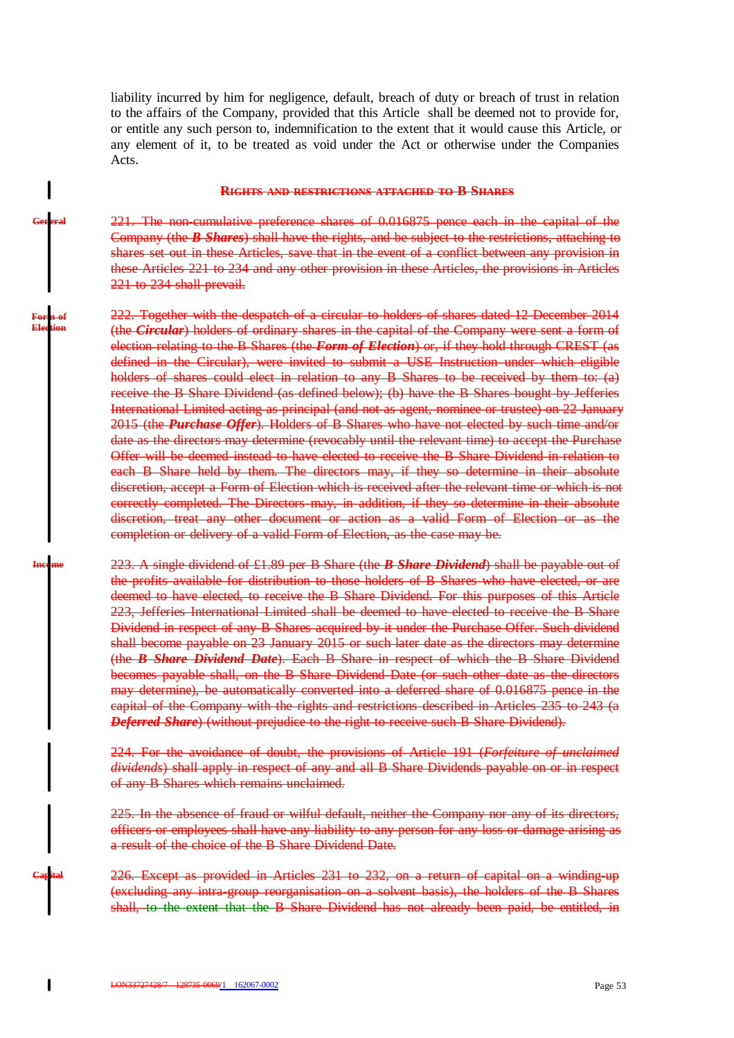liability incurred by him for negligence, default, breach of duty or breach of trust in relation to the affairs of the Company, provided that this Article shall be deemed not to provide for, or entitle any such person to, indemnification to the extent that it would cause this Article, or any element of it, to be treated as void under the Act or otherwise under the Companies Acts.

#### **RIGHTS AND RESTRICTIONS ATTACHED TO B SHARES**

221. The non-cumulative preference shares of 0.016875 pence each in the capital of the Company (the *B Shares*) shall have the rights, and be subject to the restrictions, attaching to shares set out in these Articles, save that in the event of a conflict between any provision in these Articles 221 to 234 and any other provision in these Articles, the provisions in Articles 221 to 234 shall prevail.

222. Together with the despatch of a circular to holders of shares dated 12 December 2014 (the *Circular*) holders of ordinary shares in the capital of the Company were sent a form of election relating to the B Shares (the *Form of Election*) or, if they hold through CREST (as defined in the Circular), were invited to submit a USE Instruction under which eligible holders of shares could elect in relation to any B Shares to be received by them to: (a) receive the B Share Dividend (as defined below); (b) have the B Shares bought by Jefferies International Limited acting as principal (and not as agent, nominee or trustee) on 22 January 2015 (the *Purchase Offer*). Holders of B Shares who have not elected by such time and/or date as the directors may determine (revocably until the relevant time) to accept the Purchase Offer will be deemed instead to have elected to receive the B Share Dividend in relation to each B Share held by them. The directors may, if they so determine in their absolute discretion, accept a Form of Election which is received after the relevant time or which is not correctly completed. The Directors may, in addition, if they so determine in their absolute discretion, treat any other document or action as a valid Form of Election or as the completion or delivery of a valid Form of Election, as the case may be. **Form of Election**

223. A single dividend of £1.89 per B Share (the *B Share Dividend*) shall be payable out of the profits available for distribution to those holders of B Shares who have elected, or are deemed to have elected, to receive the B Share Dividend. For this purposes of this Article 223, Jefferies International Limited shall be deemed to have elected to receive the B Share Dividend in respect of any B Shares acquired by it under the Purchase Offer. Such dividend shall become payable on 23 January 2015 or such later date as the directors may determine (the *B Share Dividend Date*). Each B Share in respect of which the B Share Dividend becomes payable shall, on the B Share Dividend Date (or such other date as the directors may determine), be automatically converted into a deferred share of 0.016875 pence in the capital of the Company with the rights and restrictions described in Articles 235 to 243 (a *Deferred Share*) (without prejudice to the right to receive such B Share Dividend). **Income**

> 224. For the avoidance of doubt, the provisions of Article 191 (*Forfeiture of unclaimed dividends*) shall apply in respect of any and all B Share Dividends payable on or in respect of any B Shares which remains unclaimed.

> 225. In the absence of fraud or wilful default, neither the Company nor any of its directors, officers or employees shall have any liability to any person for any loss or damage arising as a result of the choice of the B Share Dividend Date.

> 226. Except as provided in Articles 231 to 232, on a return of capital on a winding-up (excluding any intra-group reorganisation on a solvent basis), the holders of the B Shares shall, to the extent that the B Share Dividend has not already been paid, be entitled, in

**General**

**Capital**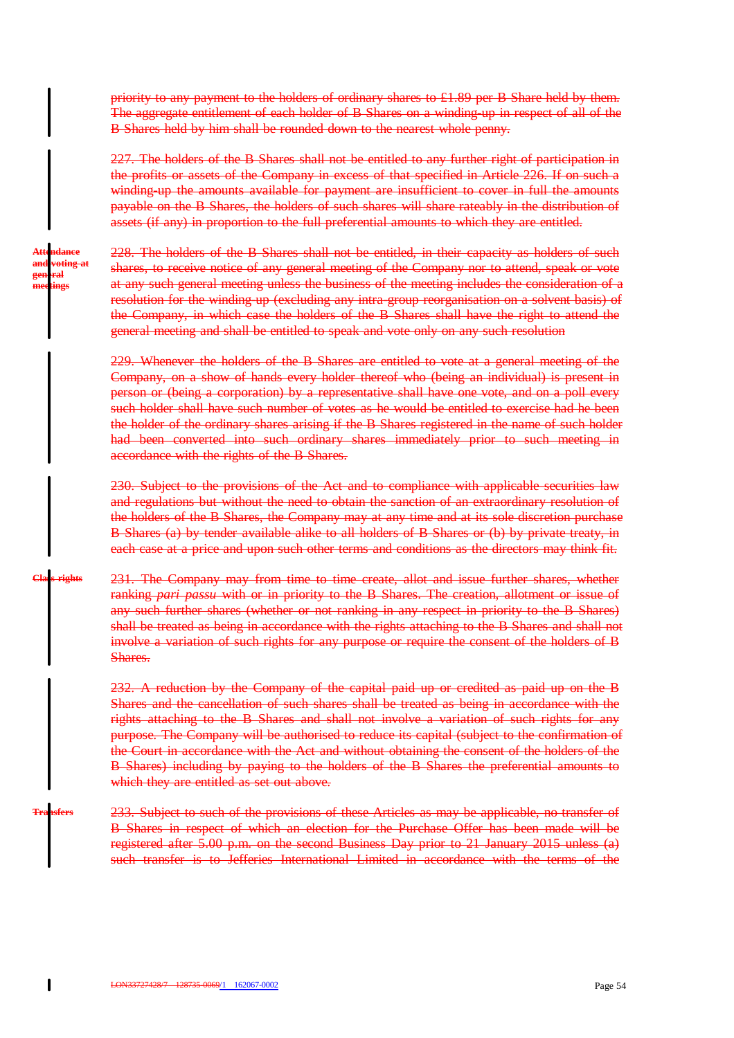priority to any payment to the holders of ordinary shares to £1.89 per B Share held by them. The aggregate entitlement of each holder of B Shares on a winding-up in respect of all of the B Shares held by him shall be rounded down to the nearest whole penny.

227. The holders of the B Shares shall not be entitled to any further right of participation in the profits or assets of the Company in excess of that specified in Article 226. If on such a winding up the amounts available for payment are insufficient to cover in full the amounts payable on the B Shares, the holders of such shares will share rateably in the distribution of assets (if any) in proportion to the full preferential amounts to which they are entitled.

**Attendance and voting at general meetings**

228. The holders of the B Shares shall not be entitled, in their capacity as holders of such shares, to receive notice of any general meeting of the Company nor to attend, speak or vote at any such general meeting unless the business of the meeting includes the consideration of a resolution for the winding up (excluding any intra-group reorganisation on a solvent basis) of the Company, in which case the holders of the B Shares shall have the right to attend the general meeting and shall be entitled to speak and vote only on any such resolution

229. Whenever the holders of the B Shares are entitled to vote at a general meeting of the Company, on a show of hands every holder thereof who (being an individual) is present in person or (being a corporation) by a representative shall have one vote, and on a poll every such holder shall have such number of votes as he would be entitled to exercise had he been the holder of the ordinary shares arising if the B Shares registered in the name of such holder had been converted into such ordinary shares immediately prior to such meeting in accordance with the rights of the B Shares.

230. Subject to the provisions of the Act and to compliance with applicable securities law and regulations but without the need to obtain the sanction of an extraordinary resolution of the holders of the B Shares, the Company may at any time and at its sole discretion purchase B Shares (a) by tender available alike to all holders of B Shares or (b) by private treaty, in each case at a price and upon such other terms and conditions as the directors may think fit.

231. The Company may from time to time create, allot and issue further shares, whether ranking *pari passu* with or in priority to the B Shares. The creation, allotment or issue of any such further shares (whether or not ranking in any respect in priority to the B Shares) shall be treated as being in accordance with the rights attaching to the B Shares and shall not involve a variation of such rights for any purpose or require the consent of the holders of B Shares. **Class rights**

> 232. A reduction by the Company of the capital paid up or credited as paid up on the B Shares and the cancellation of such shares shall be treated as being in accordance with the rights attaching to the B Shares and shall not involve a variation of such rights for any purpose. The Company will be authorised to reduce its capital (subject to the confirmation of the Court in accordance with the Act and without obtaining the consent of the holders of the B Shares) including by paying to the holders of the B Shares the preferential amounts to which they are entitled as set out above.

233. Subject to such of the provisions of these Articles as may be applicable, no transfer of B Shares in respect of which an election for the Purchase Offer has been made will be registered after 5.00 p.m. on the second Business Day prior to 21 January 2015 unless (a) such transfer is to Jefferies International Limited in accordance with the terms of the

**Transfers**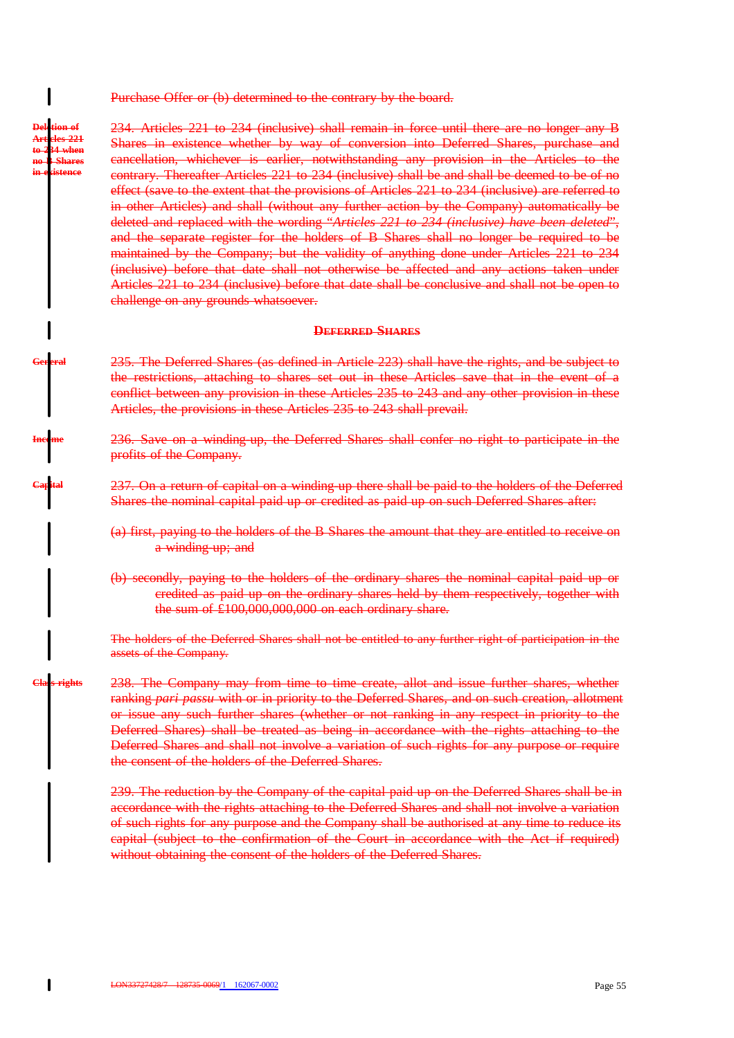Purchase Offer or (b) determined to the contrary by the board.

**Deletion of Articles 221 to 234 when no B Shares in existence**

234. Articles 221 to 234 (inclusive) shall remain in force until there are no longer any B Shares in existence whether by way of conversion into Deferred Shares, purchase and cancellation, whichever is earlier, notwithstanding any provision in the Articles to the contrary. Thereafter Articles 221 to 234 (inclusive) shall be and shall be deemed to be of no effect (save to the extent that the provisions of Articles 221 to 234 (inclusive) are referred to in other Articles) and shall (without any further action by the Company) automatically be deleted and replaced with the wording "*Articles 221 to 234 (inclusive) have been deleted*", and the separate register for the holders of B Shares shall no longer be required to be maintained by the Company; but the validity of anything done under Articles 221 to 234 (inclusive) before that date shall not otherwise be affected and any actions taken under Articles 221 to 234 (inclusive) before that date shall be conclusive and shall not be open to challenge on any grounds whatsoever.

#### **DEFERRED SHARES**

- 235. The Deferred Shares (as defined in Article 223) shall have the rights, and be subject to the restrictions, attaching to shares set out in these Articles save that in the event of a conflict between any provision in these Articles 235 to 243 and any other provision in these Articles, the provisions in these Articles 235 to 243 shall prevail. **General**
- 236. Save on a winding-up, the Deferred Shares shall confer no right to participate in the profits of the Company. **Income**
- 237. On a return of capital on a winding up there shall be paid to the holders of the Deferred Shares the nominal capital paid up or credited as paid up on such Deferred Shares after: **Capital**
	- (a) first, paying to the holders of the B Shares the amount that they are entitled to receive on a winding up; and
	- (b) secondly, paying to the holders of the ordinary shares the nominal capital paid up or credited as paid up on the ordinary shares held by them respectively, together with the sum of £100,000,000,000 on each ordinary share.

The holders of the Deferred Shares shall not be entitled to any further right of participation in the assets of the Company.

238. The Company may from time to time create, allot and issue further shares, whether ranking *pari passu* with or in priority to the Deferred Shares, and on such creation, allotment or issue any such further shares (whether or not ranking in any respect in priority to the Deferred Shares) shall be treated as being in accordance with the rights attaching to the Deferred Shares and shall not involve a variation of such rights for any purpose or require the consent of the holders of the Deferred Shares. **Class rights**

> 239. The reduction by the Company of the capital paid up on the Deferred Shares shall be in accordance with the rights attaching to the Deferred Shares and shall not involve a variation of such rights for any purpose and the Company shall be authorised at any time to reduce its capital (subject to the confirmation of the Court in accordance with the Act if required) without obtaining the consent of the holders of the Deferred Shares.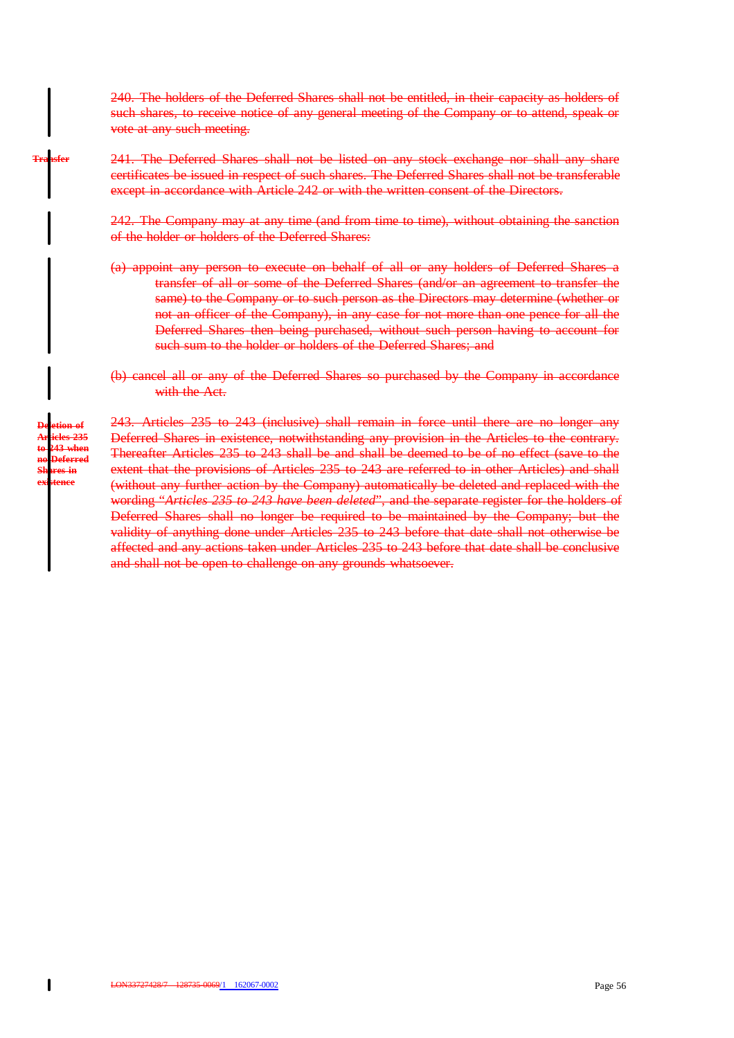240. The holders of the Deferred Shares shall not be entitled, in their capacity as holders of such shares, to receive notice of any general meeting of the Company or to attend, speak or vote at any such meeting.

#### 241. The Deferred Shares shall not be listed on any stock exchange nor shall any share certificates be issued in respect of such shares. The Deferred Shares shall not be transferable except in accordance with Article 242 or with the written consent of the Directors. **Transfer**

242. The Company may at any time (and from time to time), without obtaining the sanction of the holder or holders of the Deferred Shares:

- (a) appoint any person to execute on behalf of all or any holders of Deferred Shares a transfer of all or some of the Deferred Shares (and/or an agreement to transfer the same) to the Company or to such person as the Directors may determine (whether or not an officer of the Company), in any case for not more than one pence for all the Deferred Shares then being purchased, without such person having to account for such sum to the holder or holders of the Deferred Shares; and
- (b) cancel all or any of the Deferred Shares so purchased by the Company in accordance with the Act.

**Deletion of Articles 235 to 243 when no Deferred Shares in existence**

243. Articles 235 to 243 (inclusive) shall remain in force until there are no longer any Deferred Shares in existence, notwithstanding any provision in the Articles to the contrary. Thereafter Articles 235 to 243 shall be and shall be deemed to be of no effect (save to the extent that the provisions of Articles 235 to 243 are referred to in other Articles) and shall (without any further action by the Company) automatically be deleted and replaced with the wording "*Articles 235 to 243 have been deleted*", and the separate register for the holders of Deferred Shares shall no longer be required to be maintained by the Company; but the validity of anything done under Articles 235 to 243 before that date shall not otherwise be affected and any actions taken under Articles 235 to 243 before that date shall be conclusive and shall not be open to challenge on any grounds whatsoever.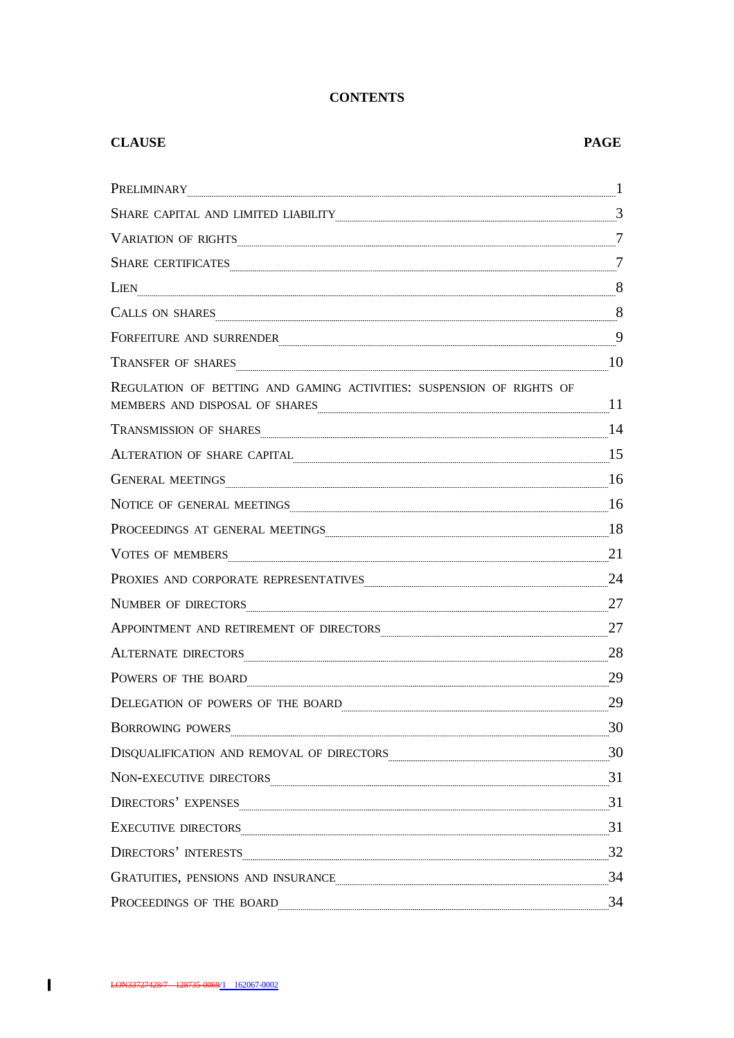# **CONTENTS**

| <b>CLAUSE</b>                                                                                                                                                                                                                                                                                                                                                                                                                                                                                                  | <b>PAGE</b>    |
|----------------------------------------------------------------------------------------------------------------------------------------------------------------------------------------------------------------------------------------------------------------------------------------------------------------------------------------------------------------------------------------------------------------------------------------------------------------------------------------------------------------|----------------|
| PRELIMINARY                                                                                                                                                                                                                                                                                                                                                                                                                                                                                                    | $\mathbf{1}$   |
| $\textbf{SHARE CAPITAL AND LIMITED LLABILITY} \label{thm:1} \begin{minipage}[c]{0.9\linewidth} \normalsize \textbf{S} \texttt{HARE CAPITAL AND LIMITED LLABILITY} \textcolor{gray}{0.9\linewidth} \normalsize \textbf{S} \texttt{HARE} \texttt{S} \texttt{S} \texttt{S} \texttt{S} \texttt{S} \texttt{S} \texttt{S} \texttt{S} \texttt{S} \texttt{S} \texttt{S} \texttt{S} \texttt{S} \texttt{S} \texttt{S} \texttt{S} \texttt{S} \texttt{S} \texttt{S} \texttt{S} \texttt{S} \text$                           |                |
|                                                                                                                                                                                                                                                                                                                                                                                                                                                                                                                |                |
| SHARE CERTIFICATES                                                                                                                                                                                                                                                                                                                                                                                                                                                                                             | $\overline{7}$ |
| LIEN                                                                                                                                                                                                                                                                                                                                                                                                                                                                                                           |                |
| CALLS ON SHARES 8                                                                                                                                                                                                                                                                                                                                                                                                                                                                                              |                |
| FORFEITURE AND SURRENDER                                                                                                                                                                                                                                                                                                                                                                                                                                                                                       |                |
| TRANSFER OF SHARES                                                                                                                                                                                                                                                                                                                                                                                                                                                                                             | 10             |
| REGULATION OF BETTING AND GAMING ACTIVITIES: SUSPENSION OF RIGHTS OF<br>MEMBERS AND DISPOSAL OF SHARES <b>ALL ASSES AND SEXUAL SET OF SHARES</b>                                                                                                                                                                                                                                                                                                                                                               | 11             |
| TRANSMISSION OF SHARES <b>Example 24</b> 14                                                                                                                                                                                                                                                                                                                                                                                                                                                                    |                |
| ALTERATION OF SHARE CAPITAL 15                                                                                                                                                                                                                                                                                                                                                                                                                                                                                 |                |
| GENERAL MEETINGS                                                                                                                                                                                                                                                                                                                                                                                                                                                                                               | 16             |
| NOTICE OF GENERAL MEETINGS                                                                                                                                                                                                                                                                                                                                                                                                                                                                                     |                |
| PROCEEDINGS AT GENERAL MEETINGS                                                                                                                                                                                                                                                                                                                                                                                                                                                                                | 18             |
| VOTES OF MEMBERS                                                                                                                                                                                                                                                                                                                                                                                                                                                                                               | 21             |
| PROXIES AND CORPORATE REPRESENTATIVES <b>Example 24</b>                                                                                                                                                                                                                                                                                                                                                                                                                                                        |                |
| NUMBER OF DIRECTORS                                                                                                                                                                                                                                                                                                                                                                                                                                                                                            | 27             |
| APPOINTMENT AND RETIREMENT OF DIRECTORS 27                                                                                                                                                                                                                                                                                                                                                                                                                                                                     |                |
| ALTERNATE DIRECTORS                                                                                                                                                                                                                                                                                                                                                                                                                                                                                            | 28             |
| POWERS OF THE BOARD                                                                                                                                                                                                                                                                                                                                                                                                                                                                                            | 29             |
| DELEGATION OF POWERS OF THE BOARD                                                                                                                                                                                                                                                                                                                                                                                                                                                                              | 29             |
| BORROWING POWERS                                                                                                                                                                                                                                                                                                                                                                                                                                                                                               | 30             |
| $\begin{tabular}{c} DISQUALIFICATION AND REMOVAL OF DIRECTORS \end{tabular} \begin{tabular}{c} \multicolumn{2}{c}{} & \multicolumn{2}{c}{} \\ \multicolumn{2}{c}{} & \multicolumn{2}{c}{} \\ \multicolumn{2}{c}{} & \multicolumn{2}{c}{} \\ \multicolumn{2}{c}{} \\ \multicolumn{2}{c}{} \\ \multicolumn{2}{c}{} \\ \multicolumn{2}{c}{} \\ \multicolumn{2}{c}{} \\ \multicolumn{2}{c}{} \\ \multicolumn{2}{c}{} \\ \multicolumn{2}{c}{} \\ \multicolumn{2}{c}{} \\ \multicolumn{2}{c}{} \\ \multicolumn{2}{c$ |                |
| NON-EXECUTIVE DIRECTORS                                                                                                                                                                                                                                                                                                                                                                                                                                                                                        |                |
| DIRECTORS' EXPENSES                                                                                                                                                                                                                                                                                                                                                                                                                                                                                            | 31             |
| EXECUTIVE DIRECTORS                                                                                                                                                                                                                                                                                                                                                                                                                                                                                            | $\frac{31}{2}$ |
| <b>DIRECTORS' INTERESTS</b>                                                                                                                                                                                                                                                                                                                                                                                                                                                                                    |                |
| GRATUITIES, PENSIONS AND INSURANCE                                                                                                                                                                                                                                                                                                                                                                                                                                                                             |                |
| PROCEEDINGS OF THE BOARD                                                                                                                                                                                                                                                                                                                                                                                                                                                                                       | 34             |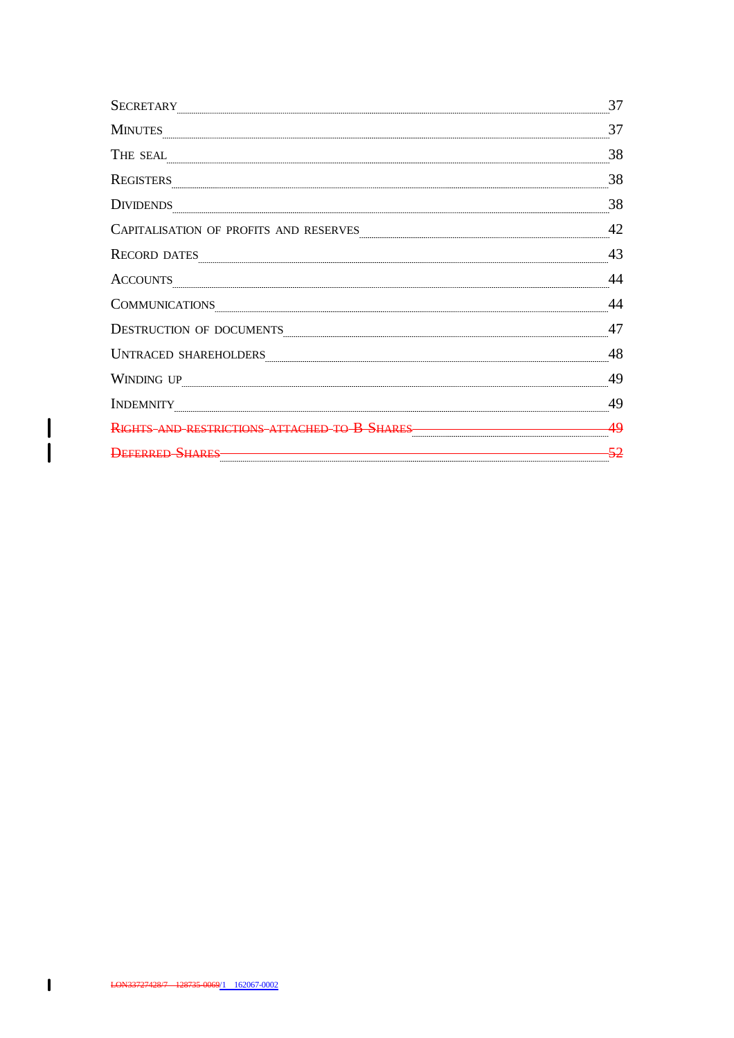| <b>SECRETARY</b>                       | 37    |
|----------------------------------------|-------|
| <b>MINUTES</b>                         | 37    |
| THE SEAL                               | 38    |
| <b>REGISTERS</b>                       | 38    |
| <b>DIVIDENDS</b>                       | 38    |
| CAPITALISATION OF PROFITS AND RESERVES | 42    |
| <b>RECORD DATES</b>                    | 43    |
| <b>ACCOUNTS</b>                        | 44    |
| <b>COMMUNICATIONS</b>                  | 44    |
| DESTRUCTION OF DOCUMENTS               | 47    |
| <b>UNTRACED SHAREHOLDERS</b>           | 48    |
| WINDING UP                             | 49    |
| <b>INDEMNITY</b>                       | 49    |
| RIGHTS-AND-RESTRICTIONS-ATTACHED       | 49    |
| <b>DEFERRED SHARES</b>                 | $-52$ |

 $\begin{array}{c} | \\ | \end{array}$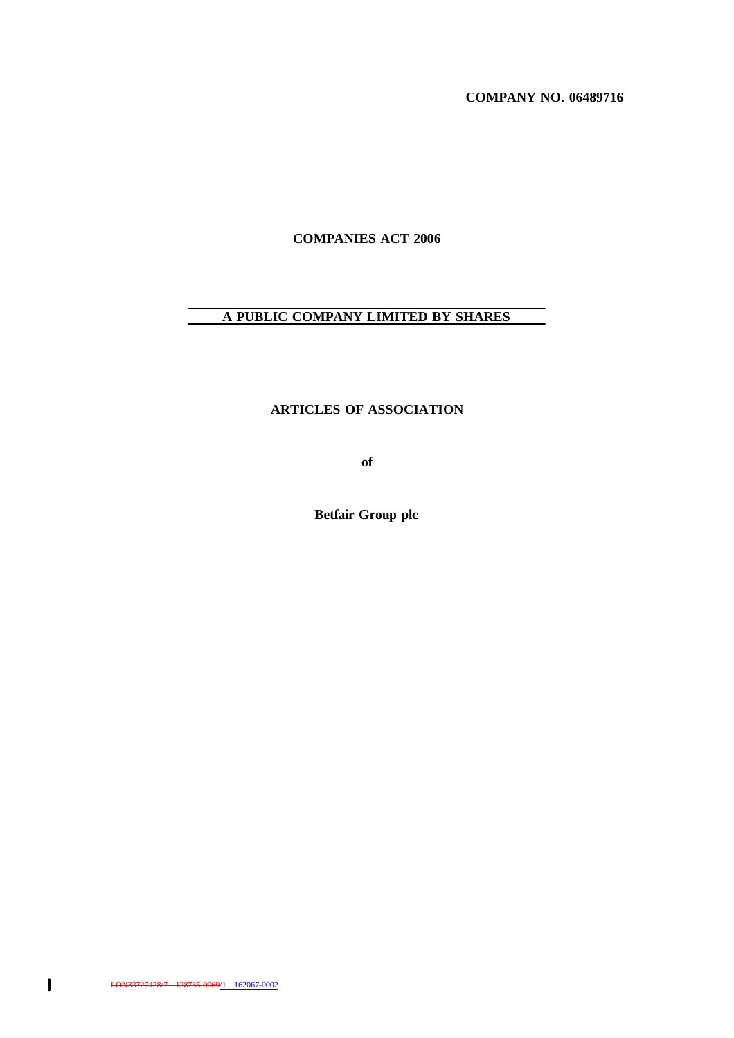**COMPANY NO. 06489716**

**COMPANIES ACT 2006**

# **A PUBLIC COMPANY LIMITED BY SHARES**

# **ARTICLES OF ASSOCIATION**

**of**

**Betfair Group plc**